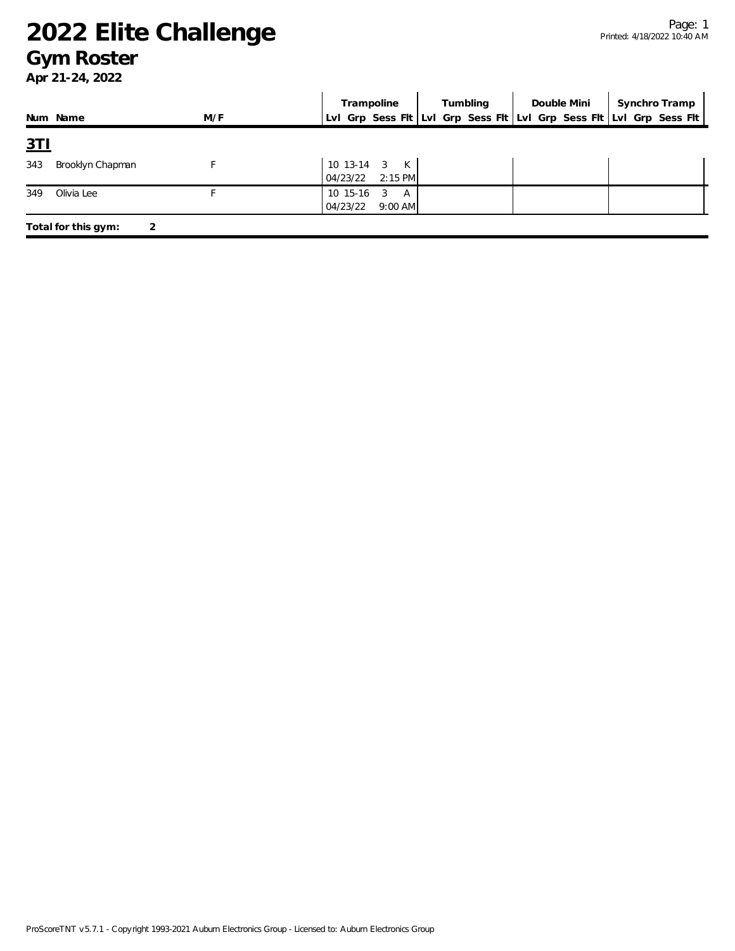#### **Gym Roster**

|            |                     |     | Trampoline                                   | Tumbling | Double Mini | Synchro Tramp                                                       |
|------------|---------------------|-----|----------------------------------------------|----------|-------------|---------------------------------------------------------------------|
|            | Num Name            | M/F |                                              |          |             | Lvl Grp Sess Fit Lvl Grp Sess Fit Lvl Grp Sess Fit Lvl Grp Sess Fit |
| <u>3TI</u> |                     |     |                                              |          |             |                                                                     |
| 343        | Brooklyn Chapman    |     | 10 13-14 3 K<br>$2:15$ PM<br>04/23/22        |          |             |                                                                     |
| 349        | Olivia Lee          |     | 10 15-16<br>-3<br>A<br>04/23/22<br>$9:00$ AM |          |             |                                                                     |
|            | Total for this gym: |     |                                              |          |             |                                                                     |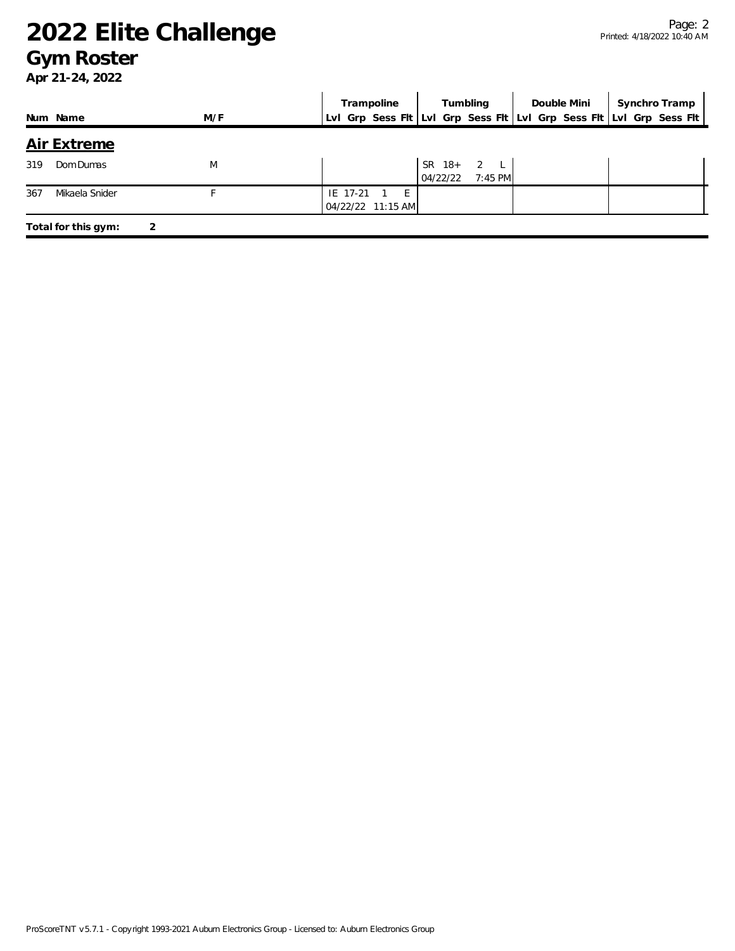#### **Gym Roster**

|                          |     | Synchro Tramp<br>Tumbling<br>Trampoline<br>Double Mini              |  |
|--------------------------|-----|---------------------------------------------------------------------|--|
| Num Name                 | M/F | Lvl Grp Sess Flt Lvl Grp Sess Flt Lvl Grp Sess Flt Lvl Grp Sess Flt |  |
| <b>Air Extreme</b>       |     |                                                                     |  |
| 319<br>Dom Dumas         | M   | SR 18+ 2 L<br>$7:45$ PM<br>04/22/22                                 |  |
| 367<br>Mikaela Snider    |     | IE 17-21<br>$-E$<br>04/22/22 11:15 AM                               |  |
| Total for this gym:<br>2 |     |                                                                     |  |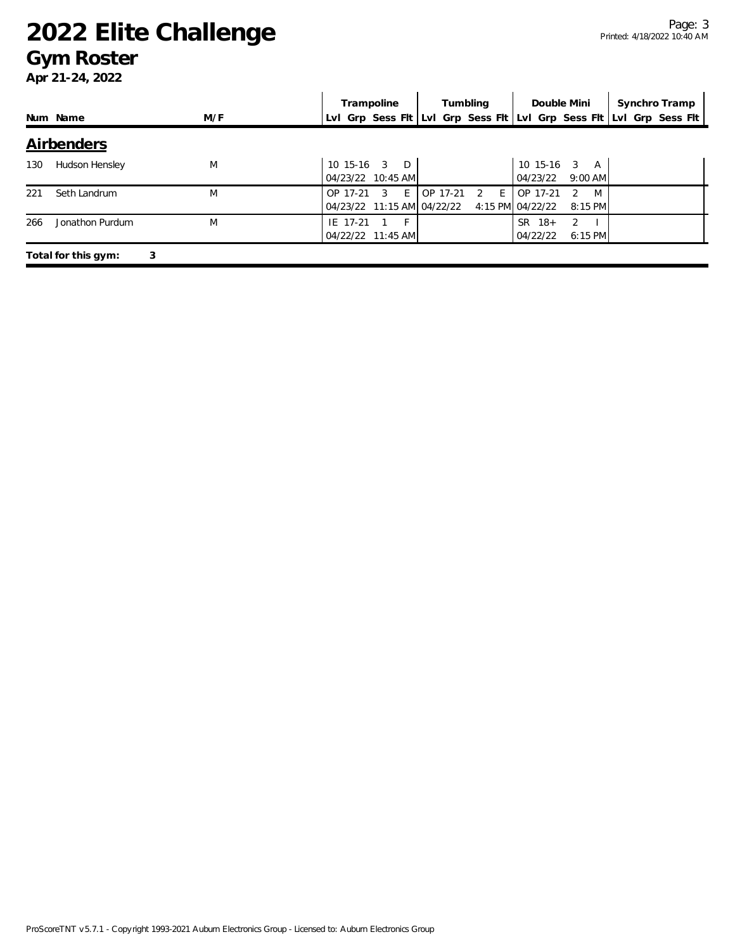#### **Gym Roster**

|     |                          |     | Trampoline                                                          |   |          | Tumbling            |                              | Double Mini                   | Synchro Tramp |  |
|-----|--------------------------|-----|---------------------------------------------------------------------|---|----------|---------------------|------------------------------|-------------------------------|---------------|--|
|     | Num Name                 | M/F | LvI Grp Sess FIt LvI Grp Sess FIt LvI Grp Sess FIt LvI Grp Sess FIt |   |          |                     |                              |                               |               |  |
|     | <b>Airbenders</b>        |     |                                                                     |   |          |                     |                              |                               |               |  |
| 130 | Hudson Hensley           | M   | $\mathcal{R}$<br>$10, 15-16$<br>04/23/22 10:45 AM                   | D |          |                     | $10$ 15-16 3<br>04/23/22     | A<br>$9:00$ AM                |               |  |
| 221 | Seth Landrum             | M   | OP 17-21<br>3<br>04/23/22 11:15 AM 04/22/22                         | E | OP 17-21 | E<br>$\overline{2}$ | OP 17-21<br>4:15 PM 04/22/22 | M<br>$\mathcal{P}$<br>8:15 PM |               |  |
| 266 | Jonathon Purdum          | M   | IE 17-21<br>04/22/22 11:45 AM                                       | F |          |                     | SR.<br>$18+$<br>04/22/22     | $\mathcal{P}$<br>6:15 PM      |               |  |
|     | 3<br>Total for this gym: |     |                                                                     |   |          |                     |                              |                               |               |  |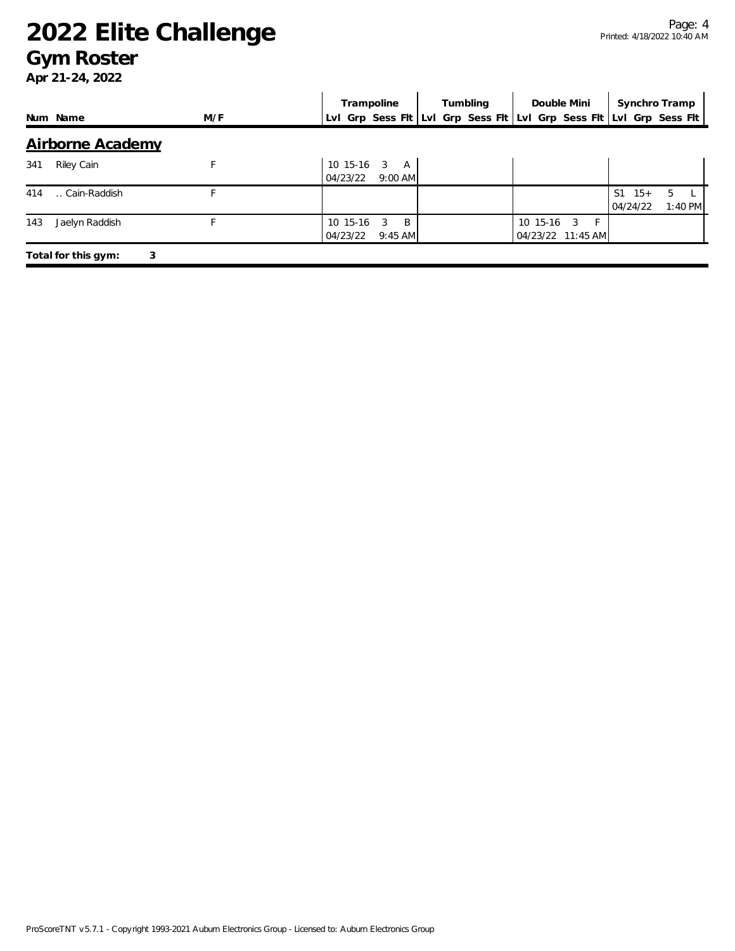#### **Gym Roster**

|     |                          |     | Trampoline                                            | Tumbling | Double Mini                                                         | Synchro Tramp                       |              |  |
|-----|--------------------------|-----|-------------------------------------------------------|----------|---------------------------------------------------------------------|-------------------------------------|--------------|--|
|     | Num Name                 | M/F |                                                       |          | Lvl Grp Sess Flt Lvl Grp Sess Flt Lvl Grp Sess Flt Lvl Grp Sess Flt |                                     |              |  |
|     | Airborne Academy         |     |                                                       |          |                                                                     |                                     |              |  |
| 341 | Riley Cain               |     | $10 \t15-16 \t3$<br><b>A</b><br>04/23/22<br>$9:00$ AM |          |                                                                     |                                     |              |  |
| 414 | Cain-Raddish             |     |                                                       |          |                                                                     | S <sub>1</sub><br>$15+$<br>04/24/22 | 5<br>1:40 PM |  |
| 143 | Jaelyn Raddish           |     | 10 15-16<br>3<br>B<br>04/23/22<br>$9:45$ AM           |          | 10 15-16<br>- F<br>3<br>04/23/22 11:45 AM                           |                                     |              |  |
|     | 3<br>Total for this gym: |     |                                                       |          |                                                                     |                                     |              |  |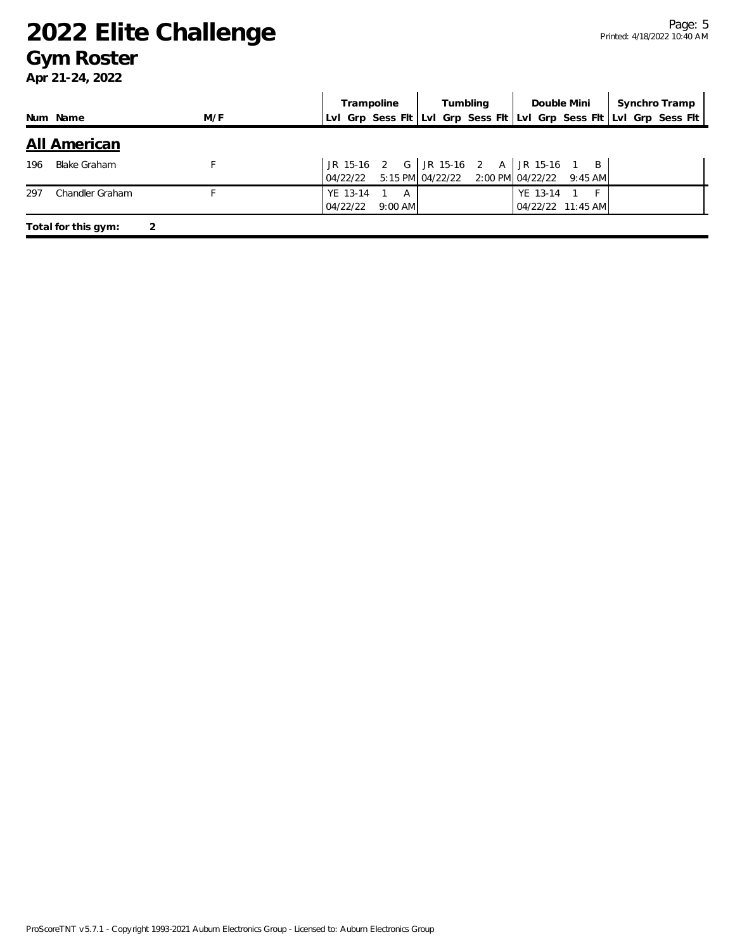#### **Gym Roster**

|     |                     |     |                      | Trampoline     | Tumbling                                                                            |          | Double Mini       | Synchro Tramp                                                       |
|-----|---------------------|-----|----------------------|----------------|-------------------------------------------------------------------------------------|----------|-------------------|---------------------------------------------------------------------|
|     | Num Name            | M/F |                      |                |                                                                                     |          |                   | Lvl Grp Sess Fit Lvl Grp Sess Fit Lvl Grp Sess Fit Lvl Grp Sess Fit |
|     | <u>All American</u> |     |                      |                |                                                                                     |          |                   |                                                                     |
| 196 | <b>Blake Graham</b> |     | 04/22/22             |                | JR 15-16 2 G JR 15-16 2 A JR 15-16 1 B<br>5:15 PM 04/22/22 2:00 PM 04/22/22 9:45 AM |          |                   |                                                                     |
| 297 | Chandler Graham     |     | YE 13-14<br>04/22/22 | A<br>$9:00$ AM |                                                                                     | YE 13-14 | 04/22/22 11:45 AM |                                                                     |
|     | Total for this gym: |     |                      |                |                                                                                     |          |                   |                                                                     |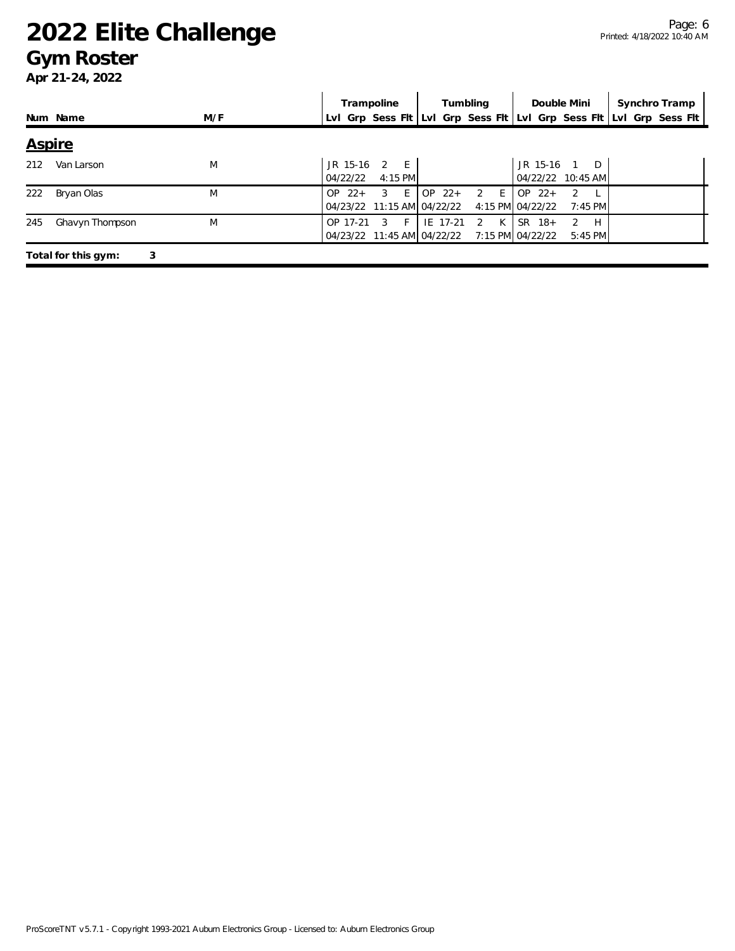#### **Gym Roster**

|               |                          |     | Trampoline                                                     | Tumbling           | Double Mini                                                | Synchro Tramp                                                       |
|---------------|--------------------------|-----|----------------------------------------------------------------|--------------------|------------------------------------------------------------|---------------------------------------------------------------------|
|               | Num Name                 | M/F |                                                                |                    |                                                            | Lyl Grp Sess Fit Lyl Grp Sess Fit Lyl Grp Sess Fit Lyl Grp Sess Fit |
| <b>Aspire</b> |                          |     |                                                                |                    |                                                            |                                                                     |
| 212           | Van Larson               | M   | JR 15-16<br>$\overline{2}$<br>$-E$<br>04/22/22<br>4:15 PM      |                    | $JR$ 15-16<br>- D<br>04/22/22 10:45 AM                     |                                                                     |
| 222           | Bryan Olas               | M   | E<br>$\mathcal{R}$<br>$OP$ 22+<br>04/23/22 11:15 AM 04/22/22   | $OP$ 22+<br>2 E    | $OP$ 22+<br>$\mathcal{L}$<br>4:15 PM 04/22/22<br>$7:45$ PM |                                                                     |
| 245           | Ghavyn Thompson          | M   | OP 17-21<br>$\mathcal{R}$<br>- F<br>04/23/22 11:45 AM 04/22/22 | K<br>IE 17-21<br>2 | $SR$ 18+<br>2<br>H<br>7:15 PM 04/22/22<br>$5:45$ PM        |                                                                     |
|               | Total for this gym:<br>3 |     |                                                                |                    |                                                            |                                                                     |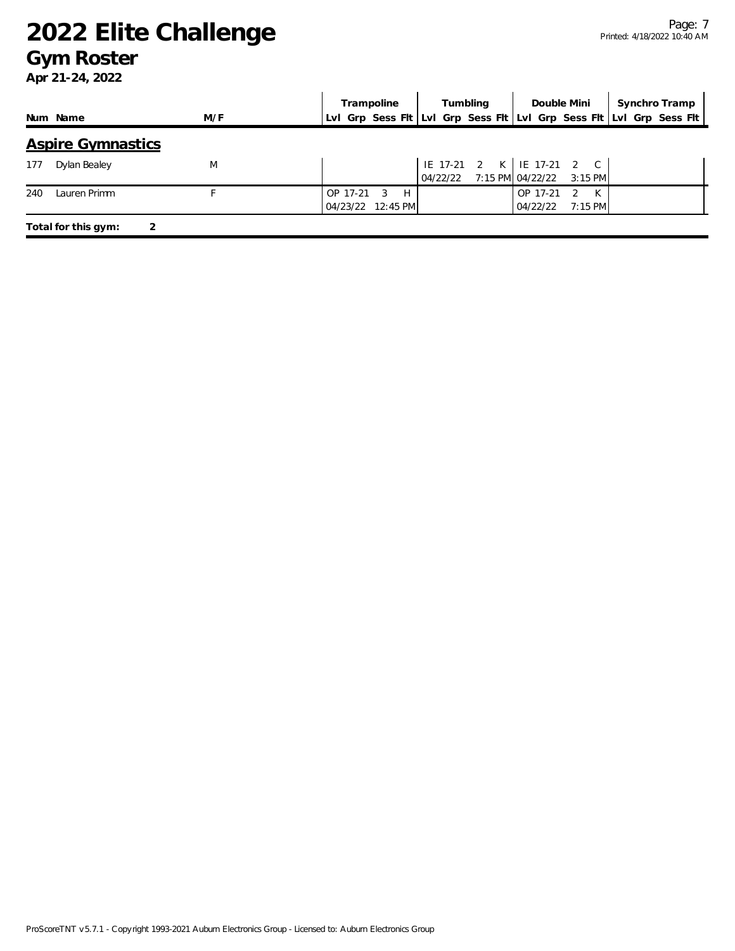#### **Gym Roster**

|                          |     | Synchro Tramp<br>Trampoline<br>Tumbling<br>Double Mini                                  |
|--------------------------|-----|-----------------------------------------------------------------------------------------|
| Num Name                 | M/F | Lvl Grp Sess Flt Lvl Grp Sess Flt Lvl Grp Sess Flt Lvl Grp Sess Flt                     |
| <b>Aspire Gymnastics</b> |     |                                                                                         |
| Dylan Bealey<br>177      | M   | IE 17-21 2 K   IE 17-21 2 C<br>04/22/22 7:15 PM 04/22/22 3:15 PM                        |
| Lauren Primm<br>240      |     | H<br>OP 17-21<br>-3<br>OP 17-21<br>K<br>2<br>04/23/22 12:45 PM<br>$7:15$ PM<br>04/22/22 |
| Total for this gym:<br>2 |     |                                                                                         |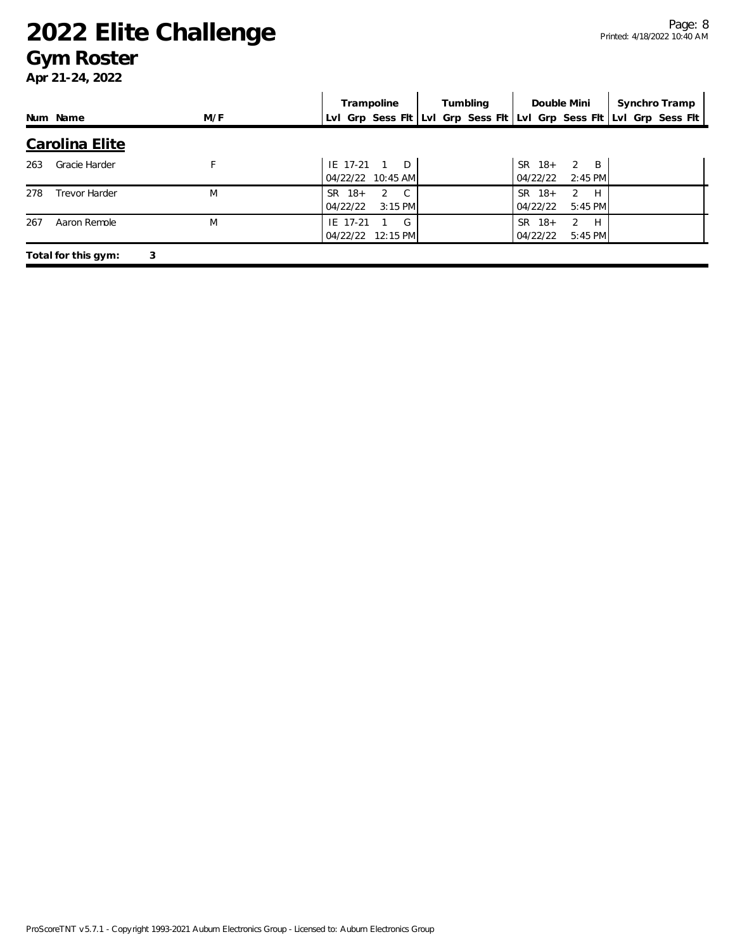#### **Gym Roster**

|     |                      |     | Trampoline                                           | Tumbling | Double Mini                                        | Synchro Tramp                                                       |
|-----|----------------------|-----|------------------------------------------------------|----------|----------------------------------------------------|---------------------------------------------------------------------|
|     | Num Name             | M/F |                                                      |          |                                                    | Lvl Grp Sess Flt Lvl Grp Sess Flt Lvl Grp Sess Flt Lvl Grp Sess Flt |
|     | Carolina Elite       |     |                                                      |          |                                                    |                                                                     |
| 263 | Gracie Harder        |     | $\Box$<br>IE 17-21<br>04/22/22 10:45 AM              |          | $2 \quad B$<br>$SR \t18+$<br>04/22/22<br>$2:45$ PM |                                                                     |
| 278 | <b>Trevor Harder</b> | M   | $\mathbb{C}$<br>SR 18+<br>2<br>04/22/22<br>$3:15$ PM |          | $SR$ 18+<br>H<br>2<br>$5:45$ PM<br>04/22/22        |                                                                     |
| 267 | Aaron Remole         | M   | IE 17-21<br>G<br>04/22/22<br>$12:15$ PM              |          | $SR$ 18+<br>2<br>H<br>04/22/22<br>5:45 PM          |                                                                     |
|     | Total for this gym:  | 3   |                                                      |          |                                                    |                                                                     |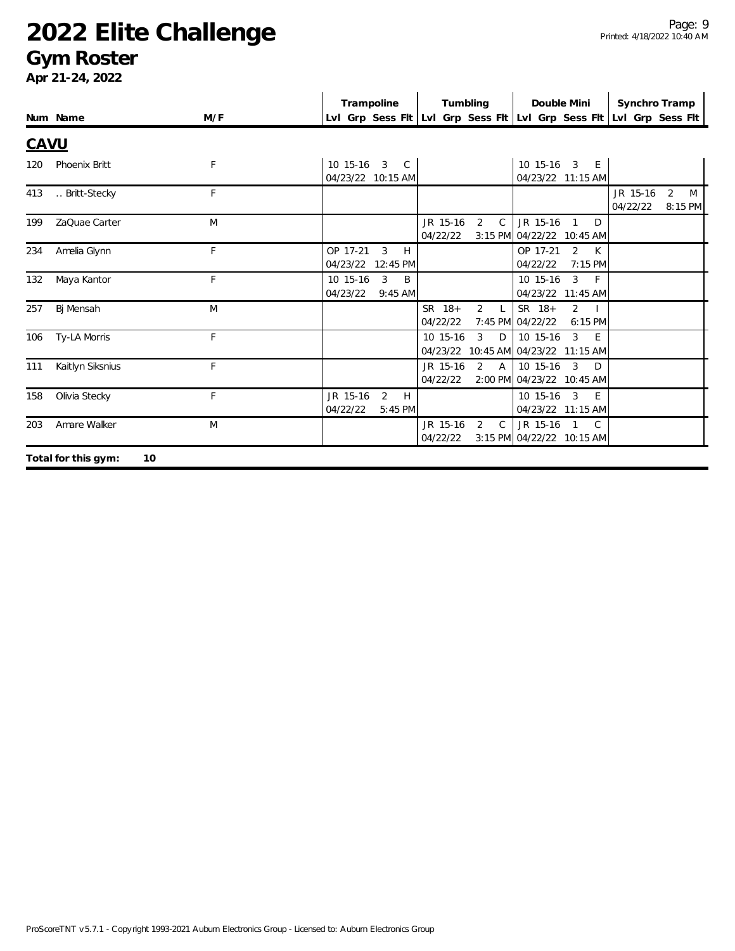### **Gym Roster**

|             |                           |     | Trampoline                                  | Tumbling                                             | Double Mini                                                 | Synchro Tramp                                                       |
|-------------|---------------------------|-----|---------------------------------------------|------------------------------------------------------|-------------------------------------------------------------|---------------------------------------------------------------------|
|             | Num Name                  | M/F |                                             |                                                      |                                                             | Lvl Grp Sess Fit Lvl Grp Sess Fit Lvl Grp Sess Fit Lvl Grp Sess Fit |
| <b>CAVU</b> |                           |     |                                             |                                                      |                                                             |                                                                     |
| 120         | Phoenix Britt             | F   | 10 15-16 3 C<br>04/23/22 10:15 AM           |                                                      | 10 15-16 3 E<br>04/23/22 11:15 AM                           |                                                                     |
| 413         | Britt-Stecky              | F   |                                             |                                                      |                                                             | JR 15-16<br>2<br>M<br>04/22/22<br>8:15 PM                           |
| 199         | ZaQuae Carter             | M   |                                             | JR 15-16<br>2<br>$\mathsf{C}$<br>04/22/22            | JR 15-16 1<br>D<br>3:15 PM 04/22/22 10:45 AM                |                                                                     |
| 234         | Amelia Glynn              | F   | OP 17-21<br>3<br>H<br>04/23/22<br>12:45 PM  |                                                      | OP 17-21<br>2 K<br>7:15 PM<br>04/22/22                      |                                                                     |
| 132         | Maya Kantor               | F   | 3<br>B<br>10 15-16<br>04/23/22<br>$9:45$ AM |                                                      | $\mathbf{3}$<br>10 15-16<br>$-F$<br>04/23/22 11:45 AM       |                                                                     |
| 257         | Bj Mensah                 | M   |                                             | SR 18+<br>$\overline{2}$<br>$\mathsf{L}$<br>04/22/22 | SR 18+<br>$\overline{2}$<br>7:45 PM 04/22/22<br>6:15 PM     |                                                                     |
| 106         | Ty-LA Morris              | F   |                                             | 10 15-16<br>$\mathbf{3}$<br>D<br>04/23/22            | $\mathbf{3}$<br>10 15-16<br>E<br>10:45 AM 04/23/22 11:15 AM |                                                                     |
| 111         | Kaitlyn Siksnius          | F   |                                             | JR 15-16<br>2<br>$\mathsf{A}$<br>04/22/22            | $10$ 15-16 3<br>D<br>2:00 PM 04/23/22 10:45 AM              |                                                                     |
| 158         | Olivia Stecky             | F   | JR 15-16<br>2<br>H<br>04/22/22<br>5:45 PM   |                                                      | 10 15-16 3<br>E<br>04/23/22 11:15 AM                        |                                                                     |
| 203         | Amare Walker              | M   |                                             | JR 15-16<br>2<br>$\mathsf{C}$<br>04/22/22            | JR 15-16 1 C<br>3:15 PM 04/22/22 10:15 AM                   |                                                                     |
|             | Total for this gym:<br>10 |     |                                             |                                                      |                                                             |                                                                     |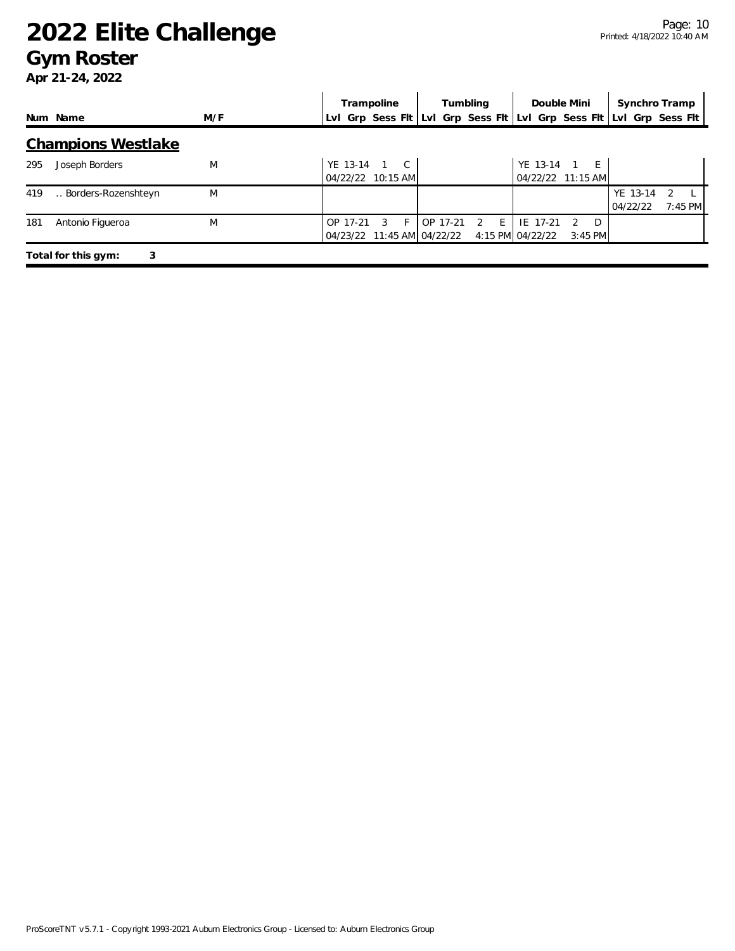### **Gym Roster**

|     |                           |     | Trampoline                                  | Tumbling           | Double Mini                                                         | Synchro Tramp                                    |
|-----|---------------------------|-----|---------------------------------------------|--------------------|---------------------------------------------------------------------|--------------------------------------------------|
|     | Num Name                  | M/F |                                             |                    | Lvl Grp Sess Fit Lvl Grp Sess Fit Lvl Grp Sess Fit Lvl Grp Sess Fit |                                                  |
|     | <b>Champions Westlake</b> |     |                                             |                    |                                                                     |                                                  |
| 295 | Joseph Borders            | M   | YE 13-14<br>1 C<br>04/22/22 10:15 AM        |                    | YE 13-14<br>$1 \quad F$<br>04/22/22 11:15 AM                        |                                                  |
| 419 | Borders-Rozenshteyn       | M   |                                             |                    |                                                                     | YE 13-14<br>$\mathcal{L}$<br>7:45 PM<br>04/22/22 |
| 181 | Antonio Figueroa          | M   | OP 17-21<br>3<br>04/23/22 11:45 AM 04/22/22 | 17-21<br>E.<br>OP. | IE 17-21<br>D<br>4:15 PM 04/22/22<br>$3:45$ PM                      |                                                  |
|     | 3<br>Total for this gym:  |     |                                             |                    |                                                                     |                                                  |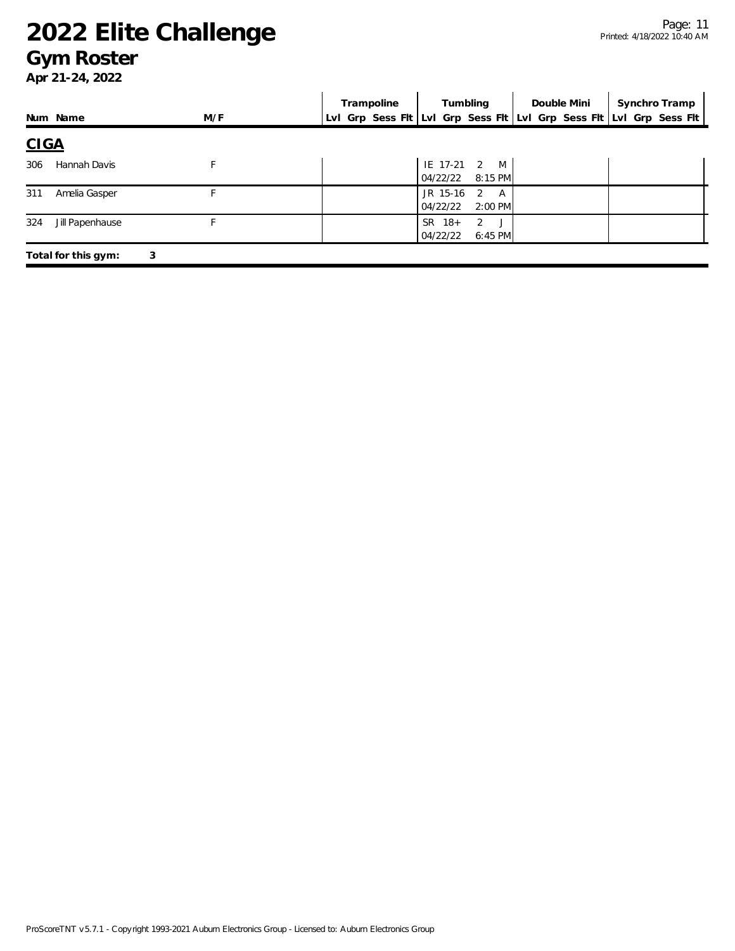#### **Gym Roster**

|             |                          |     |  | Trampoline                                                          |                      |          | Tumbling                  |  | Double Mini |  | Synchro Tramp |
|-------------|--------------------------|-----|--|---------------------------------------------------------------------|----------------------|----------|---------------------------|--|-------------|--|---------------|
|             | Num Name                 | M/F |  | Lvl Grp Sess Fit Lvl Grp Sess Fit Lvl Grp Sess Fit Lvl Grp Sess Fit |                      |          |                           |  |             |  |               |
| <b>CIGA</b> |                          |     |  |                                                                     |                      |          |                           |  |             |  |               |
| 306         | Hannah Davis             |     |  |                                                                     |                      | 04/22/22 | IE 17-21 2 M<br>$8:15$ PM |  |             |  |               |
| 311         | Amelia Gasper            | F.  |  |                                                                     | 04/22/22             | JR 15-16 | 2 A<br>$2:00$ PM          |  |             |  |               |
| 324         | Jill Papenhause          |     |  |                                                                     | $SR$ 18+<br>04/22/22 |          | 2J<br>6:45 PM             |  |             |  |               |
|             | 3<br>Total for this gym: |     |  |                                                                     |                      |          |                           |  |             |  |               |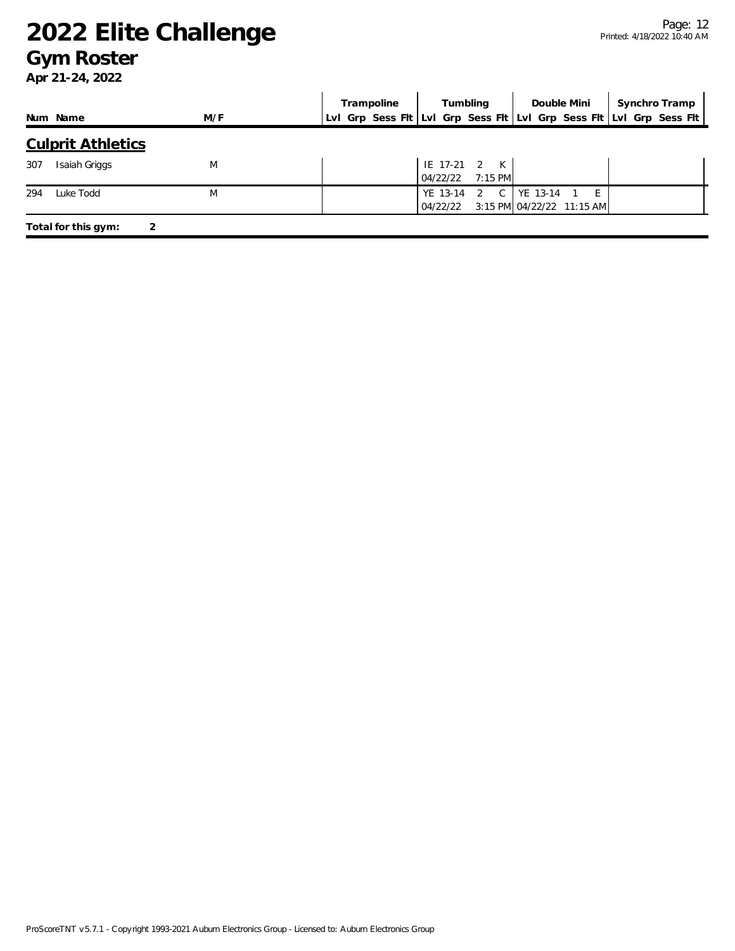#### **Gym Roster**

|                          |     | Trampoline | Tumbling                         | Double Mini                        | Synchro Tramp                                                       |
|--------------------------|-----|------------|----------------------------------|------------------------------------|---------------------------------------------------------------------|
| Num Name                 | M/F |            |                                  |                                    | LvI Grp Sess FIt LvI Grp Sess FIt LvI Grp Sess FIt LvI Grp Sess FIt |
| <b>Culprit Athletics</b> |     |            |                                  |                                    |                                                                     |
| 307<br>Isaiah Griggs     | M   |            | IE 17-21 2 K<br>04/22/22 7:15 PM |                                    |                                                                     |
| Luke Todd<br>294         | M   |            | YE 13-14 2 C   YE 13-14 1 E      | 04/22/22 3:15 PM 04/22/22 11:15 AM |                                                                     |
| Total for this gym:      | 2   |            |                                  |                                    |                                                                     |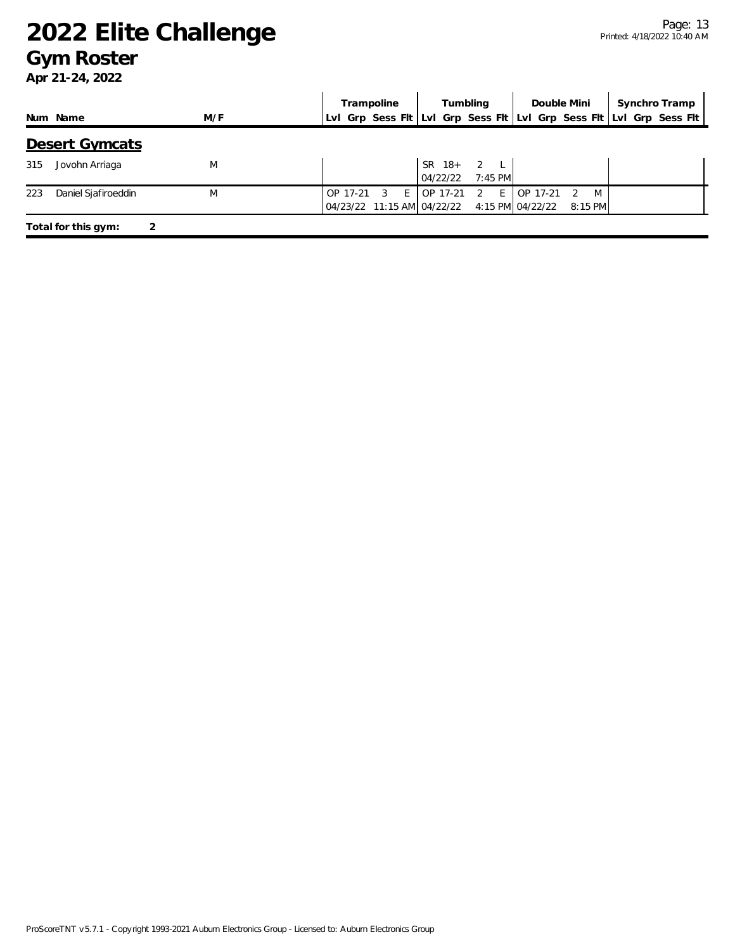#### **Gym Roster**

|                            |     | Trampoline                                               | Tumbling                                                                 | Double Mini                | Synchro Tramp                                                       |
|----------------------------|-----|----------------------------------------------------------|--------------------------------------------------------------------------|----------------------------|---------------------------------------------------------------------|
| Num Name                   | M/F |                                                          |                                                                          |                            | LvI Grp Sess Fit LvI Grp Sess Fit LvI Grp Sess Fit LvI Grp Sess Fit |
| Desert Gymcats             |     |                                                          |                                                                          |                            |                                                                     |
| Jovohn Arriaga<br>315      | M   |                                                          | SR 18+ 2 L<br>$7:45$ PM<br>04/22/22                                      |                            |                                                                     |
| 223<br>Daniel Sjafiroeddin | M   | $\overline{\mathbf{3}}$<br>$E \rightarrow 0$<br>OP 17-21 | $E_{\perp}$<br>OP 17-21 2<br>04/23/22 11:15 AM 04/22/22 4:15 PM 04/22/22 | OP 17-21<br>M<br>$8:15$ PM |                                                                     |
| Total for this gym:        |     |                                                          |                                                                          |                            |                                                                     |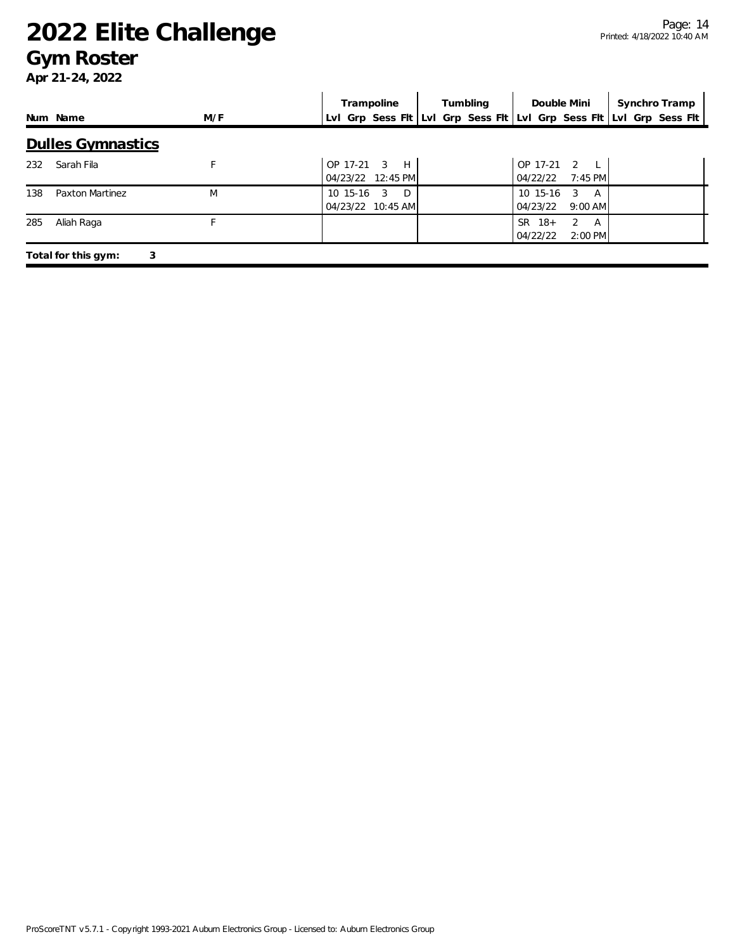#### **Gym Roster**

|     |                          |     | Trampoline                                          | Tumbling | Double Mini                                    | Synchro Tramp                                                       |
|-----|--------------------------|-----|-----------------------------------------------------|----------|------------------------------------------------|---------------------------------------------------------------------|
|     | Num Name                 | M/F |                                                     |          |                                                | Lvl Grp Sess Fit Lvl Grp Sess Fit Lvl Grp Sess Fit Lvl Grp Sess Fit |
|     | <b>Dulles Gymnastics</b> |     |                                                     |          |                                                |                                                                     |
| 232 | Sarah Fila               |     | OP 17-21<br>$\mathcal{R}$<br>H<br>04/23/22 12:45 PM |          | OP 17-21 2<br>$7:45$ PM<br>04/22/22            |                                                                     |
| 138 | Paxton Martinez          | M   | 10 15-16<br>D<br>3<br>04/23/22 10:45 AM             |          | $10, 15-16$<br>3<br>A<br>04/23/22<br>$9:00$ AM |                                                                     |
| 285 | Aliah Raga               |     |                                                     |          | SR.<br>$18+$<br>2<br>A<br>04/22/22<br>2:00 PM  |                                                                     |
|     | 3<br>Total for this gym: |     |                                                     |          |                                                |                                                                     |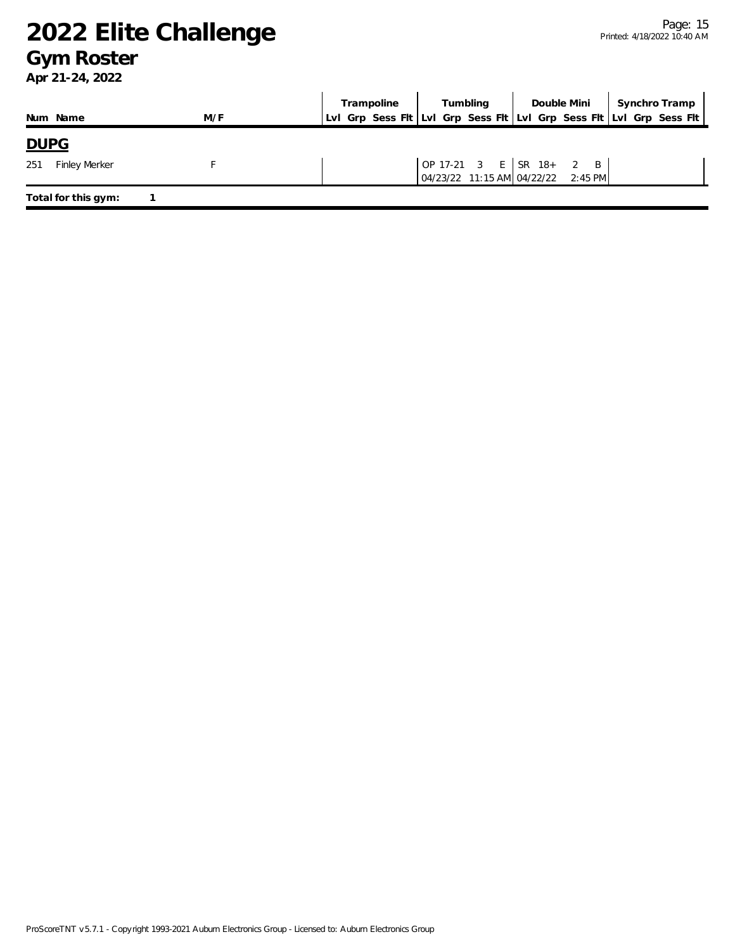#### **Gym Roster**

|                             |     | Trampoline Tumbling Double Mini Synchro Tramp<br>LvI Grp Sess Flt LvI Grp Sess Flt LvI Grp Sess Flt LvI Grp Sess Flt                                  |  |  |  |  |  |
|-----------------------------|-----|-------------------------------------------------------------------------------------------------------------------------------------------------------|--|--|--|--|--|
| Num Name                    | M/F |                                                                                                                                                       |  |  |  |  |  |
| <b>DUPG</b>                 |     |                                                                                                                                                       |  |  |  |  |  |
| <b>Finley Merker</b><br>251 |     | $\begin{array}{ cccc } \text{OP} & 17-21 & 3 & \text{E} & \text{SR} & 18+ & 2 & \text{B} \\ 04/23/22 & 11:15 & AM & 04/22/22 & 2:45 & PM \end{array}$ |  |  |  |  |  |
| Total for this gym:         |     |                                                                                                                                                       |  |  |  |  |  |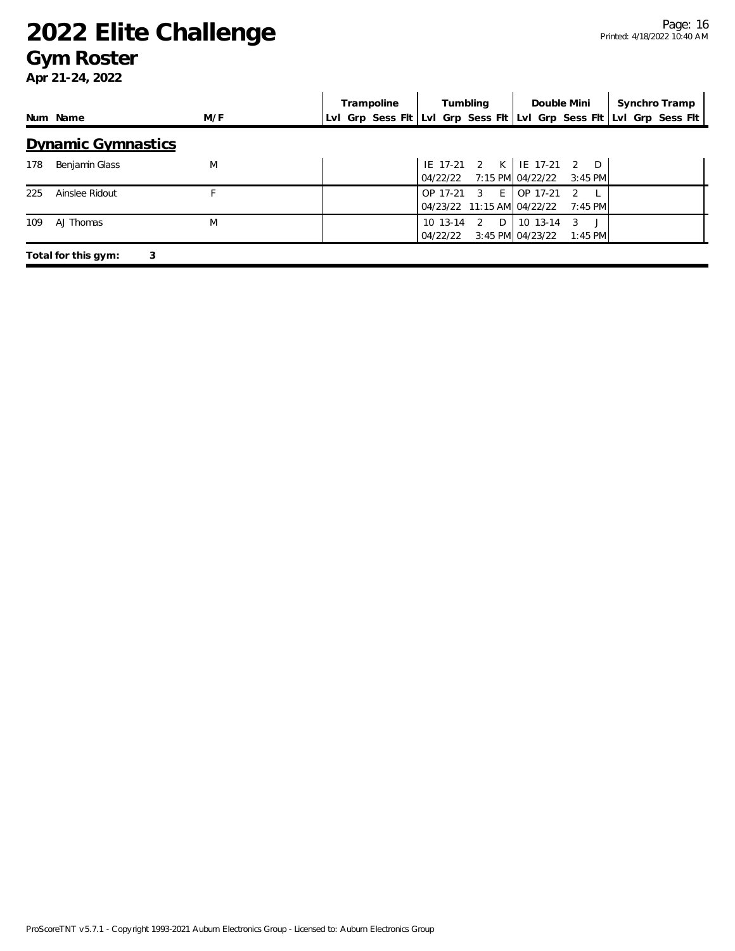#### **Gym Roster**

|     |                           |     | Trampoline | Tumbling                                   | Double Mini                                                      | Synchro Tramp                                                       |  |
|-----|---------------------------|-----|------------|--------------------------------------------|------------------------------------------------------------------|---------------------------------------------------------------------|--|
|     | Num Name                  | M/F |            |                                            |                                                                  | Lvl Grp Sess Flt Lvl Grp Sess Flt Lvl Grp Sess Flt Lvl Grp Sess Flt |  |
|     | <b>Dynamic Gymnastics</b> |     |            |                                            |                                                                  |                                                                     |  |
| 178 | Benjamin Glass            | M   |            |                                            | IE 17-21 2 K   IE 17-21 2 D<br>04/22/22 7:15 PM 04/22/22 3:45 PM |                                                                     |  |
| 225 | Ainslee Ridout            |     |            | OP 17-21 3 E<br>04/23/22 11:15 AM 04/22/22 | OP 17-21<br>7:45 PM                                              |                                                                     |  |
| 109 | AJ Thomas                 | M   |            | 10 13-14 2 D<br>04/22/22                   | 10 13-14<br>3<br>3:45 PM 04/23/22<br>$1:45$ PM                   |                                                                     |  |
|     | 3<br>Total for this gym:  |     |            |                                            |                                                                  |                                                                     |  |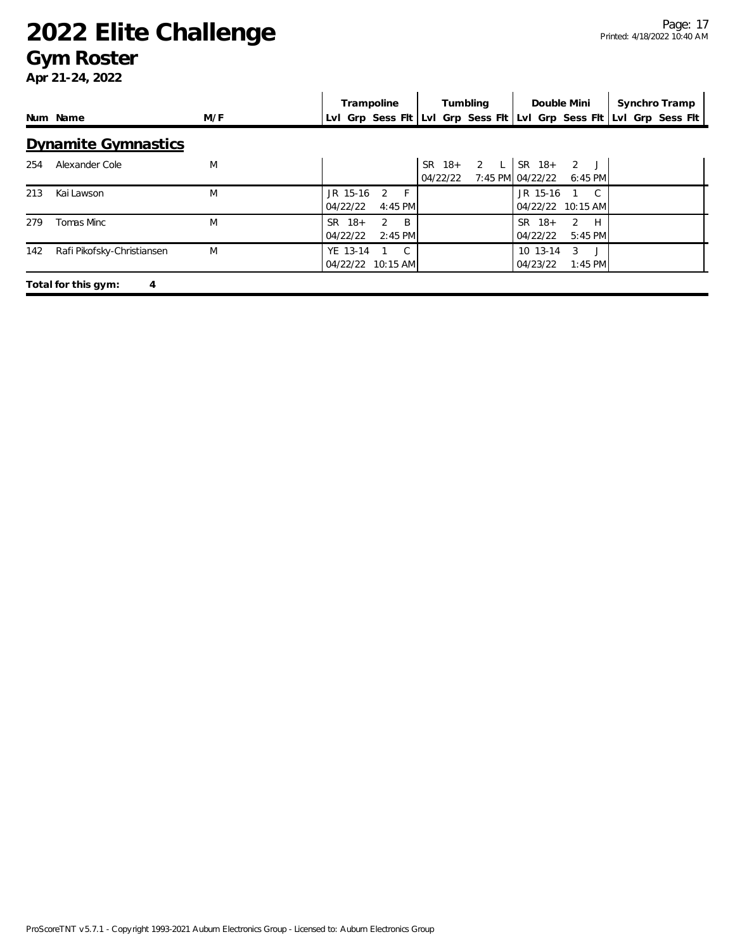### **Gym Roster**

|     |                            |     |                      | Trampoline                        | Tumbling |          | Double Mini |                              | Synchro Tramp     |                                                                     |
|-----|----------------------------|-----|----------------------|-----------------------------------|----------|----------|-------------|------------------------------|-------------------|---------------------------------------------------------------------|
|     | Num Name                   | M/F |                      |                                   |          |          |             |                              |                   | Lvl Grp Sess Flt Lvl Grp Sess Flt Lvl Grp Sess Flt Lvl Grp Sess Flt |
|     | <b>Dynamite Gymnastics</b> |     |                      |                                   |          |          |             |                              |                   |                                                                     |
| 254 | Alexander Cole             | M   |                      |                                   |          | 04/22/22 | SR 18+ 2 L  | $SR$ 18+<br>7:45 PM 04/22/22 | 2J<br>$6:45$ PM   |                                                                     |
| 213 | Kai Lawson                 | M   | JR 15-16<br>04/22/22 | $\mathcal{P}$<br>- F<br>$4:45$ PM |          |          |             | JR 15-16                     | 04/22/22 10:15 AM |                                                                     |
| 279 | Tomas Minc                 | M   | SR 18+<br>04/22/22   | 2<br>- B<br>$2:45$ PM             |          |          |             | $SR$ 18+<br>04/22/22         | 2 H<br>$5:45$ PM  |                                                                     |
| 142 | Rafi Pikofsky-Christiansen | M   | YE 13-14             | C.<br>04/22/22 10:15 AM           |          |          |             | 10 13-14<br>04/23/22         | 3<br>$1:45$ PM    |                                                                     |
|     | Total for this gym:<br>4   |     |                      |                                   |          |          |             |                              |                   |                                                                     |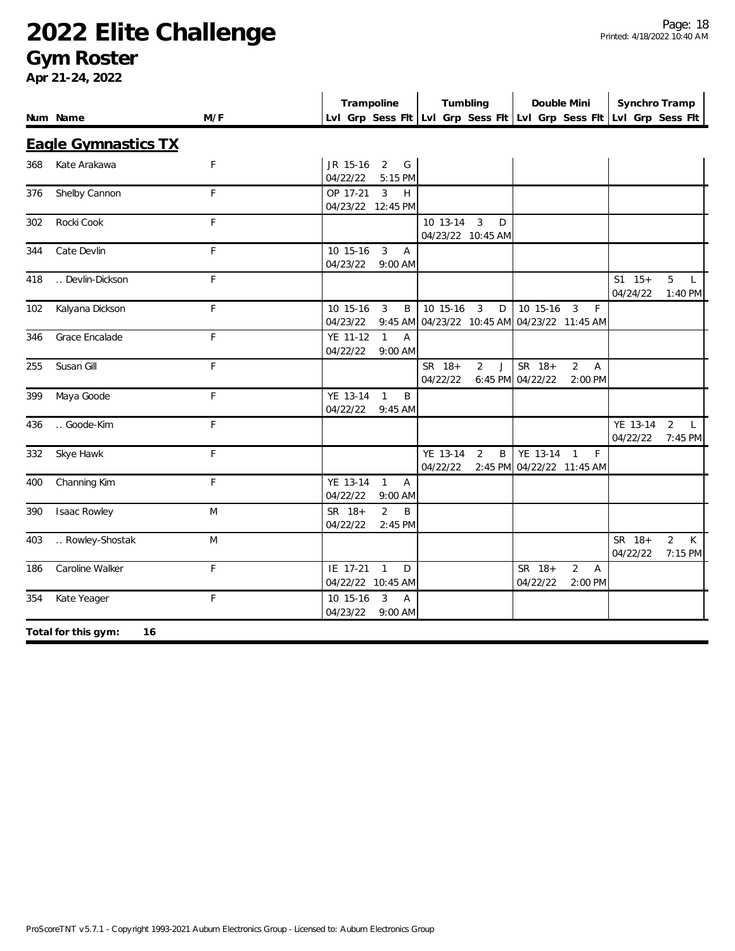#### **Gym Roster**

|     |                            |             | Trampoline                                                          | Tumbling                                                            | Double Mini                                                  | Synchro Tramp                                                |
|-----|----------------------------|-------------|---------------------------------------------------------------------|---------------------------------------------------------------------|--------------------------------------------------------------|--------------------------------------------------------------|
|     | Num Name                   | M/F         |                                                                     | Lvl Grp Sess Fit Lvl Grp Sess Fit Lvl Grp Sess Fit Lvl Grp Sess Fit |                                                              |                                                              |
|     | <b>Eagle Gymnastics TX</b> |             |                                                                     |                                                                     |                                                              |                                                              |
| 368 | Kate Arakawa               | F           | JR 15-16 2 G<br>04/22/22<br>5:15 PM                                 |                                                                     |                                                              |                                                              |
| 376 | Shelby Cannon              | $\mathsf F$ | OP 17-21<br>$\overline{3}$<br>H<br>04/23/22 12:45 PM                |                                                                     |                                                              |                                                              |
| 302 | Rocki Cook                 | $\mathsf F$ |                                                                     | 10 13-14 3<br>D<br>04/23/22 10:45 AM                                |                                                              |                                                              |
| 344 | Cate Devlin                | F           | 10 15-16<br>$\overline{3}$<br>$\overline{A}$<br>04/23/22<br>9:00 AM |                                                                     |                                                              |                                                              |
| 418 | Devlin-Dickson             | $\mathsf F$ |                                                                     |                                                                     |                                                              | $S1 \quad 15+$<br>5<br>$\mathsf{L}$<br>04/24/22<br>1:40 PM   |
| 102 | Kalyana Dickson            | $\mathsf F$ | 10 15-16<br>3<br>B<br>04/23/22                                      | 10 15-16<br>3<br>D<br>9:45 AM 04/23/22 10:45 AM 04/23/22 11:45 AM   | 10 15-16<br>$\overline{3}$<br>-F                             |                                                              |
| 346 | Grace Encalade             | $\mathsf F$ | $\mathbf{1}$<br>YE 11-12<br>Α<br>04/22/22<br>9:00 AM                |                                                                     |                                                              |                                                              |
| 255 | Susan Gill                 | $\mathsf F$ |                                                                     | SR 18+<br>2<br>J<br>04/22/22                                        | SR 18+<br>$\overline{2}$<br>A<br>6:45 PM 04/22/22<br>2:00 PM |                                                              |
| 399 | Maya Goode                 | $\mathsf F$ | YE 13-14<br>$\mathbf{1}$<br>B<br>04/22/22<br>$9:45$ AM              |                                                                     |                                                              |                                                              |
| 436 | Goode-Kim                  | F           |                                                                     |                                                                     |                                                              | YE 13-14<br>$\overline{2}$<br>$\perp$<br>04/22/22<br>7:45 PM |
| 332 | Skye Hawk                  | F           |                                                                     | B<br>YE 13-14<br>2<br>04/22/22                                      | YE 13-14 1<br>F<br>2:45 PM 04/22/22 11:45 AM                 |                                                              |
| 400 | Channing Kim               | F           | YE 13-14<br>$\overline{1}$<br>A<br>04/22/22<br>9:00 AM              |                                                                     |                                                              |                                                              |
| 390 | <b>Isaac Rowley</b>        | M           | SR 18+<br>$\overline{2}$<br>B<br>04/22/22<br>2:45 PM                |                                                                     |                                                              |                                                              |
| 403 | Rowley-Shostak             | M           |                                                                     |                                                                     |                                                              | $\overline{2}$<br>SR 18+<br>K<br>04/22/22<br>7:15 PM         |
| 186 | Caroline Walker            | $\mathsf F$ | IE 17-21<br>$\mathbf{1}$<br>D<br>04/22/22 10:45 AM                  |                                                                     | SR 18+<br>$\overline{2}$<br>Α<br>04/22/22<br>2:00 PM         |                                                              |
| 354 | Kate Yeager                | $\mathsf F$ | 3<br>10 15-16<br>A<br>04/23/22<br>9:00 AM                           |                                                                     |                                                              |                                                              |
|     | Total for this gym:<br>16  |             |                                                                     |                                                                     |                                                              |                                                              |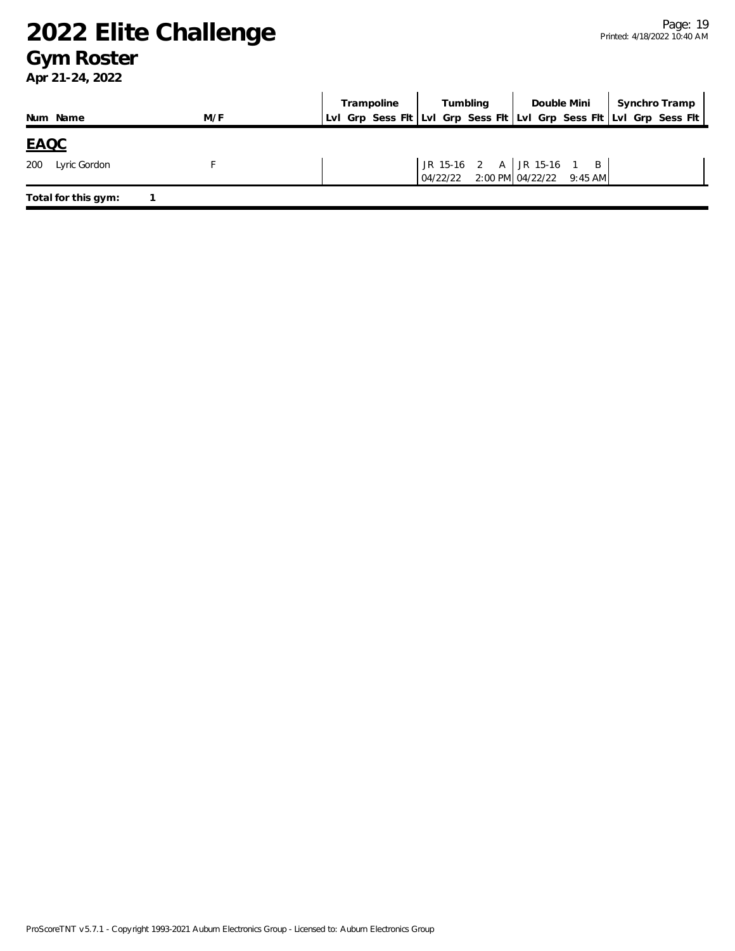#### **Gym Roster**

|                     |     | Trampoline Tumbling Double Mini Synchro Tramp<br>LvI Grp Sess Flt LvI Grp Sess Flt LvI Grp Sess Flt LvI Grp Sess Flt |  |  |  |                                                                |  |  |  |
|---------------------|-----|----------------------------------------------------------------------------------------------------------------------|--|--|--|----------------------------------------------------------------|--|--|--|
| Num Name            | M/F |                                                                                                                      |  |  |  |                                                                |  |  |  |
| <u>EAQC</u>         |     |                                                                                                                      |  |  |  |                                                                |  |  |  |
| 200<br>Lyric Gordon |     |                                                                                                                      |  |  |  | JR 15-16 2 A JR 15-16 1 B<br>04/22/22 2:00 PM 04/22/22 9:45 AM |  |  |  |
| Total for this gym: |     |                                                                                                                      |  |  |  |                                                                |  |  |  |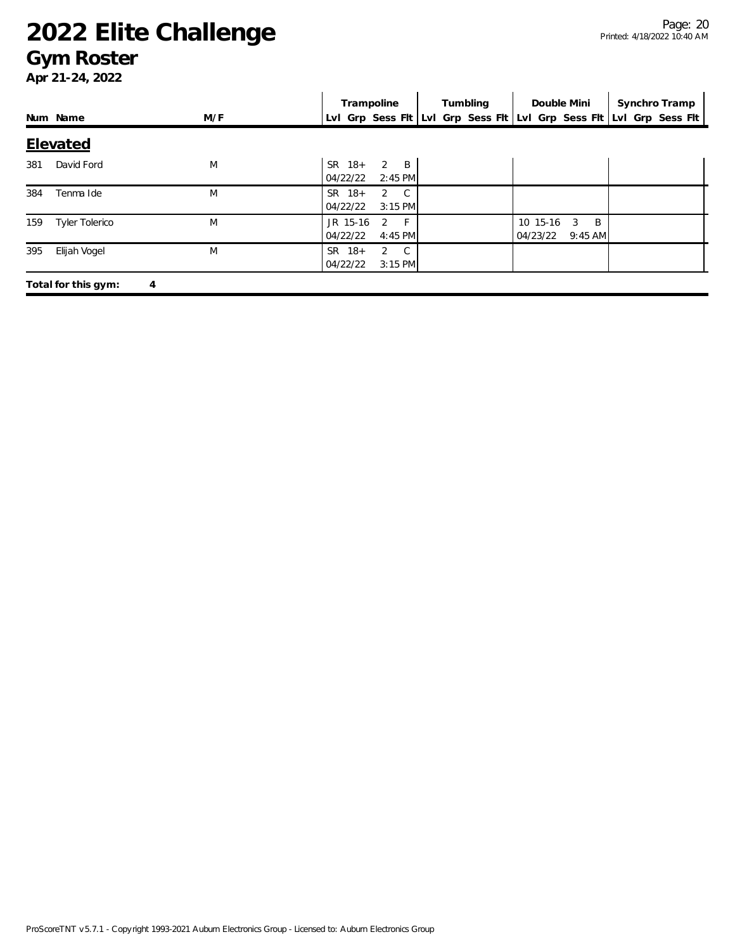#### **Gym Roster**

|     |                          |     | Trampoline                                       | Tumbling | Double Mini                                              | Synchro Tramp                                                       |  |  |  |  |
|-----|--------------------------|-----|--------------------------------------------------|----------|----------------------------------------------------------|---------------------------------------------------------------------|--|--|--|--|
|     | Num Name                 | M/F |                                                  |          |                                                          | Lvl Grp Sess Flt Lvl Grp Sess Flt Lvl Grp Sess Flt Lvl Grp Sess Flt |  |  |  |  |
|     | <b>Elevated</b>          |     |                                                  |          |                                                          |                                                                     |  |  |  |  |
| 381 | David Ford               | M   | $2 \quad B$<br>$SR$ 18+<br>04/22/22<br>$2:45$ PM |          |                                                          |                                                                     |  |  |  |  |
| 384 | Tenma Ide                | M   | $SR$ 18+<br>$2 \quad C$<br>04/22/22<br>$3:15$ PM |          |                                                          |                                                                     |  |  |  |  |
| 159 | <b>Tyler Tolerico</b>    | M   | $-F$<br>JR 15-16<br>2<br>04/22/22<br>4:45 PM     |          | $\overline{B}$<br>10 15-16<br>3<br>04/23/22<br>$9:45$ AM |                                                                     |  |  |  |  |
| 395 | Elijah Vogel             | M   | $SR$ 18+<br>$2 \quad C$<br>3:15 PM<br>04/22/22   |          |                                                          |                                                                     |  |  |  |  |
|     | Total for this gym:<br>4 |     |                                                  |          |                                                          |                                                                     |  |  |  |  |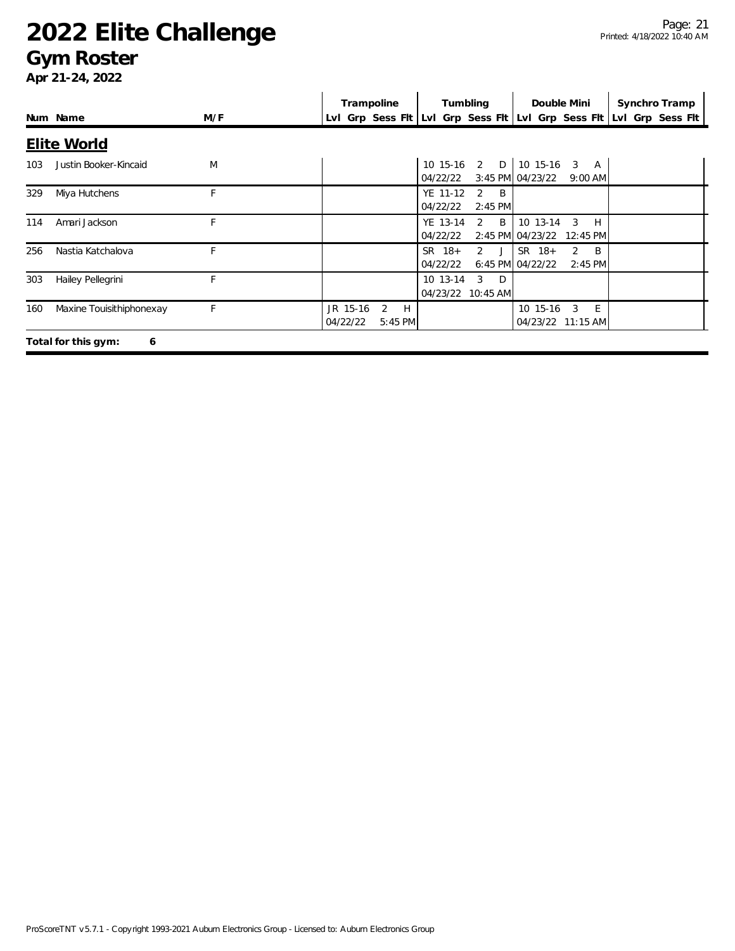#### **Gym Roster**

|     |                          |     | Trampoline                                  | Tumbling                                         | Double Mini                                                      | Synchro Tramp                                                       |
|-----|--------------------------|-----|---------------------------------------------|--------------------------------------------------|------------------------------------------------------------------|---------------------------------------------------------------------|
|     | Num Name                 | M/F |                                             |                                                  |                                                                  | LvI Grp Sess FIt LvI Grp Sess FIt LvI Grp Sess FIt LvI Grp Sess FIt |
|     | <b>Elite World</b>       |     |                                             |                                                  |                                                                  |                                                                     |
| 103 | Justin Booker-Kincaid    | M   |                                             | 10 15-16 2 D 10 15-16<br>04/22/22                | $\mathbf{3}$<br>A<br>3:45 PM 04/23/22<br>$9:00$ AM               |                                                                     |
| 329 | Miya Hutchens            | F   |                                             | YE 11-12<br>$2 \quad B$<br>04/22/22<br>$2:45$ PM |                                                                  |                                                                     |
| 114 | Amari Jackson            | F   |                                             | $2 \quad B$<br>YE 13-14<br>04/22/22              | 10 13-14<br>3<br>H<br>2:45 PM 04/23/22 12:45 PM                  |                                                                     |
| 256 | Nastia Katchalova        | F   |                                             | $SR$ 18+<br>2J<br>04/22/22                       | $SR$ 18+<br>B <sub>1</sub><br>2<br>6:45 PM 04/22/22<br>$2:45$ PM |                                                                     |
| 303 | Hailey Pellegrini        | F   |                                             | 10 13-14<br>-3<br>$\Box$<br>04/23/22 10:45 AM    |                                                                  |                                                                     |
| 160 | Maxine Touisithiphonexay | F   | JR 15-16<br>2<br>H<br>04/22/22<br>$5:45$ PM |                                                  | E<br>10 15-16<br>3<br>04/23/22 11:15 AM                          |                                                                     |
|     | Total for this gym:<br>6 |     |                                             |                                                  |                                                                  |                                                                     |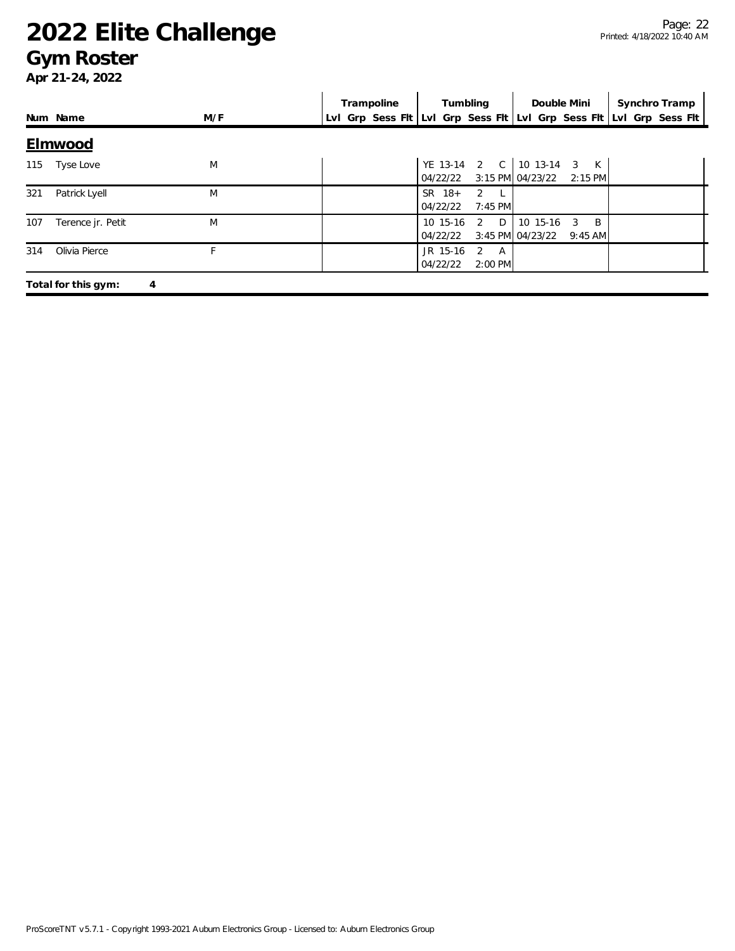#### **Gym Roster**

|     |                          |     | Trampoline | Tumbling                                     | Double Mini                                         | Synchro Tramp                                                       |  |  |  |  |
|-----|--------------------------|-----|------------|----------------------------------------------|-----------------------------------------------------|---------------------------------------------------------------------|--|--|--|--|
|     | Num Name                 | M/F |            |                                              |                                                     | Lvl Grp Sess Fit Lvl Grp Sess Fit Lvl Grp Sess Fit Lvl Grp Sess Fit |  |  |  |  |
|     | <b>Elmwood</b>           |     |            |                                              |                                                     |                                                                     |  |  |  |  |
| 115 | Tyse Love                | M   |            | YE 13-14 2 C 10 13-14 3<br>04/22/22          | K<br>3:15 PM 04/23/22 2:15 PM                       |                                                                     |  |  |  |  |
| 321 | Patrick Lyell            | M   |            | $SR$ 18+<br>$2 \perp$<br>04/22/22<br>7:45 PM |                                                     |                                                                     |  |  |  |  |
| 107 | Terence jr. Petit        | M   |            | D<br>10 15-16<br>2<br>04/22/22               | B<br>10 15-16<br>3<br>3:45 PM 04/23/22<br>$9:45$ AM |                                                                     |  |  |  |  |
| 314 | Olivia Pierce            | Е   |            | JR 15-16<br>2 A<br>04/22/22<br>2:00 PM       |                                                     |                                                                     |  |  |  |  |
|     | Total for this gym:<br>4 |     |            |                                              |                                                     |                                                                     |  |  |  |  |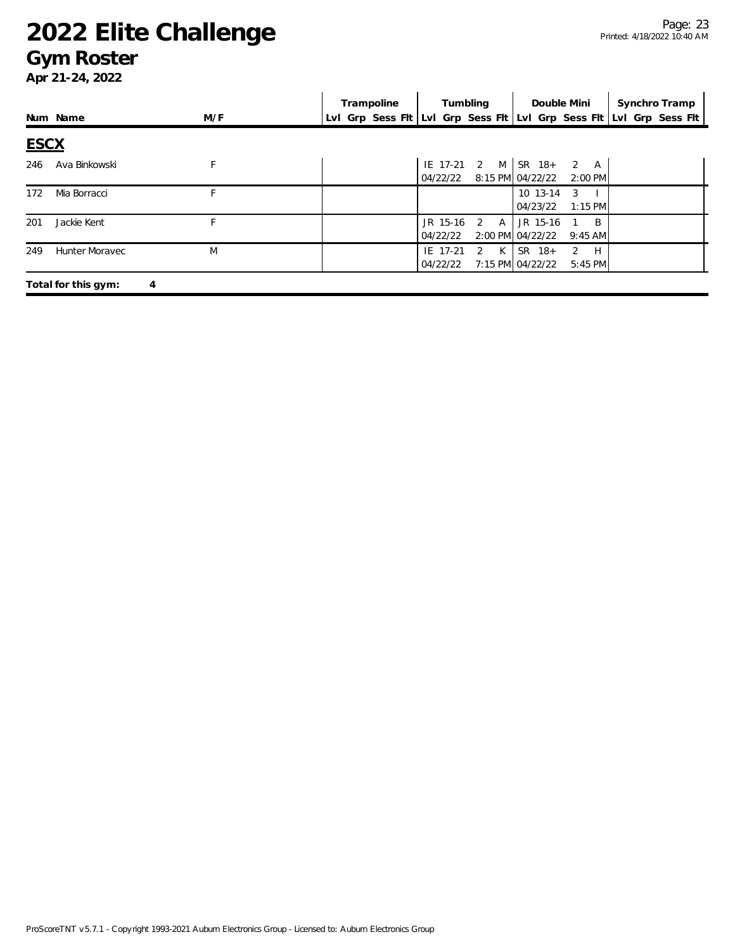#### **Gym Roster**

|             |                          |     | Trampoline | Tumbling                                                            | Double Mini                                                  | Synchro Tramp |  |
|-------------|--------------------------|-----|------------|---------------------------------------------------------------------|--------------------------------------------------------------|---------------|--|
|             | Num Name                 | M/F |            | Lvl Grp Sess Fit Lvl Grp Sess Fit Lvl Grp Sess Fit Lvl Grp Sess Fit |                                                              |               |  |
| <b>ESCX</b> |                          |     |            |                                                                     |                                                              |               |  |
| 246         | Ava Binkowski            | F   |            | IE 17-21 2 M SR 18+<br>04/22/22                                     | 2 A<br>8:15 PM 04/22/22<br>2:00 PM                           |               |  |
| 172         | Mia Borracci             | F   |            |                                                                     | 10 13-14<br>3<br>04/23/22<br>$1:15$ PM                       |               |  |
| 201         | Jackie Kent              | F   |            | JR 15-16<br>2 A<br>04/22/22                                         | JR 15-16<br>B<br>2:00 PM 04/22/22<br>$9:45$ AM               |               |  |
| 249         | <b>Hunter Moravec</b>    | M   |            | 2 K<br>IE 17-21<br>04/22/22                                         | SR 18+<br>$\overline{2}$<br>H<br>7:15 PM 04/22/22<br>5:45 PM |               |  |
|             | Total for this gym:<br>4 |     |            |                                                                     |                                                              |               |  |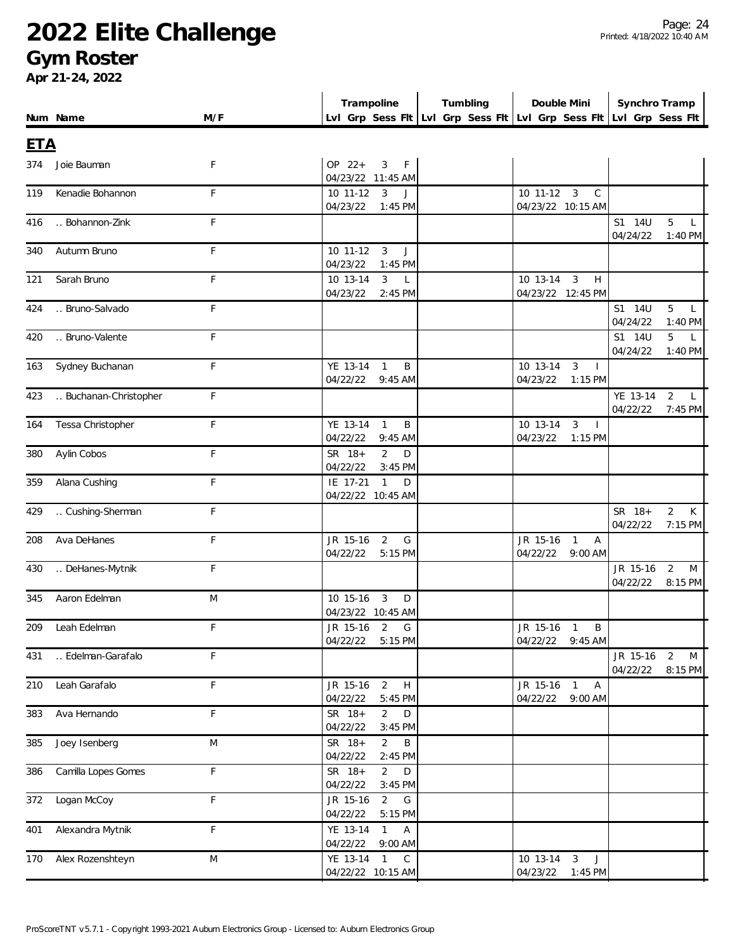#### **Gym Roster**

|     |                       |             | Trampoline                                                      | Tumbling                                                            | Double Mini                                                         | Synchro Tramp          |                                |  |
|-----|-----------------------|-------------|-----------------------------------------------------------------|---------------------------------------------------------------------|---------------------------------------------------------------------|------------------------|--------------------------------|--|
|     | Num Name              | M/F         |                                                                 | Lvl Grp Sess Fit Lvl Grp Sess Fit Lvl Grp Sess Fit Lvl Grp Sess Fit |                                                                     |                        |                                |  |
| ETA |                       |             |                                                                 |                                                                     |                                                                     |                        |                                |  |
| 374 | Joie Bauman           | F           | OP 22+<br>3<br>F<br>04/23/22 11:45 AM                           |                                                                     |                                                                     |                        |                                |  |
| 119 | Kenadie Bohannon      | F           | 10 11-12<br>$\overline{\mathbf{3}}$<br>J<br>04/23/22<br>1:45 PM |                                                                     | $10$ 11-12 3<br>$\mathsf{C}$<br>04/23/22 10:15 AM                   |                        |                                |  |
| 416 | Bohannon-Zink         | F           |                                                                 |                                                                     |                                                                     | S1 14U<br>04/24/22     | 5<br>$\mathsf{L}$<br>1:40 PM   |  |
| 340 | Autumn Bruno          | F           | 10 11-12<br>$\overline{3}$<br>J<br>04/23/22<br>1:45 PM          |                                                                     |                                                                     |                        |                                |  |
| 121 | Sarah Bruno           | F           | 10 13-14<br>$\mathbf{3}$<br>$\mathsf{L}$<br>04/23/22<br>2:45 PM |                                                                     | 10 13-14 3<br>H<br>04/23/22 12:45 PM                                |                        |                                |  |
| 424 | Bruno-Salvado         | F           |                                                                 |                                                                     |                                                                     | S1 14U<br>04/24/22     | 5<br>$\mathsf{L}$<br>1:40 PM   |  |
| 420 | Bruno-Valente         | F           |                                                                 |                                                                     |                                                                     | S1 14U<br>04/24/22     | 5<br>$1:40$ PM                 |  |
| 163 | Sydney Buchanan       | F           | YE 13-14 1<br>B<br>04/22/22<br>$9:45$ AM                        |                                                                     | $\mathbf{3}$<br>10 13-14<br>04/23/22<br>1:15 PM                     |                        |                                |  |
| 423 | Buchanan-Christopher  | F           |                                                                 |                                                                     |                                                                     | YE 13-14<br>04/22/22   | 2<br>L<br>7:45 PM              |  |
| 164 | Tessa Christopher     | $\mathsf F$ | YE 13-14<br>$\mathbf{1}$<br>B<br>04/22/22<br>$9:45$ AM          |                                                                     | 10 13-14<br>3<br>04/23/22<br>1:15 PM                                |                        |                                |  |
| 380 | Aylin Cobos           | $\mathsf F$ | SR 18+<br>$\overline{2}$<br>D<br>04/22/22<br>3:45 PM            |                                                                     |                                                                     |                        |                                |  |
| 359 | Alana Cushing         | $\mathsf F$ | IE 17-21<br>$\overline{1}$<br>D<br>04/22/22 10:45 AM            |                                                                     |                                                                     |                        |                                |  |
| 429 | Cushing-Sherman       | $\mathsf F$ |                                                                 |                                                                     |                                                                     | SR 18+<br>04/22/22     | $\overline{2}$<br>К<br>7:15 PM |  |
| 208 | Ava DeHanes           | $\mathsf F$ | JR 15-16<br>2<br>G<br>04/22/22<br>5:15 PM                       |                                                                     | JR 15-16<br>$\overline{1}$<br>$\overline{A}$<br>04/22/22<br>9:00 AM |                        |                                |  |
| 430 | DeHanes-Mytnik        | F           |                                                                 |                                                                     |                                                                     | JR 15-16<br>04/22/22   | 2<br>M<br>8:15 PM              |  |
| 345 | Aaron Edelman         | M           | 10 15-16<br>3<br>D<br>04/23/22 10:45 AM                         |                                                                     |                                                                     |                        |                                |  |
| 209 | Leah Edelman          | $\mathsf F$ | JR 15-16 2<br>G<br>04/22/22 5:15 PM                             |                                                                     | JR 15-16 1<br>B<br>04/22/22 9:45 AM                                 |                        |                                |  |
|     | 431  Edelman-Garafalo | $\mathsf F$ |                                                                 |                                                                     |                                                                     | JR 15-16 2<br>04/22/22 | ${\sf M}$<br>8:15 PM           |  |
| 210 | Leah Garafalo         | $\mathsf F$ | JR 15-16 2 H<br>04/22/22<br>5:45 PM                             |                                                                     | JR 15-16 1 A<br>04/22/22 9:00 AM                                    |                        |                                |  |
| 383 | Ava Hernando          | $\mathsf F$ | SR 18+<br>$\overline{2}$<br>D<br>04/22/22<br>3:45 PM            |                                                                     |                                                                     |                        |                                |  |
| 385 | Joey Isenberg         | M           | SR 18+<br>$\overline{2}$<br>Β<br>04/22/22<br>2:45 PM            |                                                                     |                                                                     |                        |                                |  |
| 386 | Camilla Lopes Gomes   | $\mathsf F$ | SR 18+<br>$\overline{2}$<br>D<br>04/22/22<br>$3:45$ PM          |                                                                     |                                                                     |                        |                                |  |
| 372 | Logan McCoy           | $\mathsf F$ | JR 15-16<br>2<br>G<br>04/22/22<br>5:15 PM                       |                                                                     |                                                                     |                        |                                |  |
| 401 | Alexandra Mytnik      | $\mathsf F$ | YE 13-14<br>$\overline{1}$<br>A<br>04/22/22 9:00 AM             |                                                                     |                                                                     |                        |                                |  |
| 170 | Alex Rozenshteyn      | M           | YE 13-14 1 C<br>04/22/22 10:15 AM                               |                                                                     | 10 13-14 3 J<br>04/23/22 1:45 PM                                    |                        |                                |  |
|     |                       |             |                                                                 |                                                                     |                                                                     |                        |                                |  |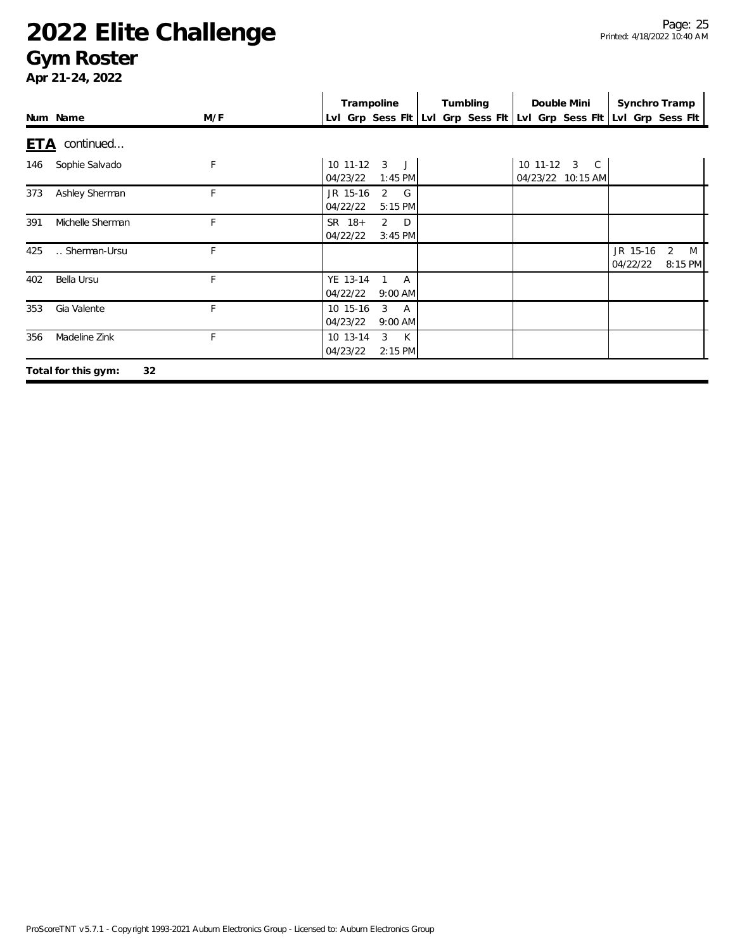### **Gym Roster**

|            |                           |     | Trampoline                                             | Tumbling | Double Mini                       | Synchro Tramp                                                       |
|------------|---------------------------|-----|--------------------------------------------------------|----------|-----------------------------------|---------------------------------------------------------------------|
|            | Num Name                  | M/F |                                                        |          |                                   | Lvl Grp Sess FIt Lvl Grp Sess FIt Lvl Grp Sess FIt Lvl Grp Sess FIt |
| <u>ETA</u> | continued                 |     |                                                        |          |                                   |                                                                     |
| 146        | Sophie Salvado            | F   | 10 11-12<br>$\mathbf{3}$<br>J<br>04/23/22<br>$1:45$ PM |          | 10 11-12 3 C<br>04/23/22 10:15 AM |                                                                     |
| 373        | Ashley Sherman            | F   | JR 15-16<br>2<br>$-$ G<br>04/22/22<br>$5:15$ PM        |          |                                   |                                                                     |
| 391        | Michelle Sherman          | F   | $2$ D<br>SR 18+<br>04/22/22<br>$3:45$ PM               |          |                                   |                                                                     |
| 425        | Sherman-Ursu              | F   |                                                        |          |                                   | JR 15-16<br>2<br>M<br>04/22/22<br>8:15 PM                           |
| 402        | Bella Ursu                | F   | YE 13-14<br>A<br>04/22/22<br>$9:00$ AM                 |          |                                   |                                                                     |
| 353        | Gia Valente               | F   | 3<br>10 15-16<br>A<br>04/23/22<br>$9:00$ AM            |          |                                   |                                                                     |
| 356        | Madeline Zink             | F   | K<br>3<br>10 13-14<br>04/23/22<br>$2:15$ PM            |          |                                   |                                                                     |
|            | 32<br>Total for this gym: |     |                                                        |          |                                   |                                                                     |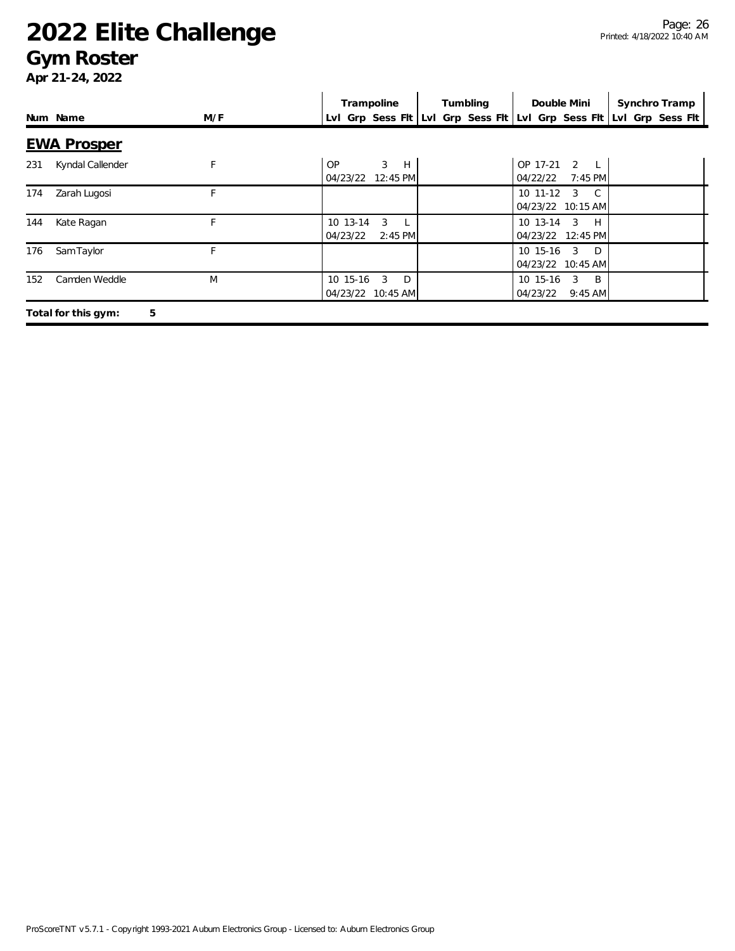#### **Gym Roster**

|     |                          |     | Trampoline                                                          | Tumbling | Double Mini                                                       | Synchro Tramp |
|-----|--------------------------|-----|---------------------------------------------------------------------|----------|-------------------------------------------------------------------|---------------|
|     | Num Name                 | M/F | Lvl Grp Sess Fit Lvl Grp Sess Fit Lvl Grp Sess Fit Lvl Grp Sess Fit |          |                                                                   |               |
|     | <b>EWA Prosper</b>       |     |                                                                     |          |                                                                   |               |
| 231 | Kyndal Callender         |     | $\mathbf{3}$<br>0P<br>H<br>04/23/22<br>12:45 PM                     |          | OP 17-21<br>2<br>$L^{-1}$<br>04/22/22<br>$7:45$ PM                |               |
| 174 | Zarah Lugosi             |     |                                                                     |          | 10 11-12<br>$\overline{3}$<br>$\overline{C}$<br>04/23/22 10:15 AM |               |
| 144 | Kate Ragan               | F   | 3<br>10 13-14<br>04/23/22<br>$2:45$ PM                              |          | $10$ 13-14 3<br>H<br>04/23/22 12:45 PM                            |               |
| 176 | Sam Taylor               | F   |                                                                     |          | $10$ 15-16 3<br>$\Box$<br>04/23/22 10:45 AM                       |               |
| 152 | Camden Weddle            | M   | 10 15-16<br>3<br>D<br>04/23/22 10:45 AM                             |          | 10 15-16<br>3<br>$\overline{B}$<br>04/23/22<br>$9:45$ AM          |               |
|     | 5<br>Total for this gym: |     |                                                                     |          |                                                                   |               |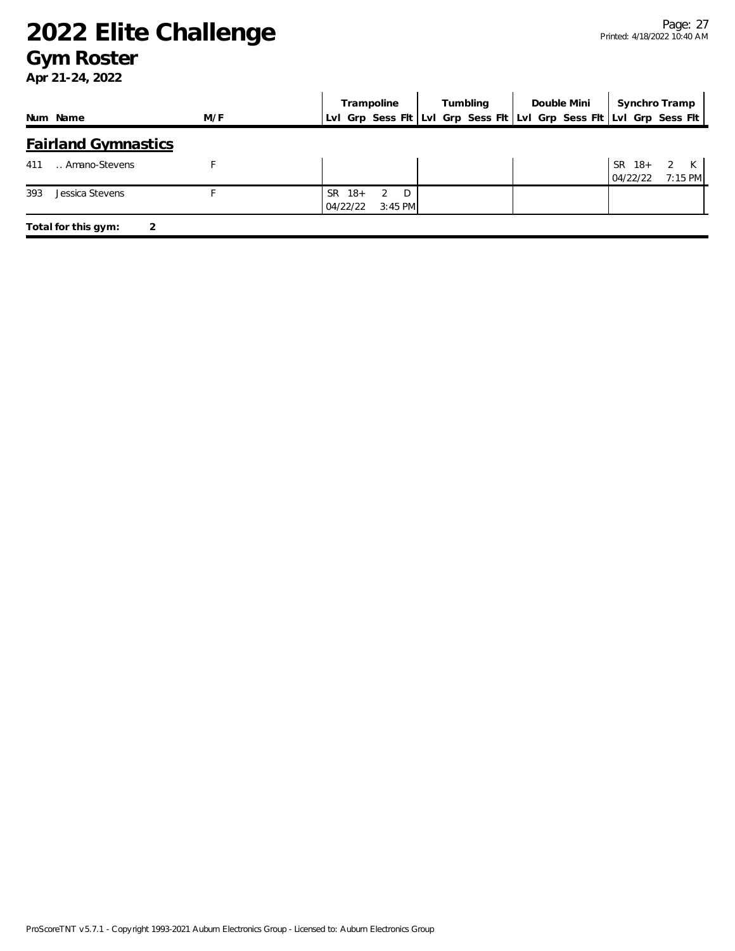#### **Gym Roster**

|                            |     | Trampoline                                                          |                                  | Tumbling | Double Mini | Synchro Tramp        |                              |
|----------------------------|-----|---------------------------------------------------------------------|----------------------------------|----------|-------------|----------------------|------------------------------|
| Num Name                   | M/F | Lvl Grp Sess Fit Lvl Grp Sess Fit Lvl Grp Sess Fit Lvl Grp Sess Fit |                                  |          |             |                      |                              |
| <b>Fairland Gymnastics</b> |     |                                                                     |                                  |          |             |                      |                              |
| Amano-Stevens<br>411       |     |                                                                     |                                  |          |             | $SR$ 18+<br>04/22/22 | $\mathbf{2}$<br>К<br>7:15 PM |
| 393<br>Jessica Stevens     |     | $SR$ 18+<br>04/22/22                                                | D.<br>$\mathcal{P}$<br>$3:45$ PM |          |             |                      |                              |
| Total for this gym:        | 2   |                                                                     |                                  |          |             |                      |                              |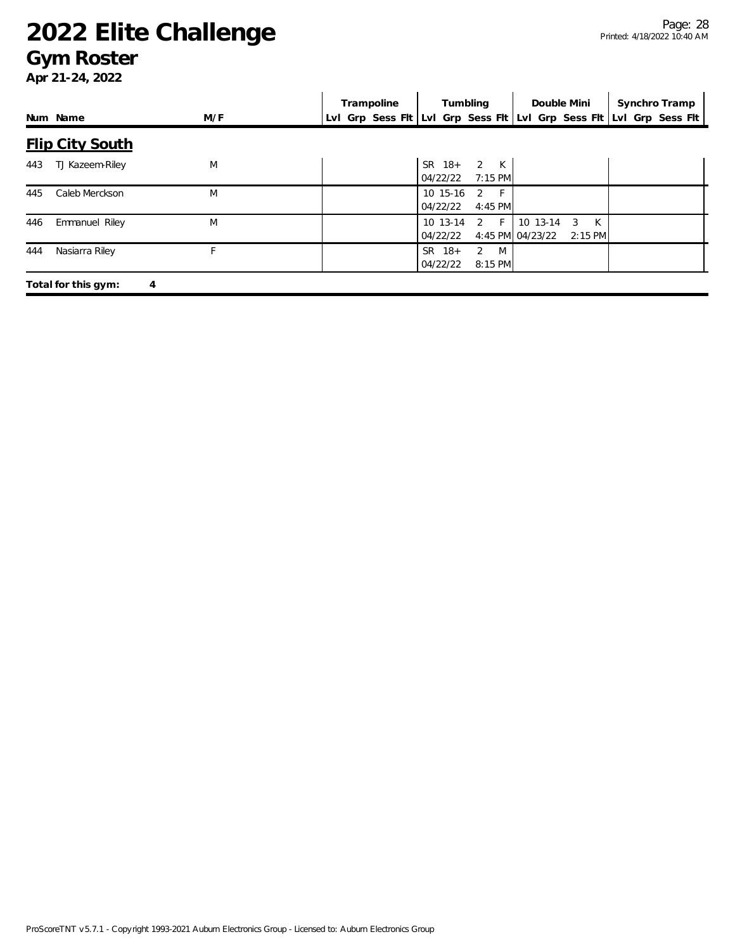#### **Gym Roster**

|     |                          |     | Trampoline | Tumbling                                  | Double Mini                                         | Synchro Tramp                                                       |
|-----|--------------------------|-----|------------|-------------------------------------------|-----------------------------------------------------|---------------------------------------------------------------------|
|     | Num Name                 | M/F |            |                                           |                                                     | Lvl Grp Sess Fit Lvl Grp Sess Fit Lvl Grp Sess Fit Lvl Grp Sess Fit |
|     | <b>Flip City South</b>   |     |            |                                           |                                                     |                                                                     |
| 443 | TJ Kazeem-Riley          | M   |            | 2 K<br>SR 18+<br>04/22/22<br>$7:15$ PM    |                                                     |                                                                     |
| 445 | Caleb Merckson           | M   |            | 10 15-16<br>2 F<br>04/22/22<br>4:45 PM    |                                                     |                                                                     |
| 446 | Emmanuel Riley           | M   |            | $2$ F<br>10 13-14<br>04/22/22             | 10 13-14<br>K<br>3<br>4:45 PM 04/23/22<br>$2:15$ PM |                                                                     |
| 444 | Nasiarra Riley           |     |            | 2<br>M<br>$SR$ 18+<br>04/22/22<br>8:15 PM |                                                     |                                                                     |
|     | Total for this gym:<br>4 |     |            |                                           |                                                     |                                                                     |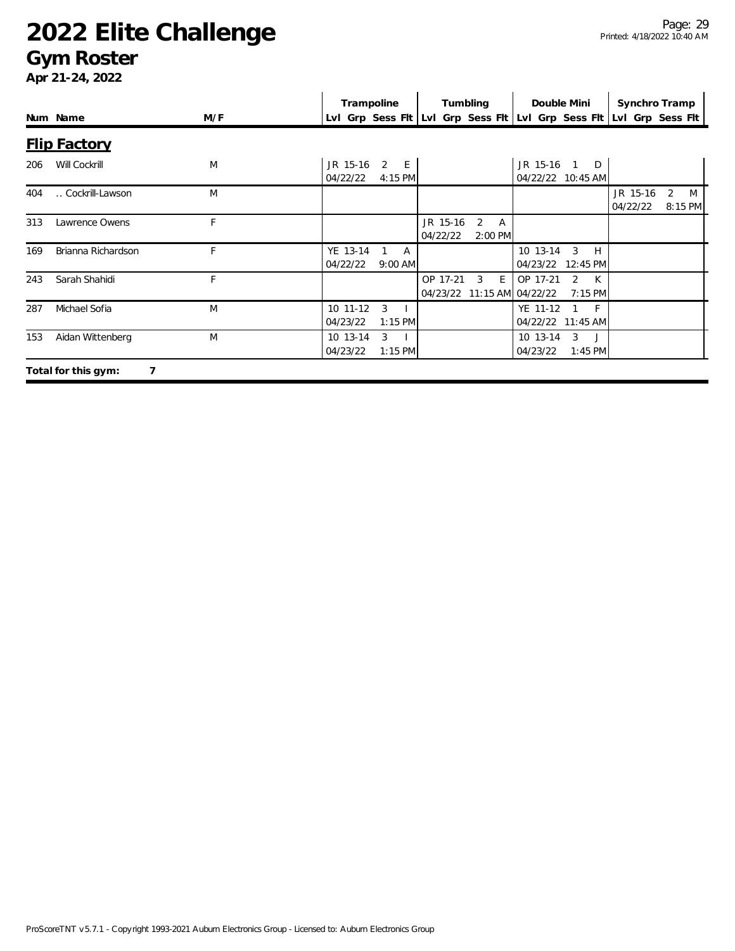#### **Gym Roster**

|     |                     |     | Trampoline                                                          |                      | Tumbling                               |                                  | Double Mini                     |                              | Synchro Tramp        |                     |  |
|-----|---------------------|-----|---------------------------------------------------------------------|----------------------|----------------------------------------|----------------------------------|---------------------------------|------------------------------|----------------------|---------------------|--|
|     | Num Name            | M/F | Lvl Grp Sess Flt Lvl Grp Sess Flt Lvl Grp Sess Flt Lvl Grp Sess Flt |                      |                                        |                                  |                                 |                              |                      |                     |  |
|     | <b>Flip Factory</b> |     |                                                                     |                      |                                        |                                  |                                 |                              |                      |                     |  |
| 206 | Will Cockrill       | M   | JR 15-16<br>04/22/22                                                | 2<br>$-E$<br>4:15 PM |                                        |                                  | JR 15-16 1<br>04/22/22 10:45 AM | D                            |                      |                     |  |
| 404 | Cockrill-Lawson     | M   |                                                                     |                      |                                        |                                  |                                 |                              | JR 15-16<br>04/22/22 | 2<br>M<br>$8:15$ PM |  |
| 313 | Lawrence Owens      | F   |                                                                     |                      | JR 15-16<br>04/22/22                   | 2<br>$\overline{A}$<br>$2:00$ PM |                                 |                              |                      |                     |  |
| 169 | Brianna Richardson  | F   | YE 13-14<br>04/22/22                                                | A<br>$9:00$ AM       |                                        |                                  | 10 13-14<br>04/23/22            | 3<br>H<br>12:45 PM           |                      |                     |  |
| 243 | Sarah Shahidi       | F   |                                                                     |                      | OP 17-21<br>04/23/22 11:15 AM 04/22/22 | E.<br>3                          | OP 17-21                        | 2<br>$\mathsf{K}$<br>7:15 PM |                      |                     |  |
| 287 | Michael Sofia       | M   | $10$ 11-12<br>04/23/22                                              | 3<br>$1:15$ PM       |                                        |                                  | YE 11-12<br>04/22/22 11:45 AM   | - F                          |                      |                     |  |
| 153 | Aidan Wittenberg    | M   | 10 13-14<br>04/23/22                                                | 3<br>$1:15$ PM       |                                        |                                  | 10 13-14<br>04/23/22            | 3<br>$\Box$<br>$1:45$ PM     |                      |                     |  |
|     | Total for this gym: |     |                                                                     |                      |                                        |                                  |                                 |                              |                      |                     |  |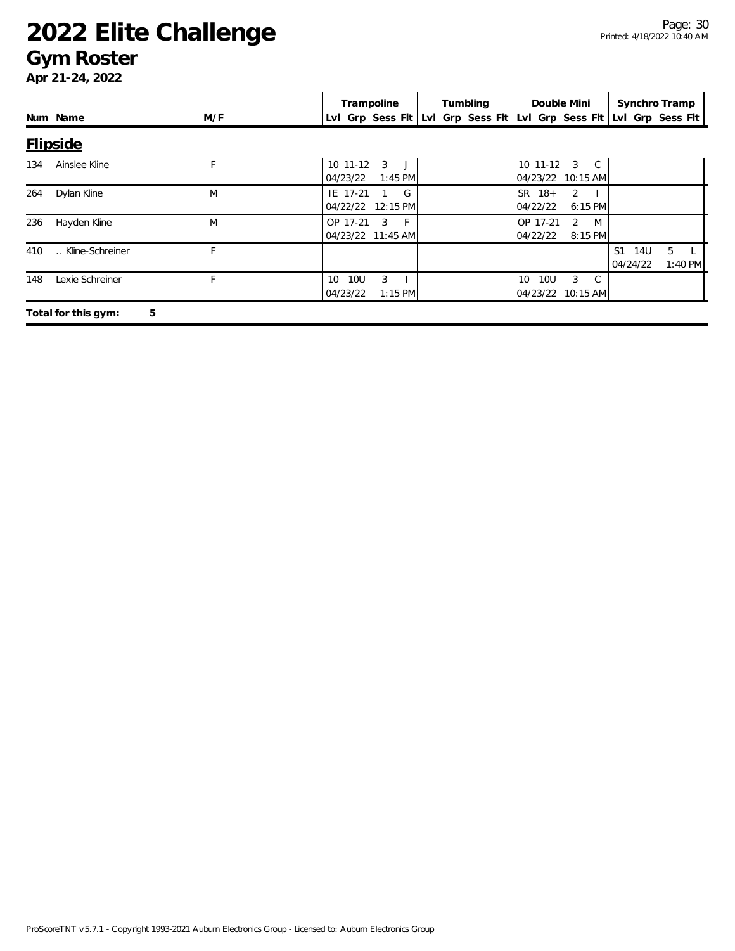#### **Gym Roster**

|     |                          |     | Trampoline                                                  | Tumbling | Double Mini                                           | Synchro Tramp                                     |
|-----|--------------------------|-----|-------------------------------------------------------------|----------|-------------------------------------------------------|---------------------------------------------------|
|     | Num Name                 | M/F | Lvl Grp Sess Fit Lvl Grp Sess Fit Lvl Grp Sess Fit          |          |                                                       | Lvl Grp Sess Flt                                  |
|     | <b>Flipside</b>          |     |                                                             |          |                                                       |                                                   |
| 134 | Ainslee Kline            | F   | $10$ 11-12<br>3<br>04/23/22<br>$1:45$ PM                    |          | 10 11-12 3 C<br>04/23/22 10:15 AM                     |                                                   |
| 264 | Dylan Kline              | M   | G<br>IE 17-21<br>04/22/22<br>12:15 PM                       |          | $SR$ 18+<br>2<br>6:15 PM<br>04/22/22                  |                                                   |
| 236 | Hayden Kline             | M   | OP 17-21<br>3<br>- F<br>04/23/22 11:45 AM                   |          | OP 17-21<br>2<br>M<br>04/22/22<br>8:15 PM             |                                                   |
| 410 | Kline-Schreiner          | Е   |                                                             |          |                                                       | S <sub>1</sub><br>14U<br>5<br>04/24/22<br>1:40 PM |
| 148 | Lexie Schreiner          | F   | 3<br><b>10U</b><br>10 <sup>1</sup><br>04/23/22<br>$1:15$ PM |          | 10 <sub>U</sub><br>3<br>10<br>C.<br>04/23/22 10:15 AM |                                                   |
|     | 5<br>Total for this gym: |     |                                                             |          |                                                       |                                                   |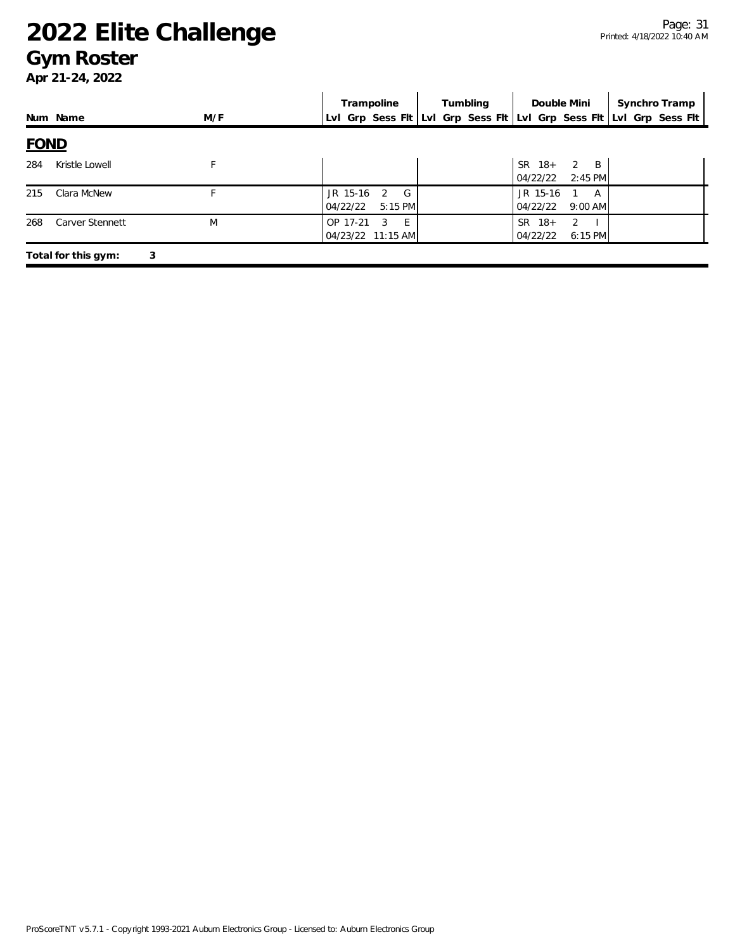#### **Gym Roster**

|     |                          |     | Trampoline                                                          | Tumbling | Double Mini                                                        | Synchro Tramp |  |  |  |
|-----|--------------------------|-----|---------------------------------------------------------------------|----------|--------------------------------------------------------------------|---------------|--|--|--|
|     | Num Name                 | M/F | Lvl Grp Sess Fit Lvl Grp Sess Fit Lvl Grp Sess Fit Lvl Grp Sess Fit |          |                                                                    |               |  |  |  |
|     | <b>FOND</b>              |     |                                                                     |          |                                                                    |               |  |  |  |
| 284 | Kristle Lowell           | F   |                                                                     |          | <b>SR</b><br>$18+$<br>B<br>$\overline{2}$<br>$2:45$ PM<br>04/22/22 |               |  |  |  |
| 215 | Clara McNew              |     | JR 15-16<br>G<br>2<br>04/22/22<br>$5:15$ PM                         |          | JR 15-16<br>A<br>04/22/22<br>$9:00$ AM                             |               |  |  |  |
| 268 | <b>Carver Stennett</b>   | M   | OP 17-21<br>F.<br>3<br>04/23/22 11:15 AM                            |          | $18+$<br>SR.<br>2<br>04/22/22<br>6:15 PM                           |               |  |  |  |
|     | 3<br>Total for this gym: |     |                                                                     |          |                                                                    |               |  |  |  |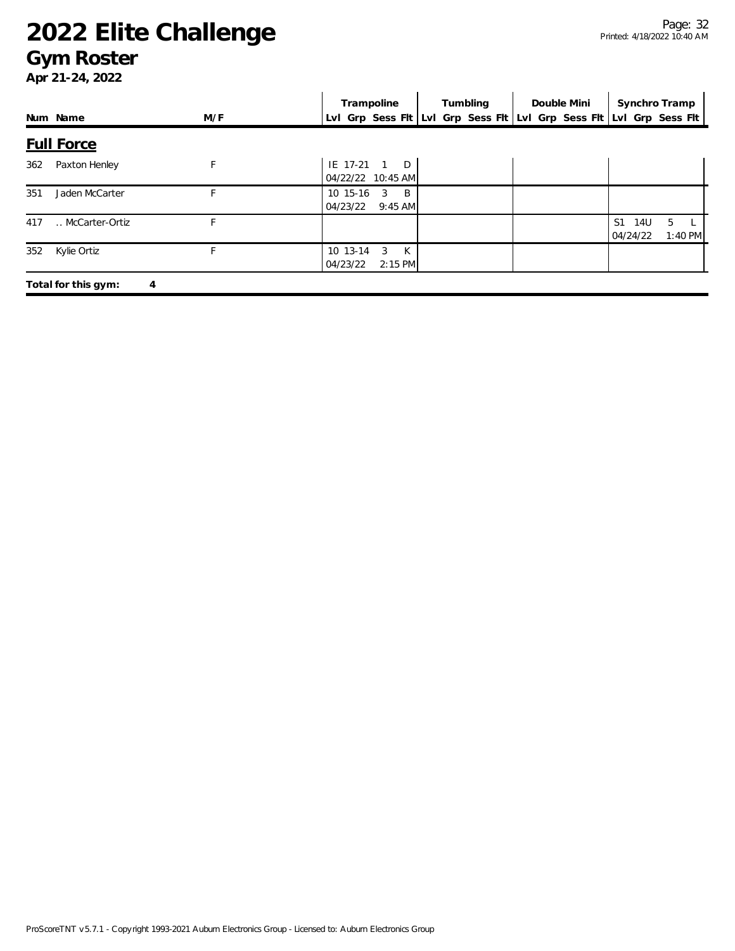#### **Gym Roster**

|     |                          |     | Trampoline                                                          | Tumbling | Double Mini | Synchro Tramp         |                             |
|-----|--------------------------|-----|---------------------------------------------------------------------|----------|-------------|-----------------------|-----------------------------|
|     | Num Name                 | M/F | Lvl Grp Sess Flt Lvl Grp Sess Flt Lvl Grp Sess Flt Lvl Grp Sess Flt |          |             |                       |                             |
|     | <b>Full Force</b>        |     |                                                                     |          |             |                       |                             |
| 362 | Paxton Henley            | F   | IE 17-21<br>D<br>04/22/22 10:45 AM                                  |          |             |                       |                             |
| 351 | Jaden McCarter           |     | 10 15-16<br>3<br>B.<br>04/23/22<br>$9:45$ AM                        |          |             |                       |                             |
| 417 | McCarter-Ortiz           |     |                                                                     |          |             | S1<br>14U<br>04/24/22 | 5 <sup>5</sup><br>$1:40$ PM |
| 352 | Kylie Ortiz              | F   | K<br>10 13-14<br>3<br>04/23/22<br>$2:15$ PM                         |          |             |                       |                             |
|     | Total for this gym:<br>4 |     |                                                                     |          |             |                       |                             |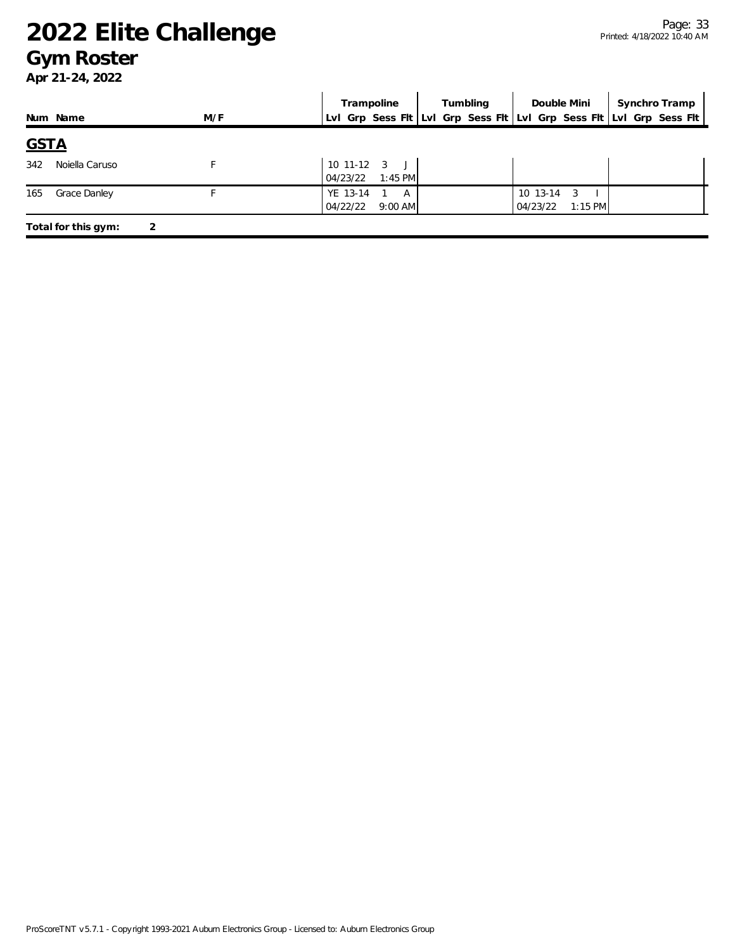#### **Gym Roster**

|                          |     | Trampoline                                | Tumbling | Double Mini                            | Synchro Tramp                                                       |
|--------------------------|-----|-------------------------------------------|----------|----------------------------------------|---------------------------------------------------------------------|
| Num Name                 | M/F |                                           |          |                                        | Lvl Grp Sess Fit Lvl Grp Sess Fit Lvl Grp Sess Fit Lvl Grp Sess Fit |
| <b>GSTA</b>              |     |                                           |          |                                        |                                                                     |
| 342<br>Noiella Caruso    |     | $10$ 11-12 $3$ J<br>04/23/22<br>$1:45$ PM |          |                                        |                                                                     |
| Grace Danley<br>165      |     | YE 13-14<br>A<br>04/22/22<br>$9:00$ AM    |          | 10 13-14<br>3<br>04/23/22<br>$1:15$ PM |                                                                     |
| Total for this gym:<br>2 |     |                                           |          |                                        |                                                                     |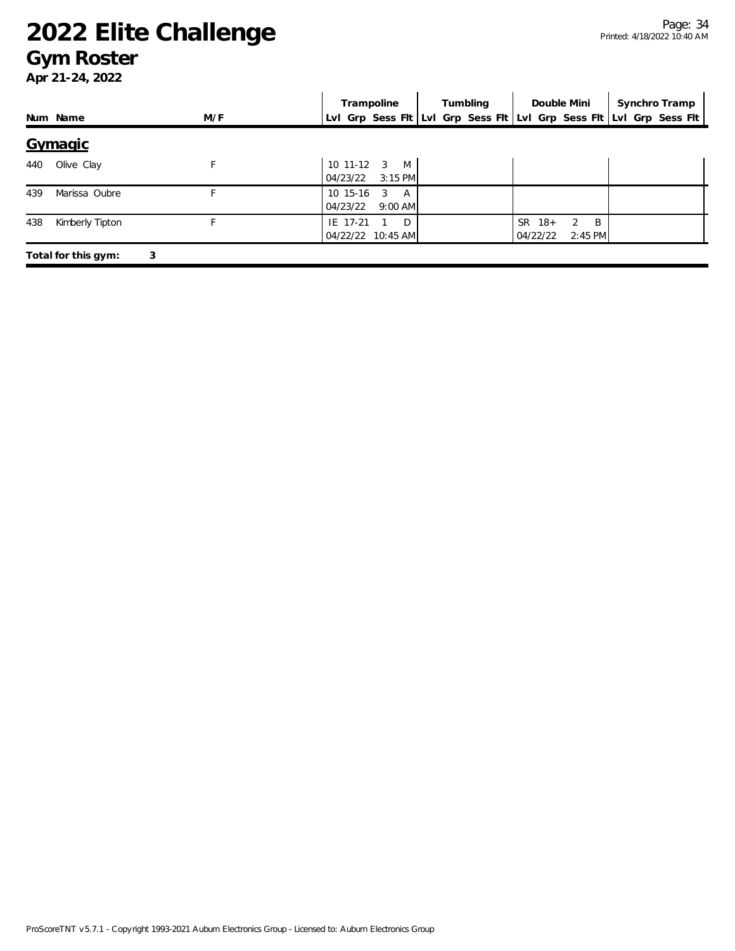#### **Gym Roster**

|     |                          |     | Trampoline                                               | Tumbling | Double Mini                                                                     | Synchro Tramp                                                       |  |  |  |
|-----|--------------------------|-----|----------------------------------------------------------|----------|---------------------------------------------------------------------------------|---------------------------------------------------------------------|--|--|--|
|     | Num Name                 | M/F |                                                          |          |                                                                                 | Lvl Grp Sess Flt Lvl Grp Sess Flt Lvl Grp Sess Flt Lvl Grp Sess Flt |  |  |  |
|     | Gymagic                  |     |                                                          |          |                                                                                 |                                                                     |  |  |  |
| 440 | Olive Clay               |     | 10 11-12<br>$\overline{3}$<br>M<br>$3:15$ PM<br>04/23/22 |          |                                                                                 |                                                                     |  |  |  |
| 439 | Marissa Oubre            |     | 10 15-16<br>3<br>A<br>$9:00$ AM<br>04/23/22              |          |                                                                                 |                                                                     |  |  |  |
| 438 | Kimberly Tipton          |     | IE 17-21<br>D<br>04/22/22 10:45 AM                       |          | <b>SR</b><br>$18+$<br>$\mathfrak{D}$<br>$\overline{B}$<br>04/22/22<br>$2:45$ PM |                                                                     |  |  |  |
|     | 3<br>Total for this gym: |     |                                                          |          |                                                                                 |                                                                     |  |  |  |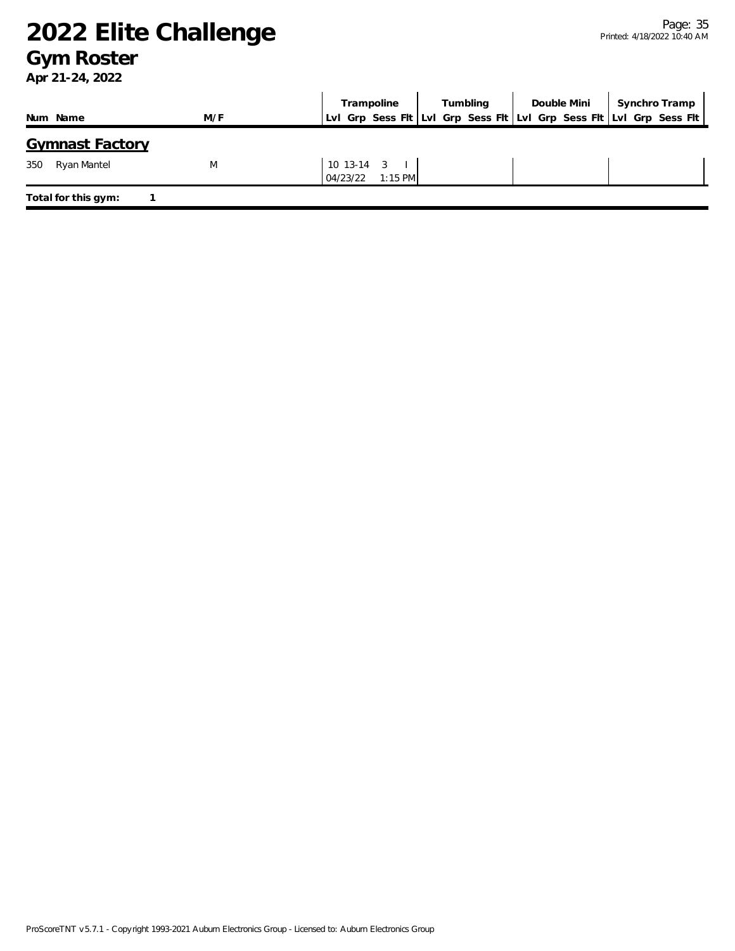#### **Gym Roster**

|                        |     | Trampoline       | Tumbling | Double Mini | Synchro Tramp                                                       |
|------------------------|-----|------------------|----------|-------------|---------------------------------------------------------------------|
| Num Name               | M/F |                  |          |             | LvI Grp Sess Fit LvI Grp Sess Fit LvI Grp Sess Fit LvI Grp Sess Fit |
| <b>Gymnast Factory</b> |     |                  |          |             |                                                                     |
| Ryan Mantel<br>350     | M   | $10$ 13-14 3     |          |             |                                                                     |
|                        |     | 04/23/22 1:15 PM |          |             |                                                                     |
| Total for this gym:    |     |                  |          |             |                                                                     |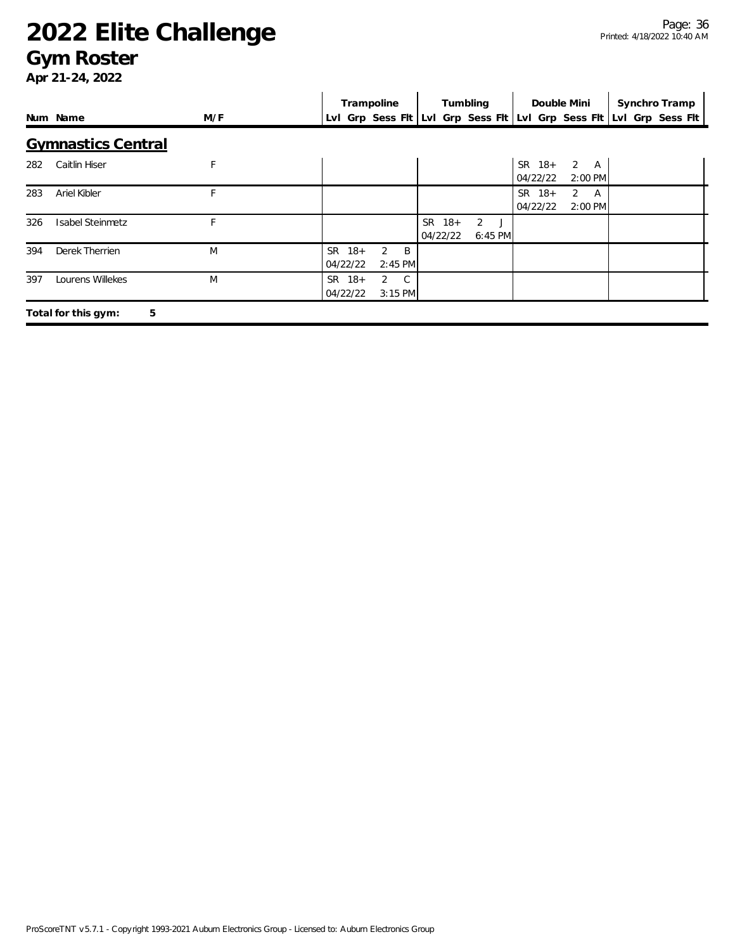#### **Gym Roster**

|     |                           |     | Trampoline<br>Tumbling<br>Double Mini<br>Synchro Tramp              |  |
|-----|---------------------------|-----|---------------------------------------------------------------------|--|
|     | Num Name                  | M/F | Lvl Grp Sess Fit Lvl Grp Sess Fit Lvl Grp Sess Fit Lvl Grp Sess Fit |  |
|     | <b>Gymnastics Central</b> |     |                                                                     |  |
| 282 | Caitlin Hiser             | F   | $2 \overline{A}$<br>$SR$ 18+<br>04/22/22<br>$2:00$ PM               |  |
| 283 | Ariel Kibler              | F.  | SR 18+<br>2<br>A<br>04/22/22<br>2:00 PM                             |  |
| 326 | <b>Isabel Steinmetz</b>   | F   | SR 18+<br>$\overline{2}$<br>04/22/22<br>6:45 PM                     |  |
| 394 | Derek Therrien            | M   | 2<br>SR 18+<br>B<br>04/22/22<br>2:45 PM                             |  |
| 397 | Lourens Willekes          | M   | SR 18+<br>$\overline{2}$<br>C.<br>04/22/22<br>$3:15$ PM             |  |
|     | 5<br>Total for this gym:  |     |                                                                     |  |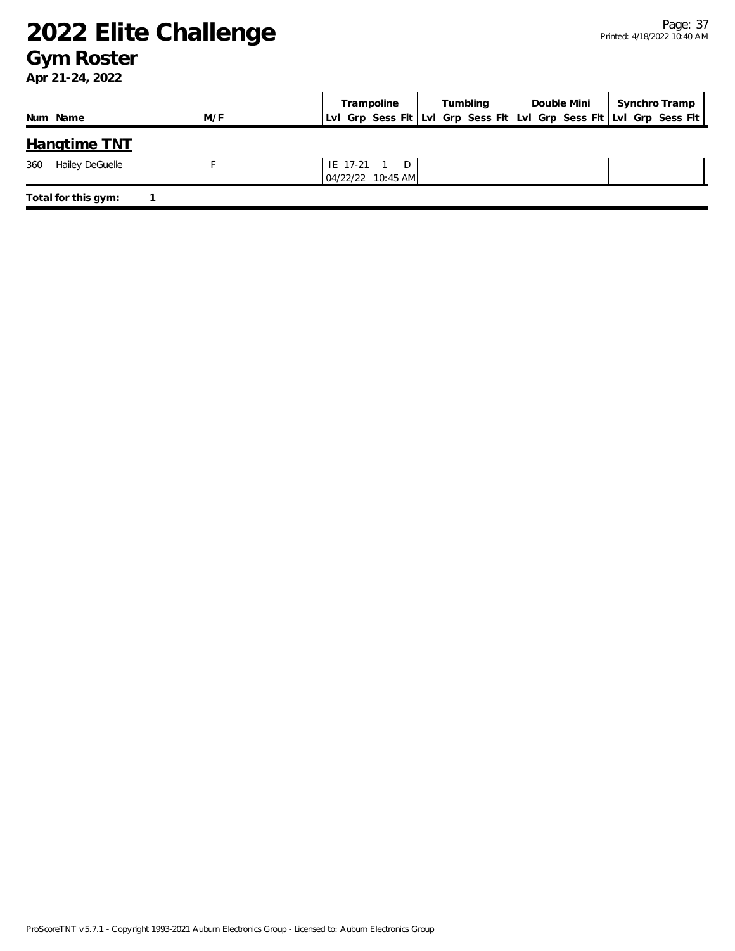### **Gym Roster**

|                        |     | Trampoline                        | Tumbling | Double Mini   Synchro Tramp                                         |
|------------------------|-----|-----------------------------------|----------|---------------------------------------------------------------------|
| Num Name               | M/F |                                   |          | LvI Grp Sess FIt LvI Grp Sess FIt LvI Grp Sess FIt LvI Grp Sess FIt |
| <b>Hangtime TNT</b>    |     |                                   |          |                                                                     |
| Hailey DeGuelle<br>360 |     | IE 17-21 1 D<br>04/22/22 10:45 AM |          |                                                                     |
| Total for this gym:    |     |                                   |          |                                                                     |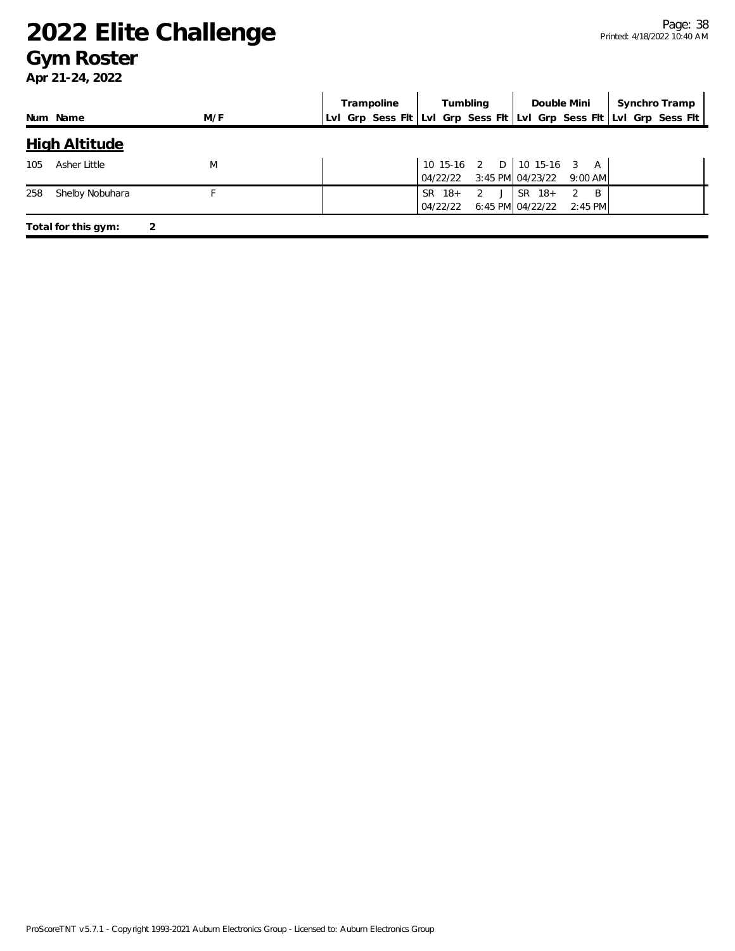### **Gym Roster**

|     |                      |     |  | Trampoline                                                          |                    | Tumbling                                                       |          | Double Mini                                     | Synchro Tramp |  |
|-----|----------------------|-----|--|---------------------------------------------------------------------|--------------------|----------------------------------------------------------------|----------|-------------------------------------------------|---------------|--|
|     | Num Name             | M/F |  | Lvl Grp Sess Fit Lvl Grp Sess Fit Lvl Grp Sess Fit Lvl Grp Sess Fit |                    |                                                                |          |                                                 |               |  |
|     | <b>High Altitude</b> |     |  |                                                                     |                    |                                                                |          |                                                 |               |  |
| 105 | Asher Little         | M   |  |                                                                     |                    | 10 15-16 2 D 10 15-16 3 A<br>04/22/22 3:45 PM 04/23/22 9:00 AM |          |                                                 |               |  |
| 258 | Shelby Nobuhara      |     |  |                                                                     | SR 18+<br>04/22/22 | 2<br>J                                                         | $SR$ 18+ | $\overline{B}$<br>2<br>6:45 PM 04/22/22 2:45 PM |               |  |
|     | Total for this gym:  | 2   |  |                                                                     |                    |                                                                |          |                                                 |               |  |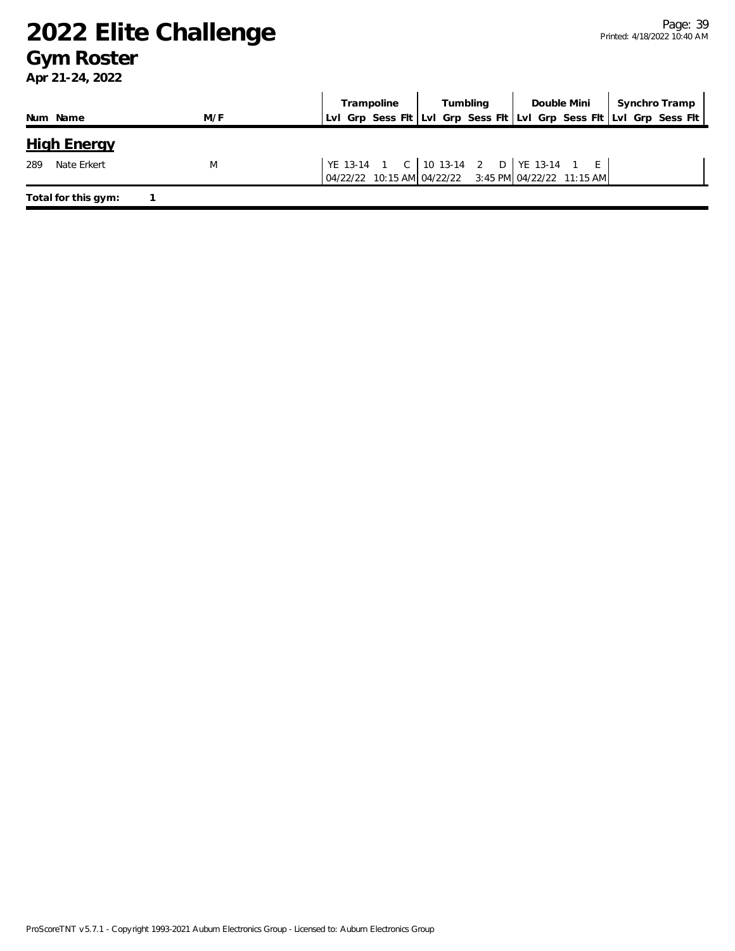### **Gym Roster**

|                     |     | Tumbling<br>Trampoline                                                                               | Double Mini | Synchro Tramp |
|---------------------|-----|------------------------------------------------------------------------------------------------------|-------------|---------------|
| Num Name            | M/F | Lvl Grp Sess Fit Lvl Grp Sess Fit Lvl Grp Sess Fit Lvl Grp Sess Fit                                  |             |               |
| <b>High Energy</b>  |     |                                                                                                      |             |               |
| 289<br>Nate Erkert  | M   | YE 13-14 1 C   10 13-14 2 D   YE 13-14 1 E  <br>04/22/22 10:15 AM 04/22/22 3:45 PM 04/22/22 11:15 AM |             |               |
| Total for this gym: |     |                                                                                                      |             |               |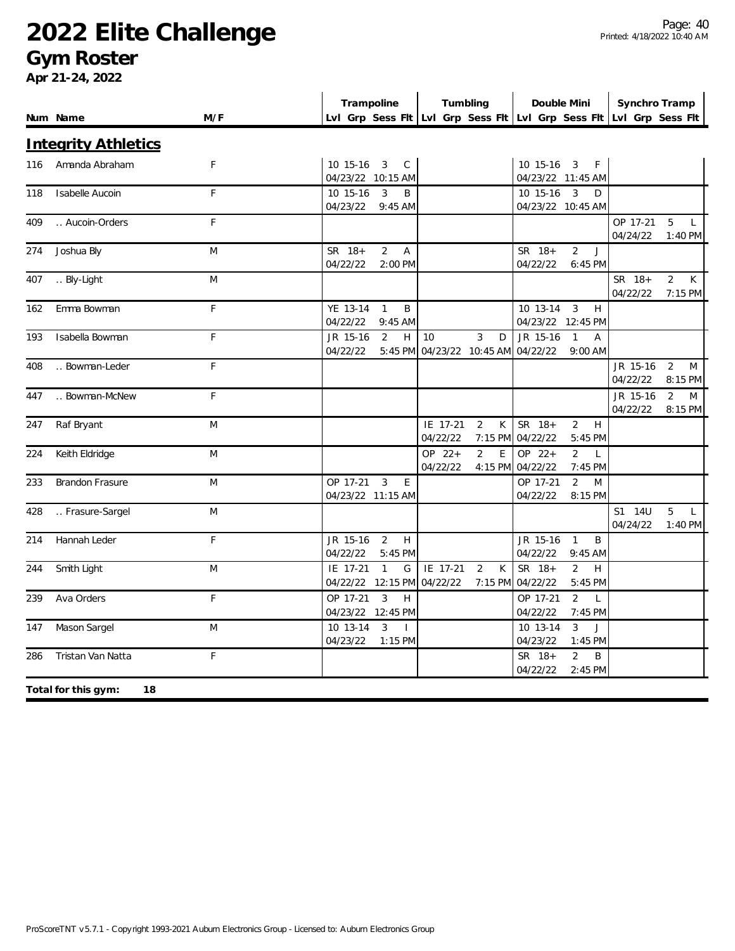### **Gym Roster**

**Apr 21-24, 2022**

| Num Name |                            | M/F | Trampoline<br>Lvl Grp Sess Fit Lvl Grp Sess Fit Lvl Grp Sess Fit Lvl Grp Sess Fit |                                             |          | Tumbling            |                      | Double Mini                    |                      | Synchro Tramp                  |
|----------|----------------------------|-----|-----------------------------------------------------------------------------------|---------------------------------------------|----------|---------------------|----------------------|--------------------------------|----------------------|--------------------------------|
|          |                            |     |                                                                                   |                                             |          |                     |                      |                                |                      |                                |
|          | <b>Integrity Athletics</b> |     |                                                                                   |                                             |          |                     |                      |                                |                      |                                |
| 116      | Amanda Abraham             | F   | 10 15-16                                                                          | 3<br>C                                      |          |                     | 10 15-16             | 3<br>F                         |                      |                                |
|          |                            |     | 04/23/22                                                                          | 10:15 AM                                    |          |                     |                      | 04/23/22 11:45 AM              |                      |                                |
| 118      | Isabelle Aucoin            | F.  | 10 15-16                                                                          | 3<br>B                                      |          |                     | 10 15-16             | 3<br>D                         |                      |                                |
|          |                            |     | 04/23/22                                                                          | $9:45$ AM                                   |          |                     |                      | 04/23/22 10:45 AM              |                      |                                |
| 409      | Aucoin-Orders              | F   |                                                                                   |                                             |          |                     |                      |                                | OP 17-21<br>04/24/22 | 5<br>L<br>1:40 PM              |
| 274      | Joshua Bly                 | M   | SR 18+                                                                            | $\overline{2}$<br>$\overline{A}$            |          |                     | SR 18+               | $\overline{2}$<br>$\mathbf{J}$ |                      |                                |
|          |                            |     | 04/22/22                                                                          | 2:00 PM                                     |          |                     | 04/22/22             | 6:45 PM                        |                      |                                |
| 407      | Bly-Light                  | M   |                                                                                   |                                             |          |                     |                      |                                | SR 18+               | $\overline{2}$<br>K            |
|          |                            |     |                                                                                   |                                             |          |                     |                      |                                | 04/22/22             | 7:15 PM                        |
| 162      | Emma Bowman                | F   | YE 13-14                                                                          | $\mathbf{1}$<br>B                           |          |                     | 10 13-14             | $\overline{3}$<br>H            |                      |                                |
|          |                            |     | 04/22/22                                                                          | $9:45$ AM                                   |          |                     | 04/23/22             | 12:45 PM                       |                      |                                |
| 193      | Isabella Bowman            | F   | JR 15-16                                                                          | $\overline{2}$<br>$\boldsymbol{\mathsf{H}}$ | 10       | 3<br>D              | JR 15-16             | $\mathbf{1}$<br>$\mathsf A$    |                      |                                |
|          |                            |     | 04/22/22                                                                          | 5:45 PM                                     |          | 04/23/22 10:45 AM   | 04/22/22             | 9:00 AM                        |                      |                                |
| 408      | Bowman-Leder               | F   |                                                                                   |                                             |          |                     |                      |                                | JR 15-16             | $\overline{2}$<br>M            |
|          |                            |     |                                                                                   |                                             |          |                     |                      |                                | 04/22/22             | 8:15 PM                        |
| 447      | Bowman-McNew               | F   |                                                                                   |                                             |          |                     |                      |                                | JR 15-16<br>04/22/22 | $\overline{2}$<br>M<br>8:15 PM |
| 247      | Raf Bryant                 | M   |                                                                                   |                                             | IE 17-21 | 2<br>К              | SR 18+               | 2<br>H                         |                      |                                |
|          |                            |     |                                                                                   |                                             | 04/22/22 | 7:15 PM             | 04/22/22             | 5:45 PM                        |                      |                                |
| 224      | Keith Eldridge             | M   |                                                                                   |                                             | OP 22+   | $\overline{2}$<br>E | OP 22+               | $\overline{2}$<br>$\mathsf{L}$ |                      |                                |
|          |                            |     |                                                                                   |                                             | 04/22/22 |                     | 4:15 PM 04/22/22     | 7:45 PM                        |                      |                                |
| 233      | <b>Brandon Frasure</b>     | M   | OP 17-21                                                                          | 3<br>E                                      |          |                     | OP 17-21             | $\overline{2}$<br>M            |                      |                                |
|          |                            |     | 04/23/22 11:15 AM                                                                 |                                             |          |                     | 04/22/22             | 8:15 PM                        |                      |                                |
| 428      | Frasure-Sargel             | M   |                                                                                   |                                             |          |                     |                      |                                | S1 14U               | 5<br>$\mathsf{L}$              |
|          |                            |     |                                                                                   |                                             |          |                     |                      |                                | 04/24/22             | 1:40 PM                        |
| 214      | Hannah Leder               | F   | JR 15-16                                                                          | $\overline{2}$<br>H                         |          |                     | JR 15-16             | $\mathbf{1}$<br>B              |                      |                                |
|          |                            |     | 04/22/22                                                                          | 5:45 PM                                     |          |                     | 04/22/22             | 9:45 AM                        |                      |                                |
| 244      | Smith Light                | M   | IE 17-21                                                                          | G<br>$\mathbf{1}$                           | IE 17-21 | $\overline{2}$<br>K | SR 18+               | $\overline{2}$<br>H            |                      |                                |
|          |                            |     | 04/22/22 12:15 PM                                                                 |                                             | 04/22/22 | 7:15 PM             | 04/22/22             | 5:45 PM                        |                      |                                |
| 239      | Ava Orders                 | F   | OP 17-21<br>04/23/22                                                              | 3<br>H<br>12:45 PM                          |          |                     | OP 17-21<br>04/22/22 | $\overline{2}$<br>L<br>7:45 PM |                      |                                |
| 147      | Mason Sargel               | M   | 10 13-14                                                                          | 3<br>$\mathbf{I}$                           |          |                     | 10 13-14             | 3<br>J                         |                      |                                |
|          |                            |     | 04/23/22                                                                          | $1:15$ PM                                   |          |                     | 04/23/22             | $1:45$ PM                      |                      |                                |
| 286      | Tristan Van Natta          | F   |                                                                                   |                                             |          |                     | SR 18+               | $\overline{2}$<br>B            |                      |                                |
|          |                            |     |                                                                                   |                                             |          |                     | 04/22/22             | 2:45 PM                        |                      |                                |
|          | Total for this gym:<br>18  |     |                                                                                   |                                             |          |                     |                      |                                |                      |                                |

 $\mathbf{I}$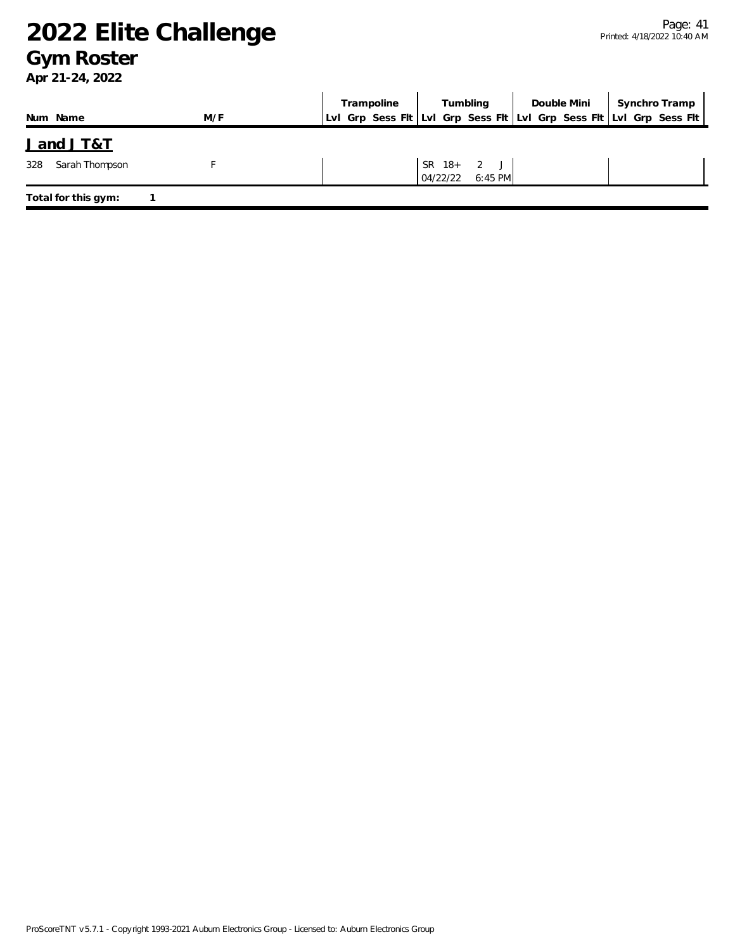### **Gym Roster**

|                       |     |  | Trampoline                                                          |          | Tumbling                | Double Mini |  | Synchro Tramp |  |
|-----------------------|-----|--|---------------------------------------------------------------------|----------|-------------------------|-------------|--|---------------|--|
| Num Name              | M/F |  | LvI Grp Sess FIt LvI Grp Sess FIt LvI Grp Sess FIt LvI Grp Sess FIt |          |                         |             |  |               |  |
| <u>Jand JT&amp;T</u>  |     |  |                                                                     |          |                         |             |  |               |  |
| Sarah Thompson<br>328 |     |  |                                                                     | 04/22/22 | SR 18+ 2 J<br>$6:45$ PM |             |  |               |  |
| Total for this gym:   |     |  |                                                                     |          |                         |             |  |               |  |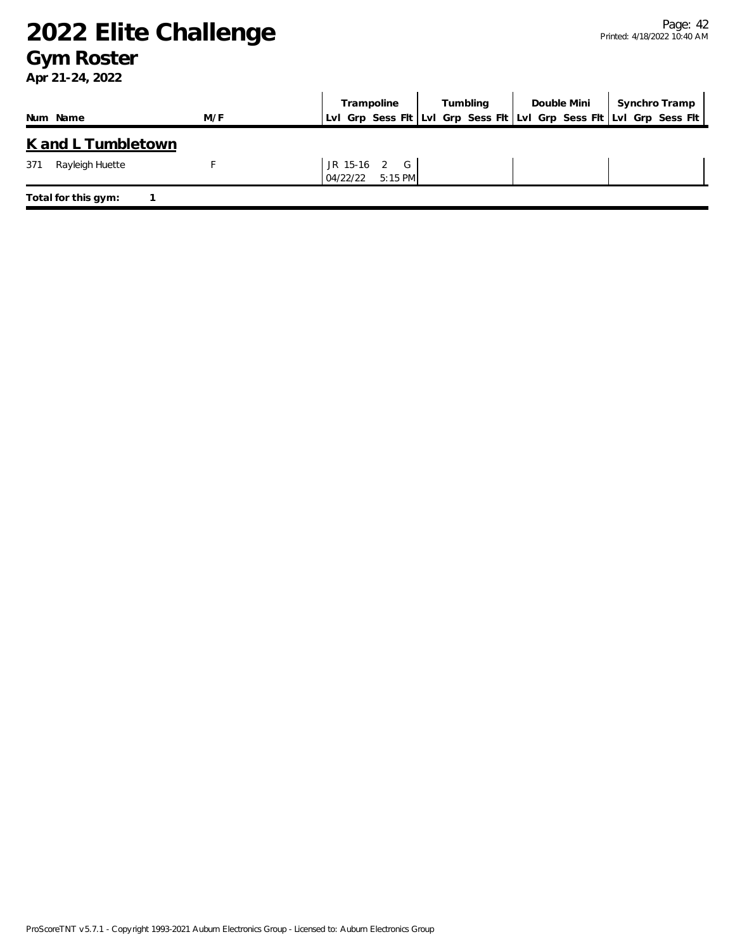### **Gym Roster**

|                           |     | Trampoline            | Tumbling | Double Mini | Synchro Tramp                                                       |
|---------------------------|-----|-----------------------|----------|-------------|---------------------------------------------------------------------|
| Num Name                  | M/F |                       |          |             | LvI Grp Sess FIt LvI Grp Sess FIt LvI Grp Sess FIt LvI Grp Sess FIt |
| <u>K and L Tumbletown</u> |     |                       |          |             |                                                                     |
| 371<br>Rayleigh Huette    |     | JR 15-16 2 G          |          |             |                                                                     |
|                           |     | $5:15$ PM<br>04/22/22 |          |             |                                                                     |
| Total for this gym:       |     |                       |          |             |                                                                     |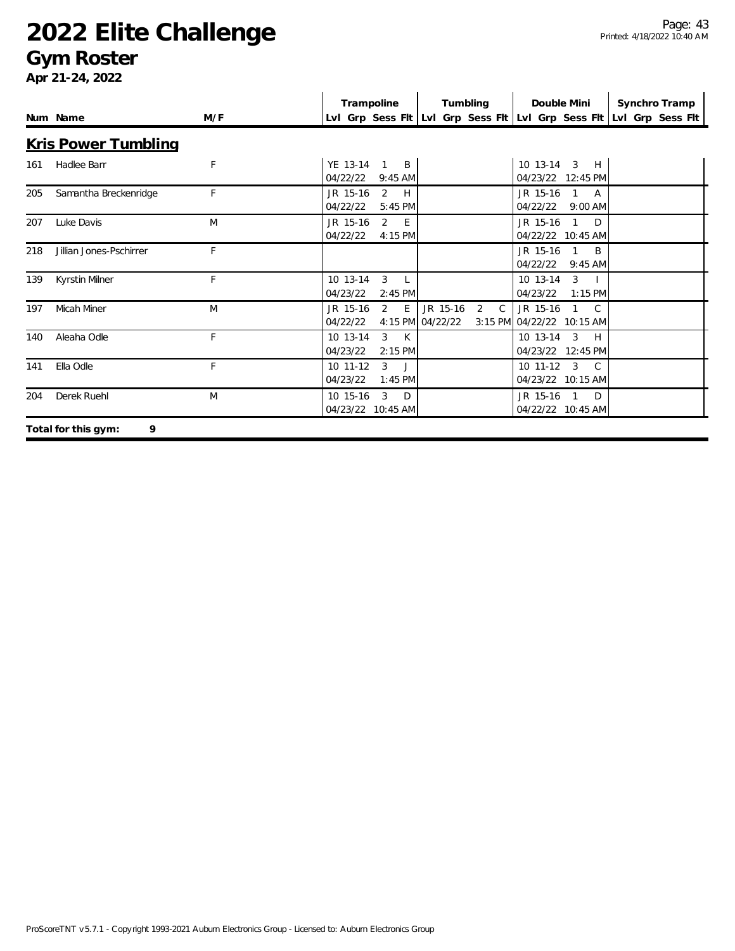### **Gym Roster**

|     |                          |              | Trampoline                                            | Tumbling                                          | Double Mini                                                        | Synchro Tramp                                                       |
|-----|--------------------------|--------------|-------------------------------------------------------|---------------------------------------------------|--------------------------------------------------------------------|---------------------------------------------------------------------|
|     | Num Name                 | M/F          |                                                       |                                                   |                                                                    | Lvl Grp Sess Flt Lvl Grp Sess Flt Lvl Grp Sess Flt Lvl Grp Sess Flt |
|     | Kris Power Tumbling      |              |                                                       |                                                   |                                                                    |                                                                     |
| 161 | Hadlee Barr              | $\mathsf{F}$ | YE 13-14<br>B<br>$\mathbf 1$<br>04/22/22<br>$9:45$ AM |                                                   | 10 13-14<br>3<br>H<br>04/23/22 12:45 PM                            |                                                                     |
| 205 | Samantha Breckenridge    | F            | H<br>JR 15-16<br>2<br>04/22/22<br>5:45 PM             |                                                   | JR 15-16<br>$\mathbf{1}$<br>A<br>04/22/22<br>9:00 AM               |                                                                     |
| 207 | Luke Davis               | M            | JR 15-16<br>2<br>E<br>04/22/22<br>4:15 PM             |                                                   | JR 15-16<br>$\mathbf{1}$<br>D<br>04/22/22 10:45 AM                 |                                                                     |
| 218 | Jillian Jones-Pschirrer  | F            |                                                       |                                                   | JR 15-16<br>$\mathbf{1}$<br>B<br>04/22/22<br>$9:45$ AM             |                                                                     |
| 139 | Kyrstin Milner           | F            | 10 13-14<br>3<br>L<br>04/23/22<br>$2:45$ PM           |                                                   | 10 13-14<br>3<br>04/23/22<br>$1:15$ PM                             |                                                                     |
| 197 | <b>Micah Miner</b>       | M            | 2<br>E<br>JR 15-16<br>04/22/22                        | JR 15-16<br>2<br>$\mathsf{C}$<br>4:15 PM 04/22/22 | JR 15-16<br>$1 \quad C$<br>3:15 PM 04/22/22 10:15 AM               |                                                                     |
| 140 | Aleaha Odle              | F            | 10 13-14<br>K<br>3<br>04/23/22<br>$2:15$ PM           |                                                   | 10 13-14<br>$\mathcal{S}$<br>H<br>04/23/22 12:45 PM                |                                                                     |
| 141 | Ella Odle                | E            | 10 11-12<br>3<br>$\Box$<br>04/23/22<br>$1:45$ PM      |                                                   | $\overline{3}$<br>$10$ 11-12<br>$\mathcal{C}$<br>04/23/22 10:15 AM |                                                                     |
| 204 | Derek Ruehl              | M            | 10 15-16<br>3<br>D<br>04/23/22<br>10:45 AM            |                                                   | JR 15-16<br>$\overline{1}$<br>D<br>04/22/22 10:45 AM               |                                                                     |
|     | 9<br>Total for this gym: |              |                                                       |                                                   |                                                                    |                                                                     |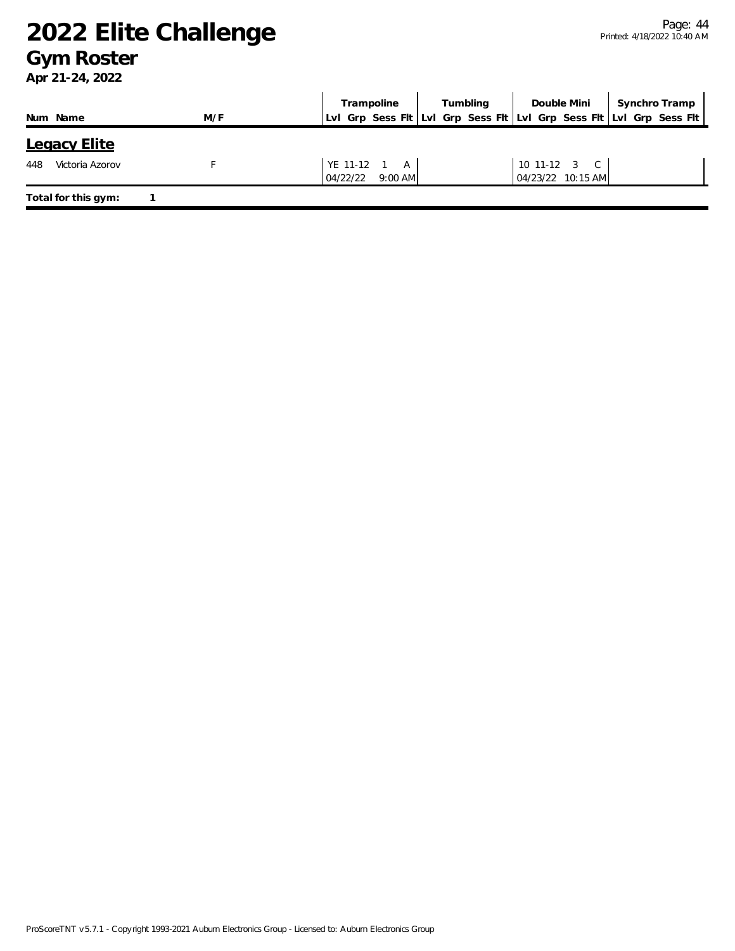### **Gym Roster**

|                        |     | Trampoline                                                          | Tumbling | Double Mini       | Synchro Tramp |
|------------------------|-----|---------------------------------------------------------------------|----------|-------------------|---------------|
| Num Name               | M/F | LvI Grp Sess FIt LvI Grp Sess FIt LvI Grp Sess FIt LvI Grp Sess FIt |          |                   |               |
| Legacy Elite           |     |                                                                     |          |                   |               |
| 448<br>Victoria Azorov |     | YE 11-12 1 A                                                        |          | 10 11-12 3 C      |               |
|                        |     | 04/22/22<br>$9:00$ AM                                               |          | 04/23/22 10:15 AM |               |
| Total for this gym:    |     |                                                                     |          |                   |               |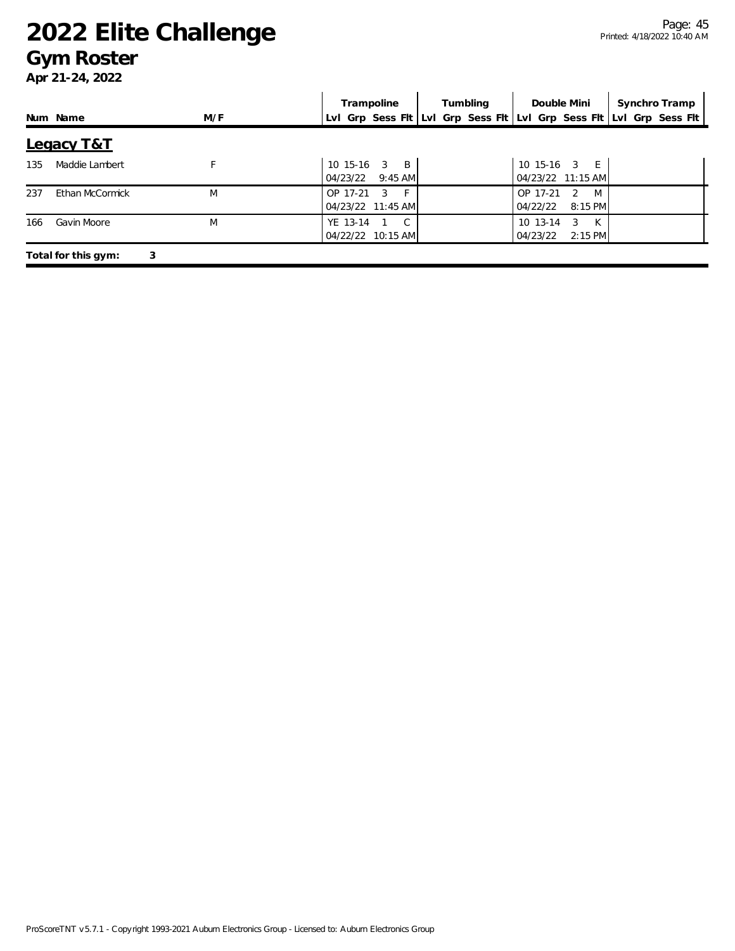### **Gym Roster**

|     |                          |     | Trampoline                                                          | Tumbling | Double Mini                                               | Synchro Tramp |
|-----|--------------------------|-----|---------------------------------------------------------------------|----------|-----------------------------------------------------------|---------------|
|     | Num Name                 | M/F | Lvl Grp Sess Flt Lvl Grp Sess Flt Lvl Grp Sess Flt Lvl Grp Sess Flt |          |                                                           |               |
|     | Legacy T&T               |     |                                                                     |          |                                                           |               |
| 135 | Maddie Lambert           |     | 10 15-16 3 B<br>04/23/22<br>$9:45$ AM                               |          | 10 15-16 3 E<br>04/23/22 11:15 AM                         |               |
| 237 | Ethan McCormick          | M   | $-$ F $+$<br>OP 17-21 3<br>04/23/22 11:45 AM                        |          | $M+$<br>OP 17-21<br>$\overline{2}$<br>04/22/22<br>8:15 PM |               |
| 166 | Gavin Moore              | M   | YE 13-14<br>1 C<br>04/22/22 10:15 AM                                |          | 10 13-14<br>K<br>3<br>04/23/22<br>$2:15$ PM               |               |
|     | Total for this gym:<br>3 |     |                                                                     |          |                                                           |               |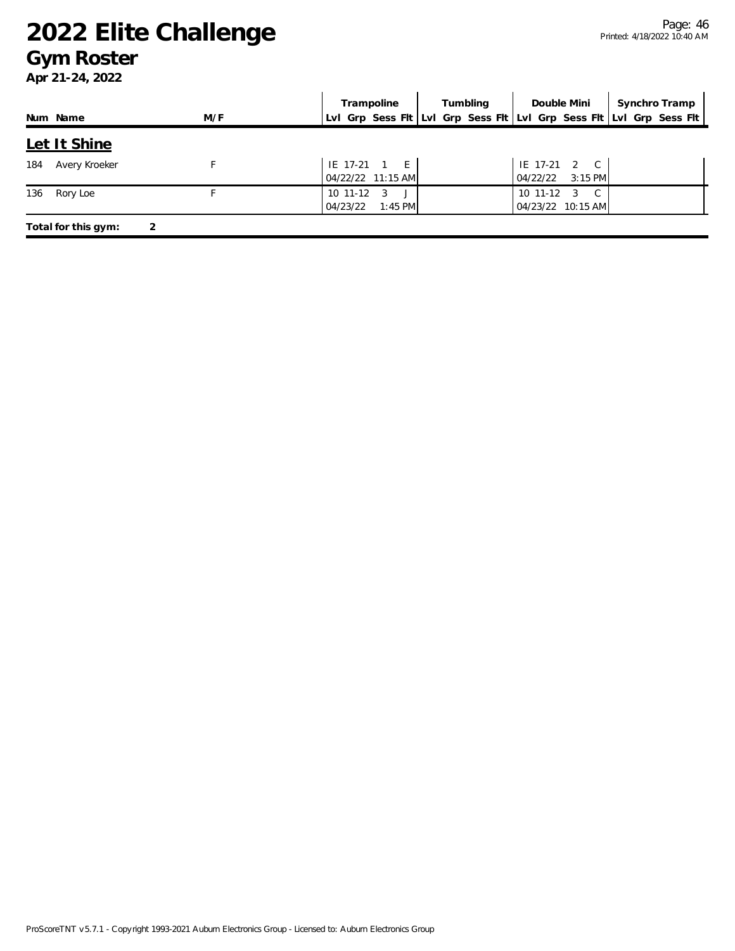### **Gym Roster**

|     |                     |     | Trampoline                                          | Tumbling | Double Mini                                                         | Synchro Tramp |
|-----|---------------------|-----|-----------------------------------------------------|----------|---------------------------------------------------------------------|---------------|
|     | Num Name            | M/F |                                                     |          | Lvl Grp Sess Fit Lvl Grp Sess Fit Lvl Grp Sess Fit Lvl Grp Sess Fit |               |
|     | Let It Shine        |     |                                                     |          |                                                                     |               |
| 184 | Avery Kroeker       |     | IE 17-21 1 E<br>04/22/22 11:15 AM                   |          | IE 17-21 2 C<br>$3:15$ PM<br>04/22/22                               |               |
| 136 | Rory Loe            |     | 10 11-12<br>$\overline{3}$<br>04/23/22<br>$1:45$ PM |          | 10 11-12<br>$\overline{3}$<br>$\mathbb{C}$<br>04/23/22 10:15 AM     |               |
|     | Total for this gym: | 2   |                                                     |          |                                                                     |               |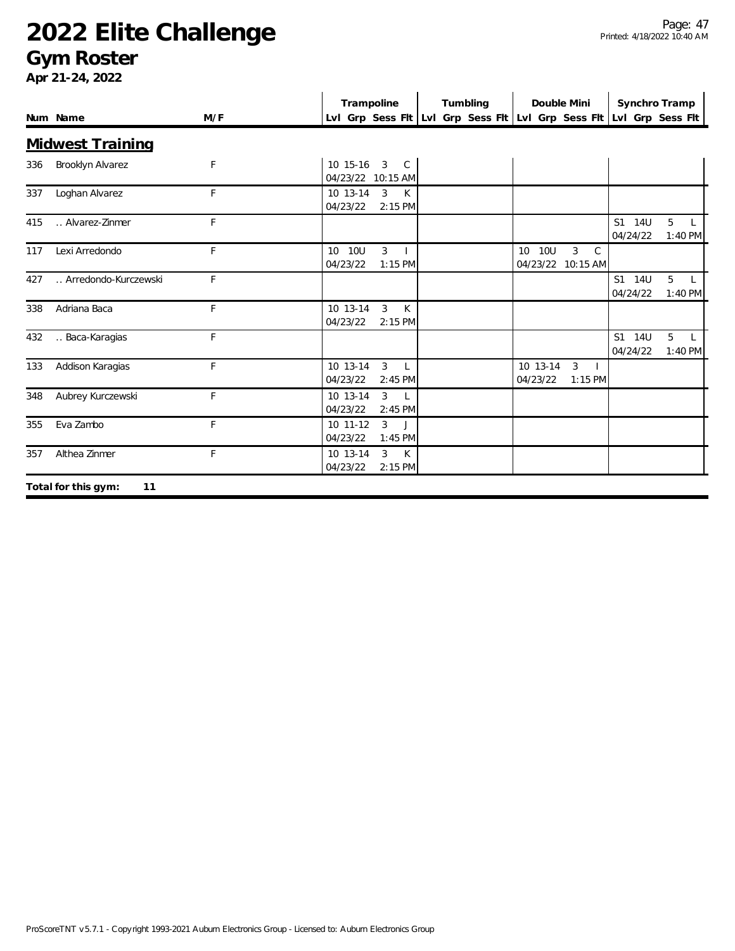### **Gym Roster**

|     | Num Name                  | M/F | Trampoline                                                  | Tumbling | Double Mini                                                         | Synchro Tramp<br>Lvl Grp Sess Fit Lvl Grp Sess Fit Lvl Grp Sess Fit Lvl Grp Sess Fit |  |
|-----|---------------------------|-----|-------------------------------------------------------------|----------|---------------------------------------------------------------------|--------------------------------------------------------------------------------------|--|
|     | <b>Midwest Training</b>   |     |                                                             |          |                                                                     |                                                                                      |  |
| 336 | Brooklyn Alvarez          | F   | 10 15-16<br>3 C<br>04/23/22 10:15 AM                        |          |                                                                     |                                                                                      |  |
| 337 | Loghan Alvarez            | F   | 10 13-14<br>$\mathbf{3}$<br>K<br>04/23/22<br>$2:15$ PM      |          |                                                                     |                                                                                      |  |
| 415 | Alvarez-Zinmer            | F   |                                                             |          |                                                                     | S1 14U<br>5<br>L<br>04/24/22<br>$1:40$ PM                                            |  |
| 117 | Lexi Arredondo            | F   | 3<br>10 10U<br>04/23/22<br>$1:15$ PM                        |          | 10 10U<br>3<br>$\mathsf{C}$<br>04/23/22 10:15 AM                    |                                                                                      |  |
| 427 | Arredondo-Kurczewski      | F   |                                                             |          |                                                                     | 5<br>S1 14U<br>$\mathsf{L}$<br>04/24/22<br>$1:40$ PM                                 |  |
| 338 | Adriana Baca              | F   | 10 13-14<br>3<br>K<br>04/23/22<br>2:15 PM                   |          |                                                                     |                                                                                      |  |
| 432 | Baca-Karagias             | F   |                                                             |          |                                                                     | S1 14U<br>5<br>04/24/22<br>$1:40$ PM                                                 |  |
| 133 | Addison Karagias          | F   | $\mathbf{3}$<br>10 13-14<br>$\Box$<br>04/23/22<br>$2:45$ PM |          | 10 13-14<br>$\mathbf{3}$<br>$\blacksquare$<br>04/23/22<br>$1:15$ PM |                                                                                      |  |
| 348 | Aubrey Kurczewski         | F   | 3<br>10 13-14<br>$\perp$<br>04/23/22<br>$2:45$ PM           |          |                                                                     |                                                                                      |  |
| 355 | Eva Zambo                 | F   | 3<br>$10$ 11-12<br>$\mathbf{J}$<br>04/23/22<br>$1:45$ PM    |          |                                                                     |                                                                                      |  |
| 357 | Althea Zinmer             | F   | 10 13-14<br>$\mathbf{3}$<br>K<br>04/23/22<br>$2:15$ PM      |          |                                                                     |                                                                                      |  |
|     | Total for this gym:<br>11 |     |                                                             |          |                                                                     |                                                                                      |  |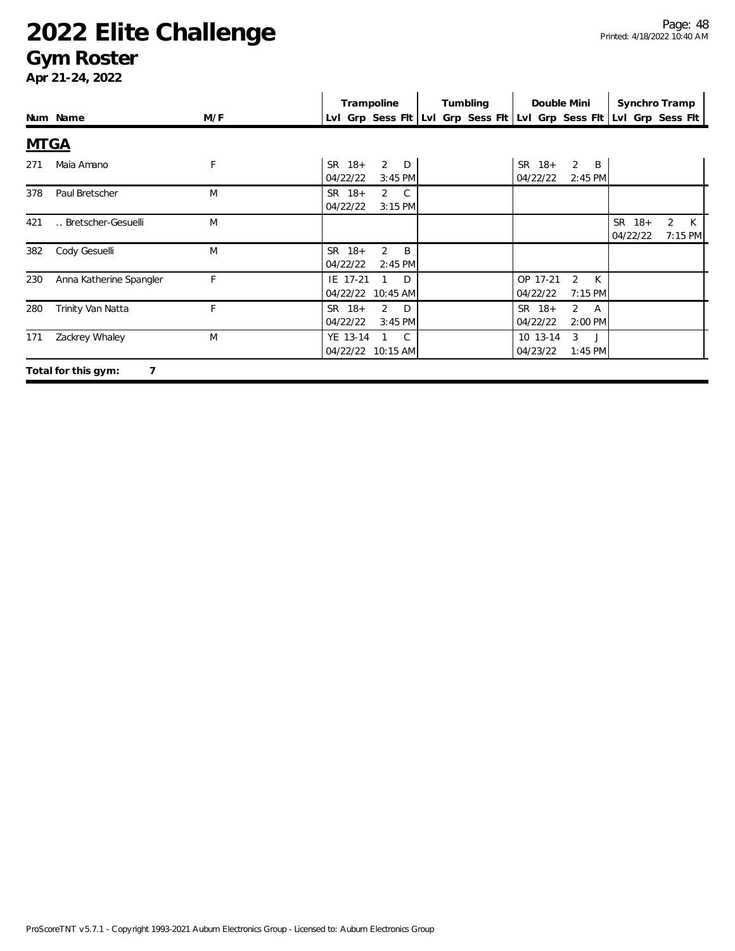### **Gym Roster**

|             |                          |     | Trampoline                                             | Tumbling | Double Mini                                                   | Synchro Tramp                                                       |
|-------------|--------------------------|-----|--------------------------------------------------------|----------|---------------------------------------------------------------|---------------------------------------------------------------------|
|             | Num Name                 | M/F |                                                        |          |                                                               | LvI Grp Sess FIt LvI Grp Sess FIt LvI Grp Sess FIt LvI Grp Sess FIt |
| <b>MTGA</b> |                          |     |                                                        |          |                                                               |                                                                     |
| 271         | Maia Amano               | F   | $SR$ 18+<br>2<br>D<br>04/22/22<br>$3:45$ PM            |          | SR 18+<br>$\overline{2}$<br>B<br>04/22/22<br>$2:45$ PM        |                                                                     |
| 378         | Paul Bretscher           | M   | SR 18+<br>$2 \quad C$<br>04/22/22<br>$3:15$ PM         |          |                                                               |                                                                     |
| 421         | Bretscher-Gesuelli       | M   |                                                        |          |                                                               | SR 18+<br>2 K<br>7:15 PM<br>04/22/22                                |
| 382         | Cody Gesuelli            | M   | $\overline{2}$<br>SR 18+<br>B<br>04/22/22<br>$2:45$ PM |          |                                                               |                                                                     |
| 230         | Anna Katherine Spangler  | F   | IE 17-21<br>D<br>04/22/22<br>10:45 AM                  |          | OP 17-21<br>2<br>K<br>04/22/22<br>$7:15$ PM                   |                                                                     |
| 280         | Trinity Van Natta        | F   | SR 18+<br>2<br>D<br>04/22/22<br>$3:45$ PM              |          | SR 18+<br>$\overline{2}$<br><b>A</b><br>04/22/22<br>$2:00$ PM |                                                                     |
| 171         | Zackrey Whaley           | M   | YE 13-14<br>C.<br>04/22/22 10:15 AM                    |          | $\mathcal{E}$<br>10 13-14<br>$\Box$<br>04/23/22<br>$1:45$ PM  |                                                                     |
|             | Total for this gym:<br>7 |     |                                                        |          |                                                               |                                                                     |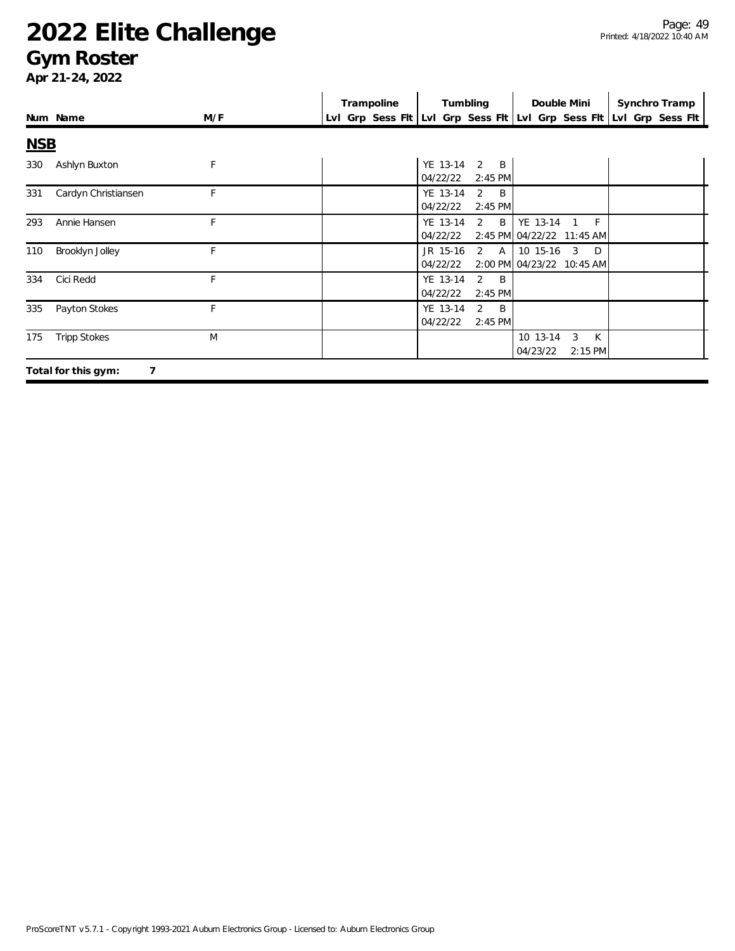### **Gym Roster**

|            |                          |     | Trampoline | Tumbling                                                 | Double Mini                                                | Synchro Tramp                                                       |
|------------|--------------------------|-----|------------|----------------------------------------------------------|------------------------------------------------------------|---------------------------------------------------------------------|
|            | Num Name                 | M/F |            |                                                          |                                                            | LvI Grp Sess FIt LvI Grp Sess FIt LvI Grp Sess FIt LvI Grp Sess FIt |
| <b>NSB</b> |                          |     |            |                                                          |                                                            |                                                                     |
| 330        | Ashlyn Buxton            | F   |            | YE 13-14<br>$2 \quad B$<br>04/22/22<br>$2:45$ PM         |                                                            |                                                                     |
| 331        | Cardyn Christiansen      | F   |            | YE 13-14<br>2<br>$\overline{B}$<br>04/22/22<br>$2:45$ PM |                                                            |                                                                     |
| 293        | Annie Hansen             | F   |            | $2 \quad B$<br>YE 13-14<br>04/22/22                      | YE 13-14<br>F<br>$\mathbf{1}$<br>2:45 PM 04/22/22 11:45 AM |                                                                     |
| 110        | Brooklyn Jolley          | F   |            | $2 \overline{A}$<br>JR 15-16<br>04/22/22                 | 10 15-16<br>3<br>$\Box$<br>2:00 PM 04/23/22 10:45 AM       |                                                                     |
| 334        | Cici Redd                | F   |            | YE 13-14<br>$2 \quad B$<br>04/22/22<br>$2:45$ PM         |                                                            |                                                                     |
| 335        | Payton Stokes            | F   |            | YE 13-14<br>$2 \quad B$<br>04/22/22<br>$2:45$ PM         |                                                            |                                                                     |
| 175        | <b>Tripp Stokes</b>      | M   |            |                                                          | 10 13-14<br>3<br>K<br>04/23/22<br>2:15 PM                  |                                                                     |
|            | 7<br>Total for this gym: |     |            |                                                          |                                                            |                                                                     |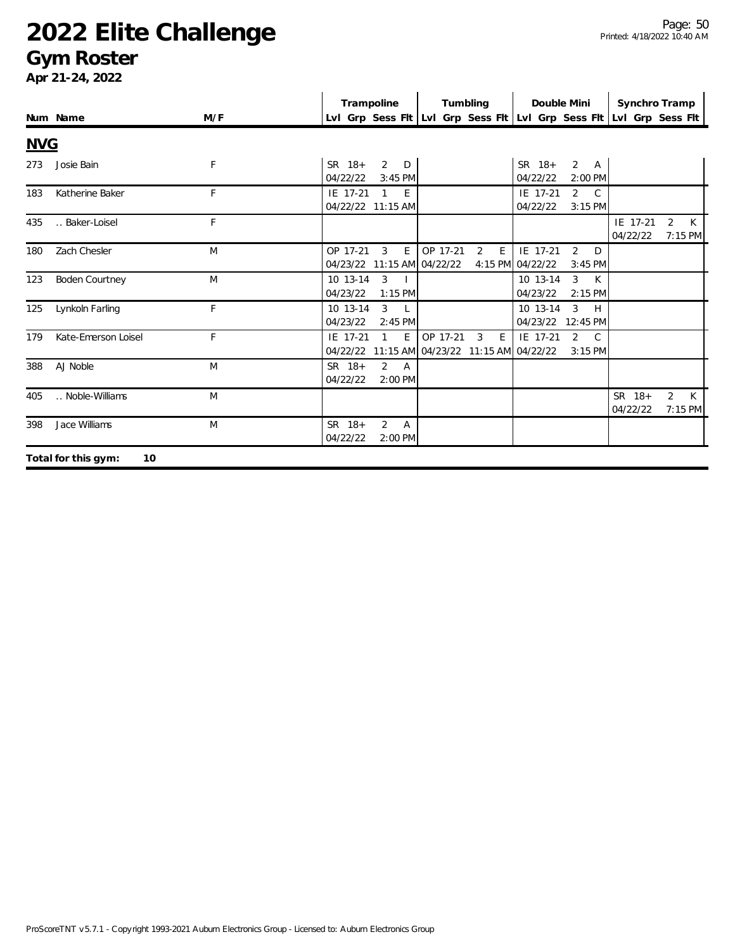### **Gym Roster**

|            |                           |     | Trampoline                                                        | Tumbling                                                  | Double Mini                                                     | Synchro Tramp                                                       |
|------------|---------------------------|-----|-------------------------------------------------------------------|-----------------------------------------------------------|-----------------------------------------------------------------|---------------------------------------------------------------------|
|            | Num Name                  | M/F |                                                                   |                                                           |                                                                 | Lvl Grp Sess Fit Lvl Grp Sess Fit Lvl Grp Sess Fit Lvl Grp Sess Fit |
| <b>NVG</b> |                           |     |                                                                   |                                                           |                                                                 |                                                                     |
| 273        | Josie Bain                | F   | $SR$ 18+<br>2<br>D<br>04/22/22<br>$3:45$ PM                       |                                                           | $SR$ 18+<br>2 A<br>04/22/22<br>2:00 PM                          |                                                                     |
| 183        | Katherine Baker           | F   | IE 17-21<br>$\mathbf{1}$<br>E<br>04/22/22 11:15 AM                |                                                           | IE 17-21<br>$2 \quad C$<br>04/22/22<br>3:15 PM                  |                                                                     |
| 435        | Baker-Loisel              | F   |                                                                   |                                                           |                                                                 | IE 17-21<br>2<br>K<br>04/22/22<br>7:15 PM                           |
| 180        | Zach Chesler              | M   | E<br>OP 17-21<br>3<br>04/23/22 11:15 AM 04/22/22                  | OP 17-21<br>E<br>2                                        | IE 17-21<br>2<br>$\Box$<br>4:15 PM 04/22/22<br>$3:45$ PM        |                                                                     |
| 123        | <b>Boden Courtney</b>     | M   | 3<br>10 13-14<br>04/23/22<br>$1:15$ PM                            |                                                           | $\mathbf{3}$<br>10 13-14<br>$\mathsf{K}$<br>04/23/22<br>2:15 PM |                                                                     |
| 125        | Lynkoln Farling           | F   | 3<br>10 13-14<br>L.<br>04/23/22<br>$2:45$ PM                      |                                                           | 3<br>10 13-14<br>H<br>04/23/22<br>12:45 PM                      |                                                                     |
| 179        | Kate-Emerson Loisel       | F.  | E<br>IE 17-21<br>04/22/22                                         | OP 17-21<br>3<br>E<br>11:15 AM 04/23/22 11:15 AM 04/22/22 | IE 17-21<br>$\overline{2}$<br>$\mathcal{C}$<br>$3:15$ PM        |                                                                     |
| 388        | AJ Noble                  | M   | SR 18+<br>$\overline{2}$<br>$\overline{A}$<br>04/22/22<br>2:00 PM |                                                           |                                                                 |                                                                     |
| 405        | Noble-Williams            | M   |                                                                   |                                                           |                                                                 | SR 18+<br>2<br>K<br>7:15 PM<br>04/22/22                             |
| 398        | Jace Williams             | M   | $SR$ 18+<br>2<br>$\overline{A}$<br>04/22/22<br>$2:00$ PM          |                                                           |                                                                 |                                                                     |
|            | 10<br>Total for this gym: |     |                                                                   |                                                           |                                                                 |                                                                     |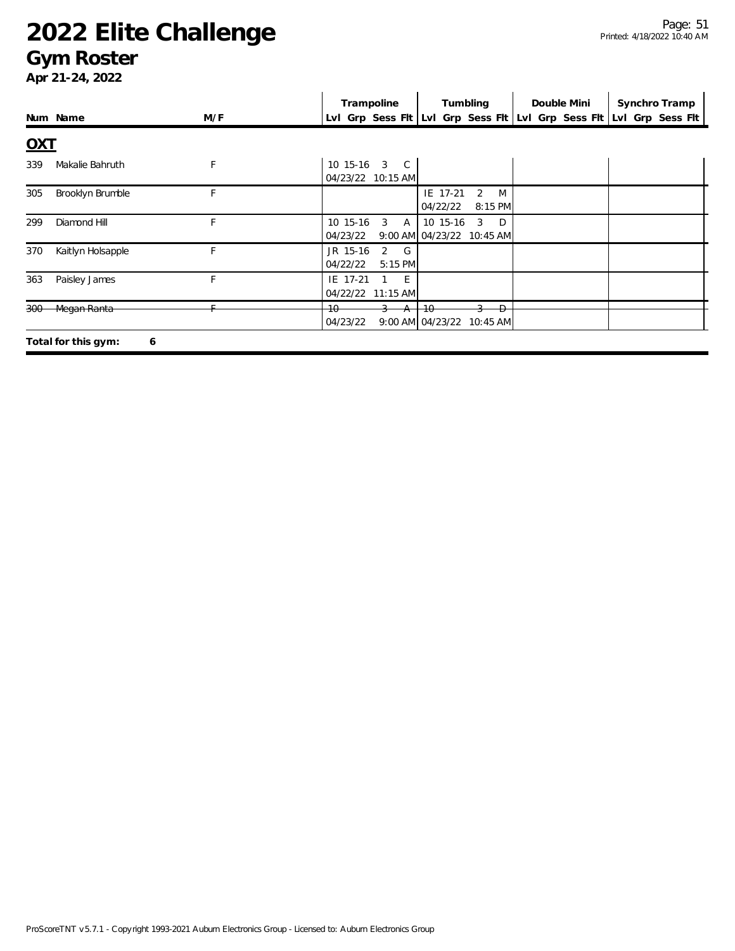### **Gym Roster**

|            |                          |     | Trampoline                                         | Tumbling                                                                | Double Mini | Synchro Tramp                                                       |
|------------|--------------------------|-----|----------------------------------------------------|-------------------------------------------------------------------------|-------------|---------------------------------------------------------------------|
|            | Num Name                 | M/F |                                                    |                                                                         |             | LvI Grp Sess FIt LvI Grp Sess FIt LvI Grp Sess FIt LvI Grp Sess FIt |
| <u>OXT</u> |                          |     |                                                    |                                                                         |             |                                                                     |
| 339        | Makalie Bahruth          | F   | 10 15-16<br>3<br>$\mathbb{C}$<br>04/23/22 10:15 AM |                                                                         |             |                                                                     |
| 305        | Brooklyn Brumble         | F   |                                                    | IE 17-21<br>2<br>M<br>04/22/22<br>8:15 PM                               |             |                                                                     |
| 299        | Diamond Hill             | E.  | 3<br>10 15-16<br>A<br>04/23/22                     | $\overline{3}$<br>$\Box$<br>10 15-16<br>9:00 AM 04/23/22 10:45 AM       |             |                                                                     |
| 370        | Kaitlyn Holsapple        | F   | 2<br>G<br>JR 15-16<br>04/22/22<br>5:15 PM          |                                                                         |             |                                                                     |
| 363        | Paisley James            | F   | IE 17-21<br>- E<br>04/22/22 11:15 AM               |                                                                         |             |                                                                     |
| $300 -$    | Megan Ranta              |     | $+0$<br>04/23/22                                   | $\overline{+0}$<br>$\overline{D}$<br>$9:00$ AM $04/23/22$<br>$10:45$ AM |             |                                                                     |
|            | Total for this gym:<br>6 |     |                                                    |                                                                         |             |                                                                     |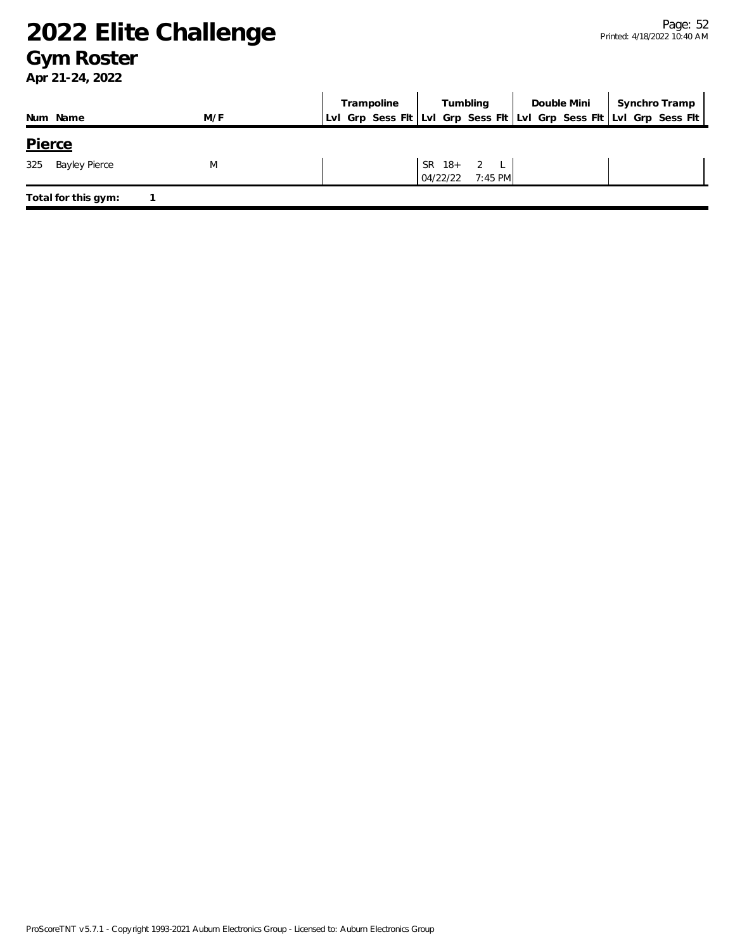### **Gym Roster**

|  |                         | Lvl Grp Sess Fit Lvl Grp Sess Fit Lvl Grp Sess Fit Lvl Grp Sess Fit |
|--|-------------------------|---------------------------------------------------------------------|
|  |                         |                                                                     |
|  |                         |                                                                     |
|  | SR $18+2$ L<br>04/22/22 | $7:45$ PM                                                           |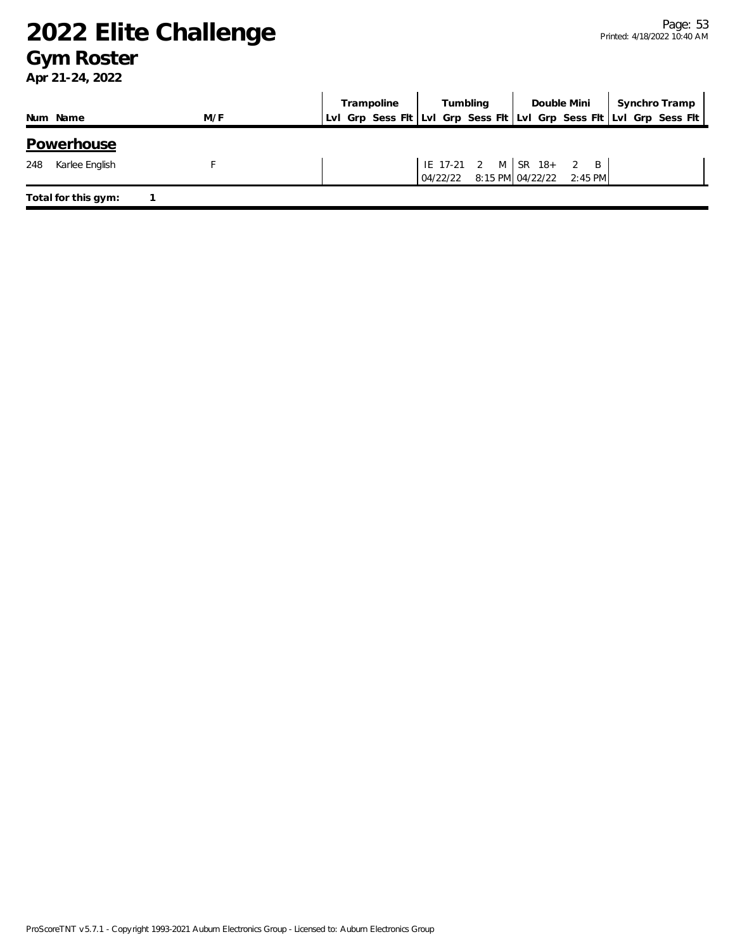### **Gym Roster**

|                       |     | Trampoline | Tumbling                          | Double Mini             | Synchro Tramp                                                       |
|-----------------------|-----|------------|-----------------------------------|-------------------------|---------------------------------------------------------------------|
| Num Name              | M/F |            |                                   |                         | Lvl Grp Sess Fit Lvl Grp Sess Fit Lvl Grp Sess Fit Lvl Grp Sess Fit |
| Powerhouse            |     |            |                                   |                         |                                                                     |
| 248<br>Karlee English |     |            | 04/22/22 8:15 PM 04/22/22 2:45 PM | IE 17-21 2 M SR 18+ 2 B |                                                                     |
| Total for this gym:   |     |            |                                   |                         |                                                                     |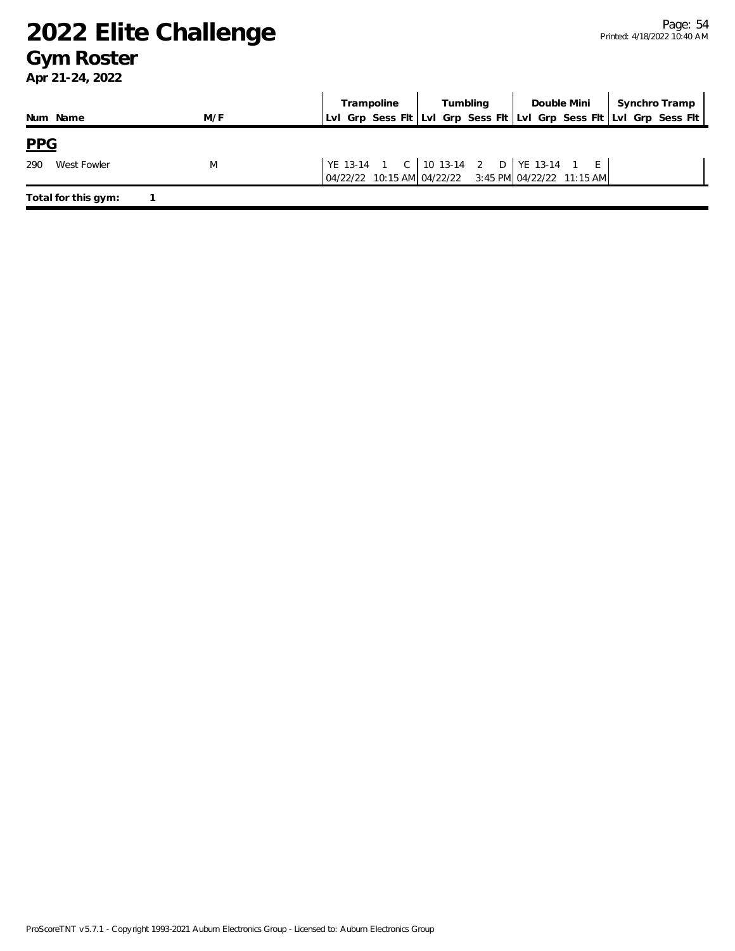### **Gym Roster**

|                     |     | Trampoline | Tumbling | Double Mini                                                                                        | Synchro Tramp                                                       |
|---------------------|-----|------------|----------|----------------------------------------------------------------------------------------------------|---------------------------------------------------------------------|
| Num Name            | M/F |            |          |                                                                                                    | Lvl Grp Sess Fit Lvl Grp Sess Fit Lvl Grp Sess Fit Lvl Grp Sess Fit |
| <b>PPG</b>          |     |            |          |                                                                                                    |                                                                     |
| 290<br>West Fowler  | M   |            |          | YE 13-14 1 C 10 13-14 2 D   YE 13-14 1 E  <br>04/22/22 10:15 AM 04/22/22 3:45 PM 04/22/22 11:15 AM |                                                                     |
| Total for this gym: |     |            |          |                                                                                                    |                                                                     |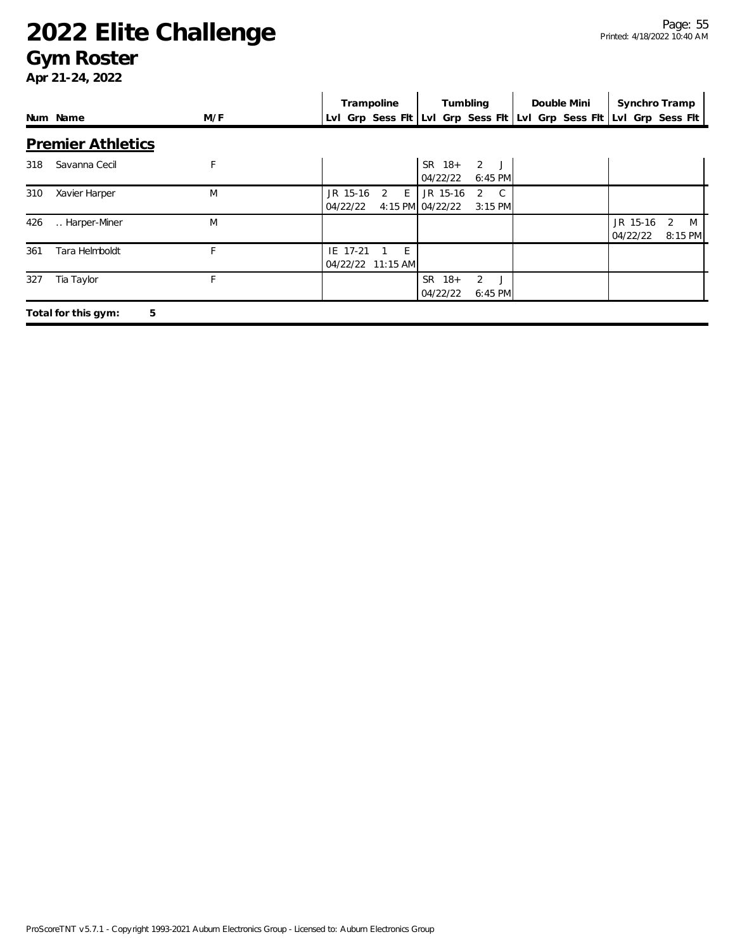### **Gym Roster**

|     |                          |     | Trampoline                         | Tumbling                                                     | Double Mini | Synchro Tramp                                                       |
|-----|--------------------------|-----|------------------------------------|--------------------------------------------------------------|-------------|---------------------------------------------------------------------|
|     | Num Name                 | M/F |                                    |                                                              |             | LvI Grp Sess FIt LvI Grp Sess FIt LvI Grp Sess FIt LvI Grp Sess FIt |
|     | <b>Premier Athletics</b> |     |                                    |                                                              |             |                                                                     |
| 318 | Savanna Cecil            | F   |                                    | $SR$ 18+<br>2J<br>04/22/22<br>6:45 PM                        |             |                                                                     |
| 310 | Xavier Harper            | M   | JR 15-16<br>2<br>E<br>04/22/22     | JR 15-16<br>C.<br>2<br>4:15 PM 04/22/22<br>$3:15$ PM         |             |                                                                     |
| 426 | Harper-Miner             | M   |                                    |                                                              |             | JR 15-16<br>2<br><sup>M</sup><br>04/22/22<br>8:15 PM                |
| 361 | Tara Helmboldt           |     | IE 17-21<br>E<br>04/22/22 11:15 AM |                                                              |             |                                                                     |
| 327 | Tia Taylor               |     |                                    | $\overline{2}$<br><b>SR</b><br>$18 +$<br>04/22/22<br>6:45 PM |             |                                                                     |
|     | 5<br>Total for this gym: |     |                                    |                                                              |             |                                                                     |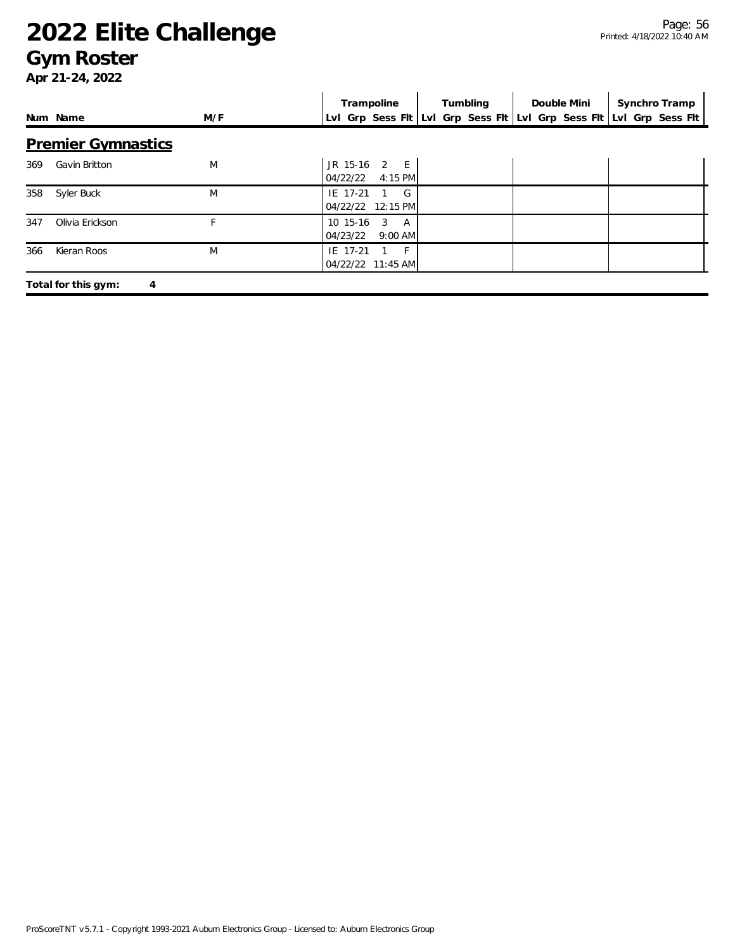### **Gym Roster**

|     |                                       |     | Trampoline                                         | Tumbling | Double Mini | Synchro Tramp                                                       |
|-----|---------------------------------------|-----|----------------------------------------------------|----------|-------------|---------------------------------------------------------------------|
|     | Num Name                              | M/F |                                                    |          |             | Lvl Grp Sess Flt Lvl Grp Sess Flt Lvl Grp Sess Flt Lvl Grp Sess Flt |
|     | <b>Premier Gymnastics</b>             |     |                                                    |          |             |                                                                     |
| 369 | Gavin Britton                         | M   | JR 15-16 2 E<br>04/22/22<br>$4:15$ PM              |          |             |                                                                     |
| 358 | Syler Buck                            | M   | IE 17-21<br>G<br>04/22/22 12:15 PM                 |          |             |                                                                     |
| 347 | Olivia Erickson                       |     | 10 15-16<br>3<br><b>A</b><br>$9:00$ AM<br>04/23/22 |          |             |                                                                     |
| 366 | Kieran Roos                           | M   | IE 17-21<br>$-F^{-1}$<br>04/22/22 11:45 AM         |          |             |                                                                     |
|     | Total for this gym:<br>$\overline{4}$ |     |                                                    |          |             |                                                                     |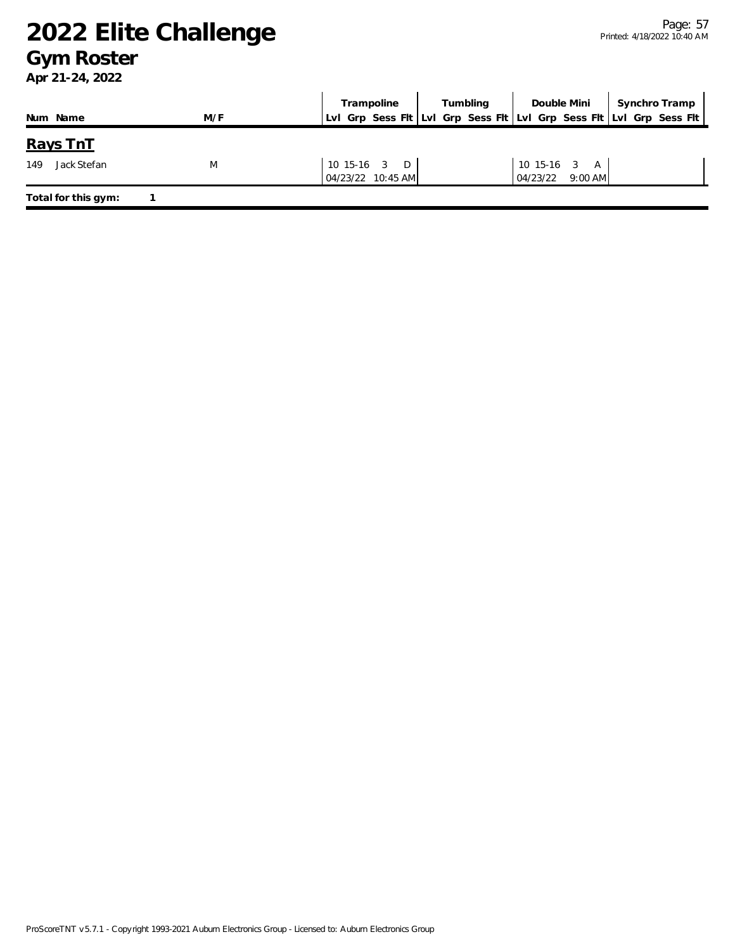### **Gym Roster**

| Num Name            | M/F | Trampoline<br>LvI Grp Sess FIt LvI Grp Sess FIt LvI Grp Sess FIt LvI Grp Sess FIt | Tumbling | Double Mini           | Synchro Tramp |
|---------------------|-----|-----------------------------------------------------------------------------------|----------|-----------------------|---------------|
|                     |     |                                                                                   |          |                       |               |
| <u>Rays TnT</u>     |     |                                                                                   |          |                       |               |
| Jack Stefan<br>149  | M   | $10$ 15-16 3 D                                                                    |          | 10 15-16 3 A          |               |
|                     |     | 04/23/22 10:45 AM                                                                 |          | $9:00$ AM<br>04/23/22 |               |
| Total for this gym: |     |                                                                                   |          |                       |               |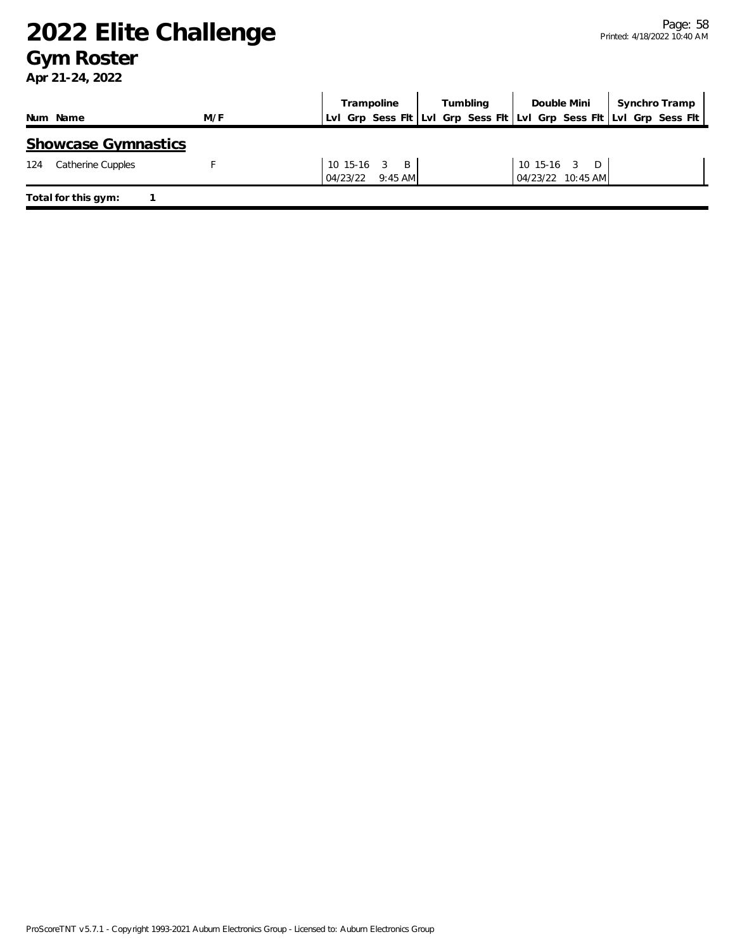### **Gym Roster**

|                            |     | Trampoline                                                          | Tumbling | Double Mini                          | Synchro Tramp |
|----------------------------|-----|---------------------------------------------------------------------|----------|--------------------------------------|---------------|
| Num Name                   | M/F | Lvl Grp Sess Flt Lvl Grp Sess Flt Lvl Grp Sess Flt Lvl Grp Sess Flt |          |                                      |               |
| <b>Showcase Gymnastics</b> |     |                                                                     |          |                                      |               |
| Catherine Cupples<br>124   |     | 10 15-16 3 B<br>04/23/22<br>$9:45$ AM                               |          | 10 15-16 3<br>D<br>04/23/22 10:45 AM |               |
| Total for this gym:        |     |                                                                     |          |                                      |               |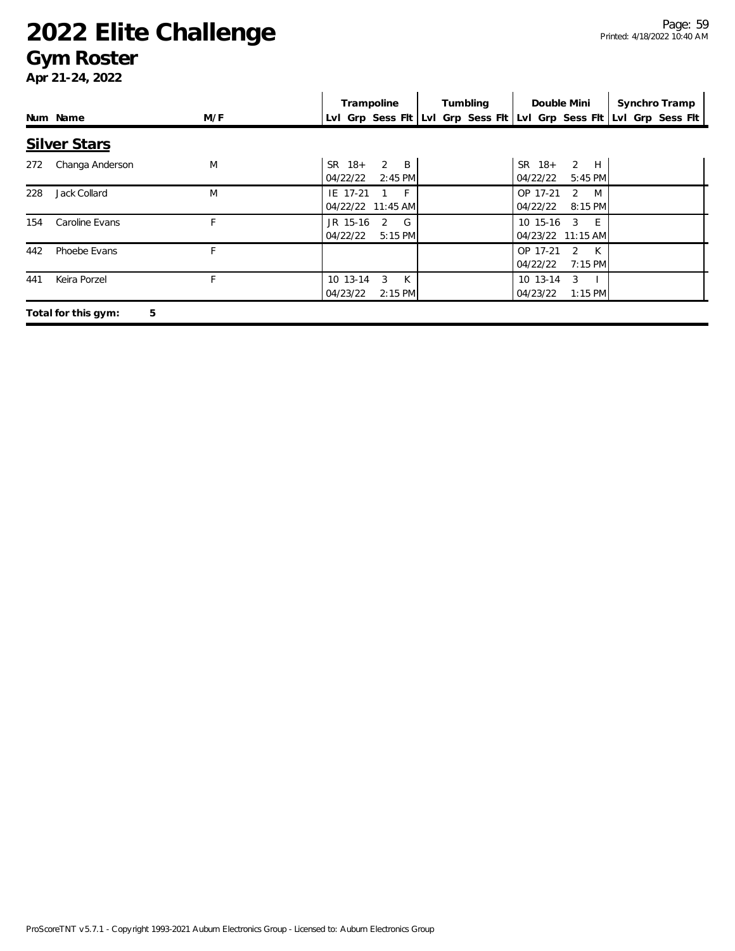### **Gym Roster**

|     |                          |     | Trampoline                                                          | Tumbling | Double Mini                                                        | Synchro Tramp |
|-----|--------------------------|-----|---------------------------------------------------------------------|----------|--------------------------------------------------------------------|---------------|
|     | Num Name                 | M/F | Lvl Grp Sess Flt Lvl Grp Sess Flt Lvl Grp Sess Flt Lvl Grp Sess Flt |          |                                                                    |               |
|     | <b>Silver Stars</b>      |     |                                                                     |          |                                                                    |               |
| 272 | Changa Anderson          | M   | 2<br>$\overline{B}$<br>$SR$ 18+<br>04/22/22<br>$2:45$ PM            |          | 2 H<br>$SR$ 18+<br>04/22/22<br>$5:45$ PM                           |               |
| 228 | Jack Collard             | M   | IE 17-21<br>$-$ F $-$<br>04/22/22 11:45 AM                          |          | OP 17-21<br>2<br>M<br>04/22/22<br>8:15 PM                          |               |
| 154 | Caroline Evans           |     | G<br>JR 15-16<br>2<br>04/22/22<br>$5:15$ PM                         |          | E<br>10 15-16<br>3<br>04/23/22 11:15 AM                            |               |
| 442 | Phoebe Evans             | F   |                                                                     |          | OP 17-21<br>$\mathcal{P}$<br>$\mathsf{K}$<br>04/22/22<br>$7:15$ PM |               |
| 441 | Keira Porzel             |     | 3<br>10 13-14<br>K<br>04/23/22<br>$2:15$ PM                         |          | 10 13-14<br>3<br>04/23/22<br>$1:15$ PM                             |               |
|     | 5<br>Total for this gym: |     |                                                                     |          |                                                                    |               |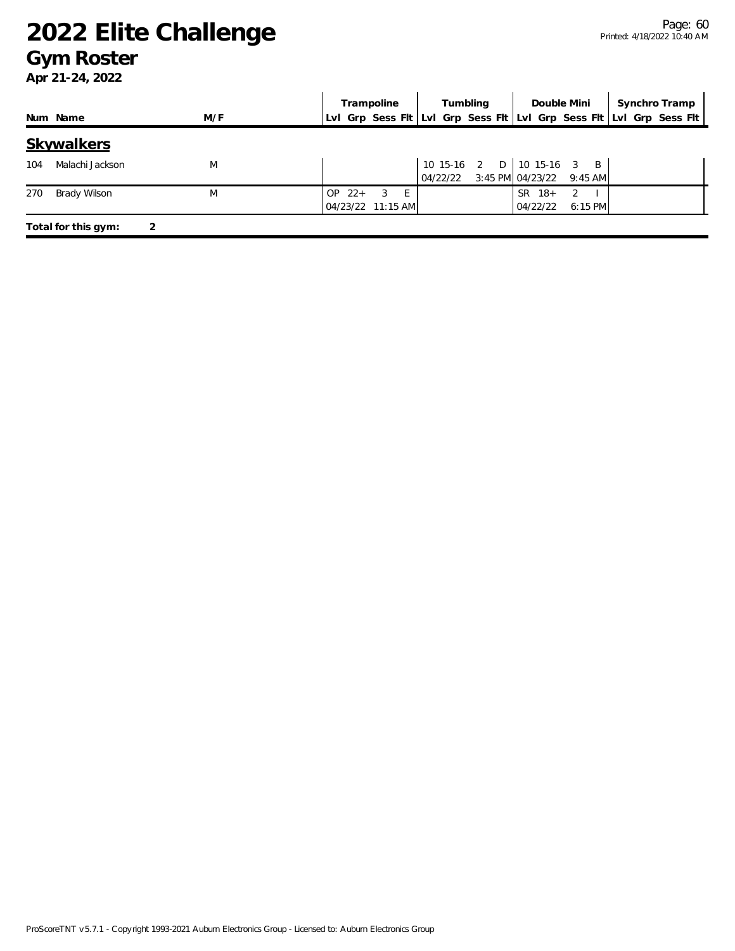### **Gym Roster**

|                        |     | Trampoline                                                          | Tumbling | Double Mini                                                    | Synchro Tramp |
|------------------------|-----|---------------------------------------------------------------------|----------|----------------------------------------------------------------|---------------|
| Num Name               | M/F | Lvl Grp Sess Fit Lvl Grp Sess Fit Lvl Grp Sess Fit Lvl Grp Sess Fit |          |                                                                |               |
| Skywalkers             |     |                                                                     |          |                                                                |               |
| Malachi Jackson<br>104 | M   |                                                                     |          | 10 15-16 2 D 10 15-16 3 B<br>04/22/22 3:45 PM 04/23/22 9:45 AM |               |
| 270<br>Brady Wilson    | M   | $OP$ 22+<br>-3<br>$-E$<br>04/23/22 11:15 AM                         |          | SR 18+<br>2<br>04/22/22<br>$6:15$ PM                           |               |
| Total for this gym:    |     |                                                                     |          |                                                                |               |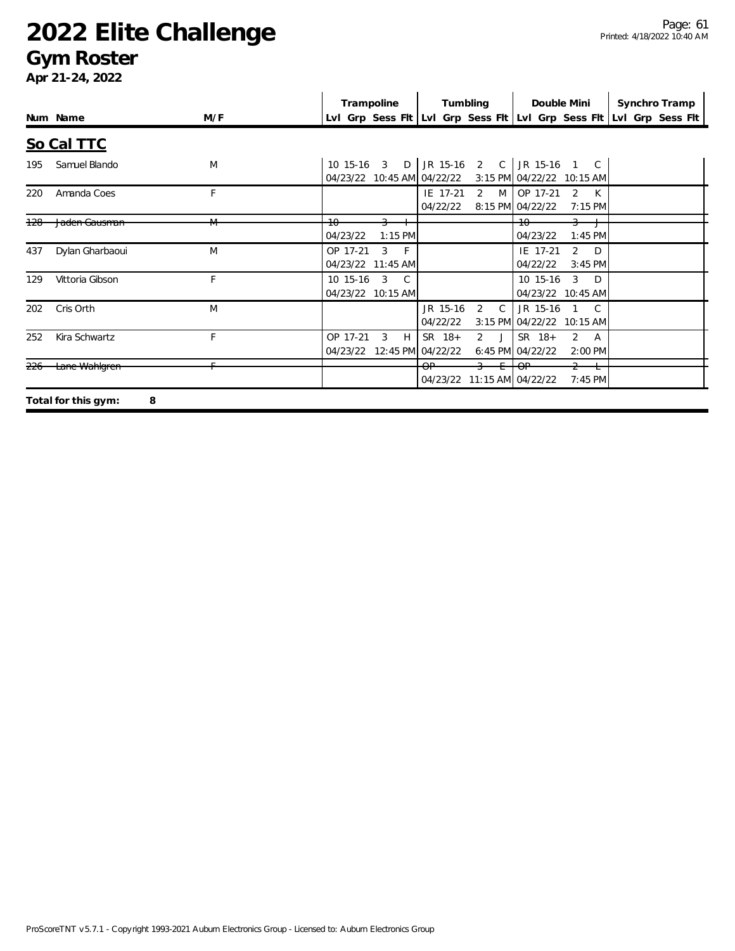### **Gym Roster**

|                |                          |     | Trampoline<br>Tumbling<br>Double Mini<br>Synchro Tramp                                                                                 |
|----------------|--------------------------|-----|----------------------------------------------------------------------------------------------------------------------------------------|
|                | Num Name                 | M/F | LvI Grp Sess FIt LvI Grp Sess FIt LvI Grp Sess FIt LvI Grp Sess FIt                                                                    |
|                | So Cal TTC               |     |                                                                                                                                        |
| 195            | Samuel Blando            | M   | JR 15-16 2 C<br>JR 15-16 1 C<br>10 15-16 3 D<br>04/23/22 10:45 AM 04/22/22<br>3:15 PM 04/22/22 10:15 AM                                |
| 220            | Amanda Coes              | F   | $\overline{2}$<br>OP 17-21<br>IE 17-21<br>M<br>$\overline{2}$<br>$\mathsf{K}$<br>04/22/22<br>8:15 PM 04/22/22<br>$7:15$ PM             |
| 128            | Jaden Gausman            | M   | 10<br>$+0$<br>$\overline{a}$<br>$1:45$ PM<br>04/23/22<br>$1:15$ PM<br>04/23/22                                                         |
| 437            | Dylan Gharbaoui          | M   | 3<br>2<br>OP 17-21<br>$-F$<br>IE 17-21<br>D<br>04/23/22 11:45 AM<br>04/22/22<br>$3:45$ PM                                              |
| 129            | Vittoria Gibson          | F   | 3<br>$\mathcal{R}$<br>10 15-16<br>C.<br>10 15-16<br>D<br>04/23/22 10:45 AM<br>04/23/22 10:15 AM                                        |
| 202            | Cris Orth                | M   | $\mathcal{C}$<br>JR 15-16<br>$\overline{C}$<br>JR 15-16<br>2<br>04/22/22<br>3:15 PM 04/22/22 10:15 AM                                  |
| 252            | Kira Schwartz            | F   | $SR$ 18+<br>$\overline{2}$<br>$SR$ 18+<br>OP 17-21<br>3<br>H<br>2<br>A<br>6:45 PM 04/22/22<br>04/23/22 12:45 PM<br>04/22/22<br>2:00 PM |
| <del>226</del> | Lane Wahlgren            |     | $+$<br>$-OP$<br>$\Theta$ P<br>$\rightarrow$<br>11:15 AM 04/22/22<br>04/23/22<br>$7:45$ PM                                              |
|                | 8<br>Total for this gym: |     |                                                                                                                                        |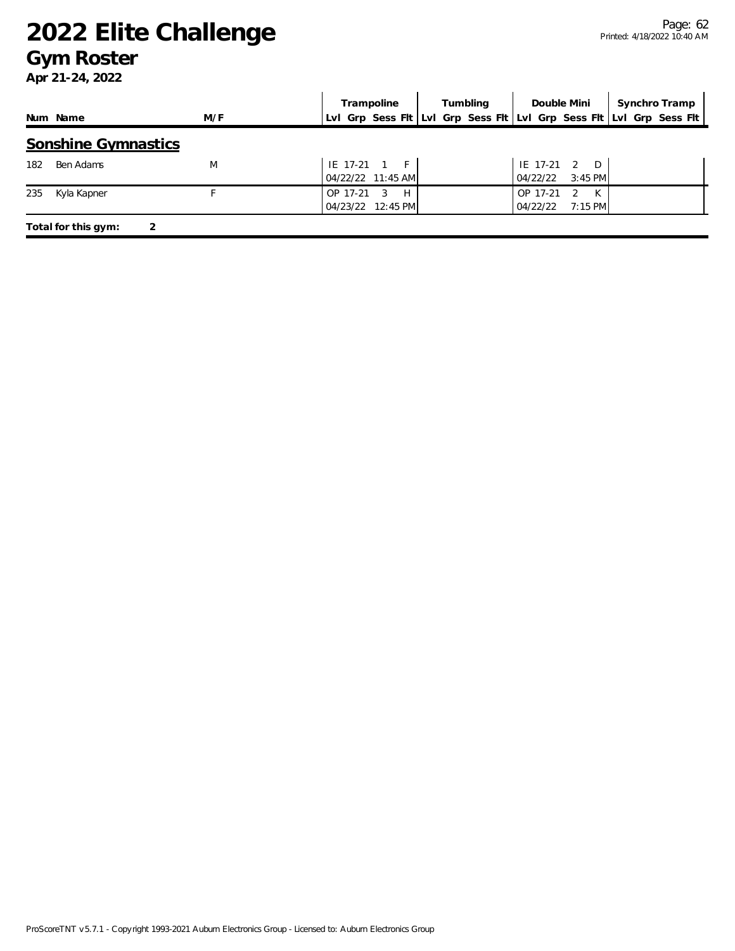### **Gym Roster**

|     |                            |     |          | Trampoline        |  | Tumbling |          | Double Mini        | Synchro Tramp |                                                                     |
|-----|----------------------------|-----|----------|-------------------|--|----------|----------|--------------------|---------------|---------------------------------------------------------------------|
|     | Num Name                   | M/F |          |                   |  |          |          |                    |               | Lvl Grp Sess Fit Lvl Grp Sess Fit Lvl Grp Sess Fit Lvl Grp Sess Fit |
|     | <b>Sonshine Gymnastics</b> |     |          |                   |  |          |          |                    |               |                                                                     |
| 182 | Ben Adams                  | M   |          | IE 17-21 1 F      |  |          |          | IE 17-21 2 D       |               |                                                                     |
|     |                            |     |          | 04/22/22 11:45 AM |  |          | 04/22/22 | $3:45$ PM          |               |                                                                     |
| 235 | Kyla Kapner                |     | OP 17-21 | - 3<br>H          |  |          | OP 17-21 | K<br>$\mathcal{L}$ |               |                                                                     |
|     |                            |     |          | 04/23/22 12:45 PM |  |          | 04/22/22 | $7:15$ PM          |               |                                                                     |
|     | Total for this gym:<br>2   |     |          |                   |  |          |          |                    |               |                                                                     |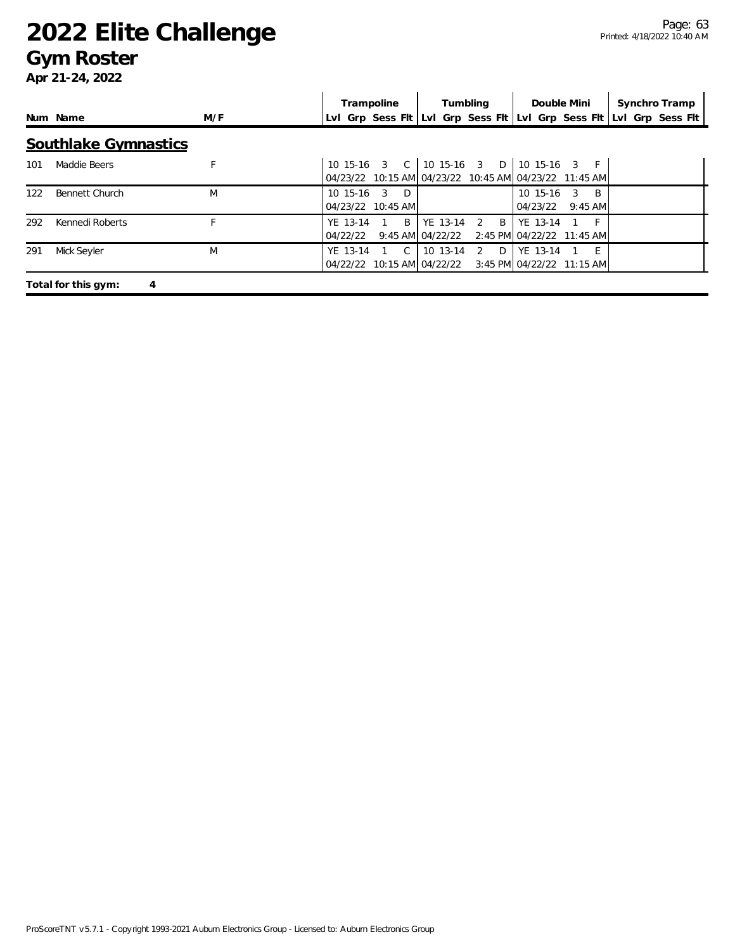### **Gym Roster**

|     |                             |     | Trampoline                                               | Tumbling                                               | Double Mini                                                           | Synchro Tramp                                                       |
|-----|-----------------------------|-----|----------------------------------------------------------|--------------------------------------------------------|-----------------------------------------------------------------------|---------------------------------------------------------------------|
|     | Num Name                    | M/F |                                                          |                                                        |                                                                       | Lvl Grp Sess Flt Lvl Grp Sess Flt Lvl Grp Sess Flt Lvl Grp Sess Flt |
|     | <b>Southlake Gymnastics</b> |     |                                                          |                                                        |                                                                       |                                                                     |
| 101 | Maddie Beers                |     | 10 15-16 3 C                                             | 10 15-16 3 D                                           | 10 15-16 3 F<br>04/23/22 10:15 AM 04/23/22 10:45 AM 04/23/22 11:45 AM |                                                                     |
| 122 | Bennett Church              | M   | 10 15-16<br>$\mathcal{R}$<br>$\Box$<br>04/23/22 10:45 AM |                                                        | 10 15-16<br><b>B</b><br>3<br>04/23/22<br>$9:45$ AM                    |                                                                     |
| 292 | Kennedi Roberts             |     | B<br>YE 13-14<br>$9:45$ AM<br>04/22/22                   | YE 13-14<br>$\mathsf{B}$<br>$\overline{2}$<br>04/22/22 | YE 13-14<br>2:45 PM 04/22/22 11:45 AM                                 |                                                                     |
| 291 | Mick Seyler                 | M   | YE 13-14<br>$\overline{C}$<br>04/22/22 10:15 AM 04/22/22 | 10 13-14<br>D<br>2                                     | YE 13-14<br>- F<br>3:45 PM 04/22/22 11:15 AM                          |                                                                     |
|     | Total for this gym:         | 4   |                                                          |                                                        |                                                                       |                                                                     |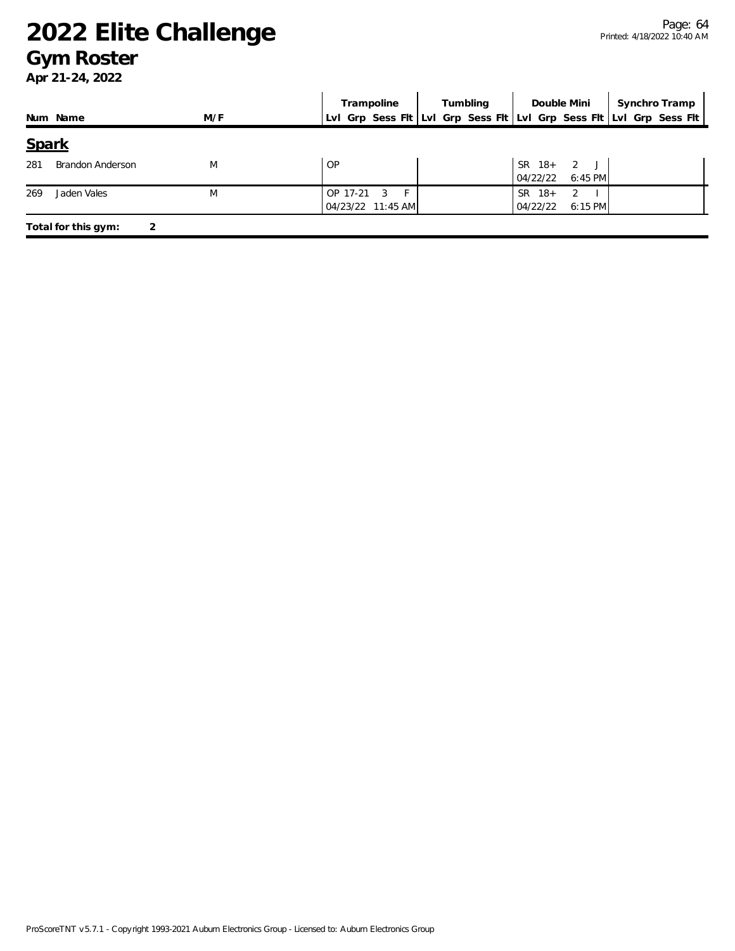### **Gym Roster**

|       |                         |     | Trampoline                                                          | Tumbling | Double Mini                                      | Synchro Tramp |
|-------|-------------------------|-----|---------------------------------------------------------------------|----------|--------------------------------------------------|---------------|
|       | Num Name                | M/F | Lvl Grp Sess Fit Lvl Grp Sess Fit Lvl Grp Sess Fit Lvl Grp Sess Fit |          |                                                  |               |
| Spark |                         |     |                                                                     |          |                                                  |               |
| 281   | <b>Brandon Anderson</b> | M   | <b>OP</b>                                                           |          | SR 18+ 2 J<br>04/22/22<br>$6:45$ PM              |               |
| 269   | Jaden Vales             | M   | F.<br>OP 17-21<br>- 3<br>04/23/22 11:45 AM                          |          | <b>SR</b><br>$18+$<br>2<br>04/22/22<br>$6:15$ PM |               |
|       | Total for this gym:     | 2   |                                                                     |          |                                                  |               |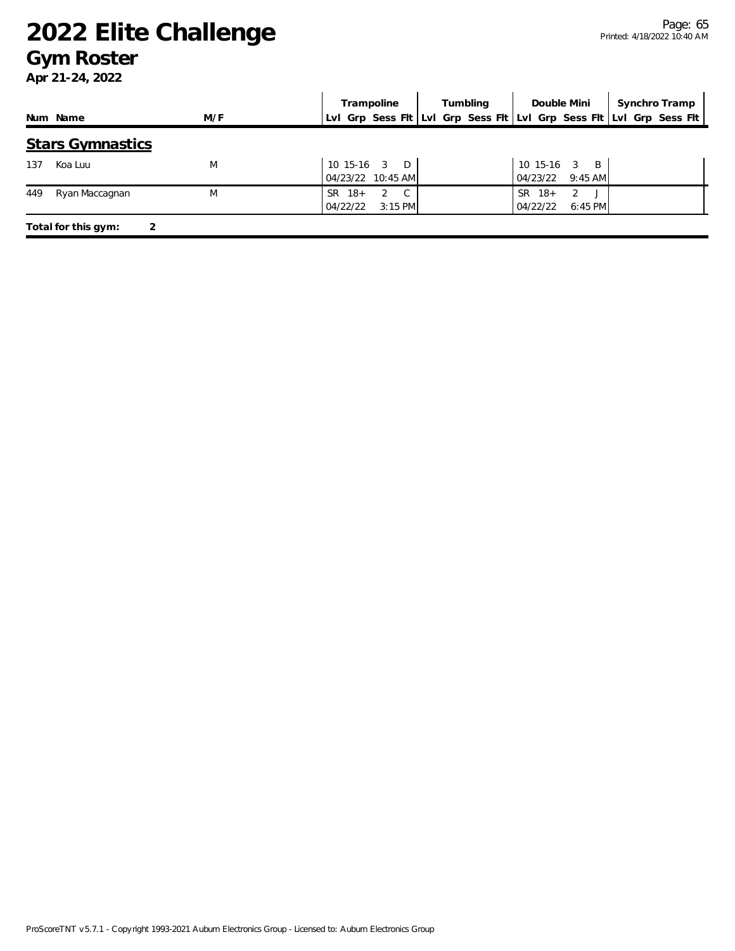### **Gym Roster**

|     | Trampoline                                              | Tumbling |                                            | Double Mini   Synchro Tramp                                         |
|-----|---------------------------------------------------------|----------|--------------------------------------------|---------------------------------------------------------------------|
| M/F |                                                         |          |                                            |                                                                     |
|     |                                                         |          |                                            |                                                                     |
| M   | $10$ 15-16 $3$ D<br>04/23/22 10:45 AM                   |          | 10 15-16 3 B<br>04/23/22 9:45 AM           |                                                                     |
| M   | $SR$ 18+<br>2<br>$\mathcal{C}$<br>04/22/22<br>$3:15$ PM |          | SR.<br>$18+$<br>2<br>04/22/22<br>$6:45$ PM |                                                                     |
|     |                                                         |          |                                            | Lvl Grp Sess Fit Lvl Grp Sess Fit Lvl Grp Sess Fit Lvl Grp Sess Fit |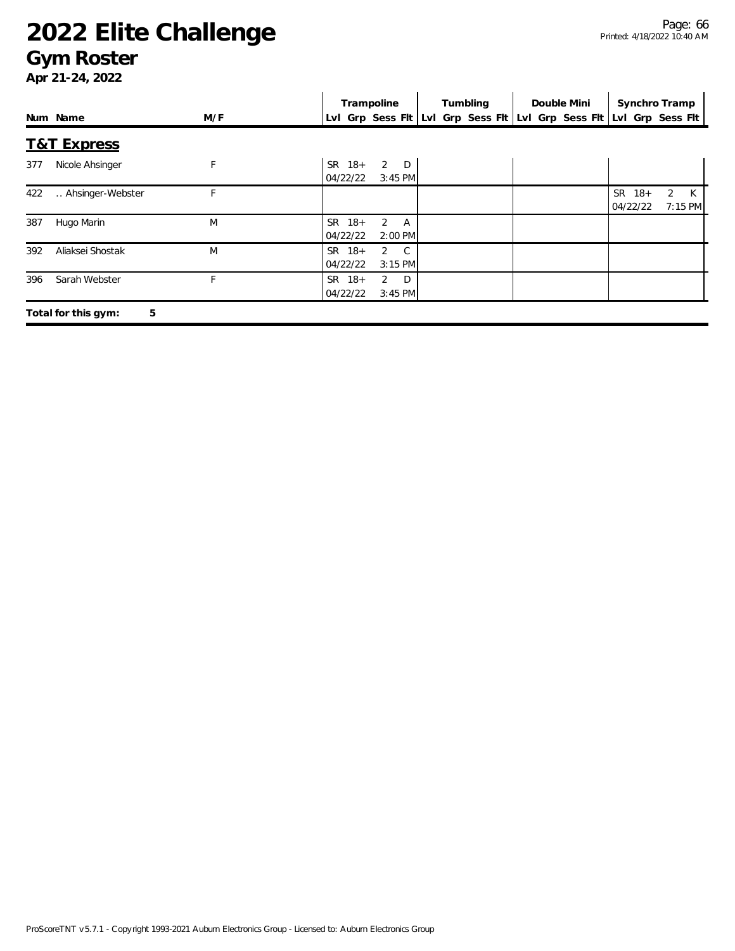### **Gym Roster**

|     |                          |     | Trampoline                                                  | Tumbling                                           | Double Mini | Synchro Tramp                                          |
|-----|--------------------------|-----|-------------------------------------------------------------|----------------------------------------------------|-------------|--------------------------------------------------------|
|     | Num Name                 | M/F |                                                             | Lvl Grp Sess Fit Lvl Grp Sess Fit Lvl Grp Sess Fit |             | Lvl Grp Sess Flt                                       |
|     | <b>T&amp;T Express</b>   |     |                                                             |                                                    |             |                                                        |
| 377 | Nicole Ahsinger          | F   | $2$ D<br>$SR$ 18+<br>04/22/22<br>$3:45$ PM                  |                                                    |             |                                                        |
| 422 | Ahsinger-Webster         | F   |                                                             |                                                    |             | $SR$ 18+<br>$\overline{2}$<br>K<br>04/22/22<br>7:15 PM |
| 387 | Hugo Marin               | M   | SR 18+<br>$\overline{2}$<br><b>A</b><br>04/22/22<br>2:00 PM |                                                    |             |                                                        |
| 392 | Aliaksei Shostak         | M   | SR 18+<br>$2 \quad C$<br>04/22/22<br>$3:15$ PM              |                                                    |             |                                                        |
| 396 | Sarah Webster            |     | $SR$ 18+<br>2<br>D<br>04/22/22<br>$3:45$ PM                 |                                                    |             |                                                        |
|     | 5<br>Total for this gym: |     |                                                             |                                                    |             |                                                        |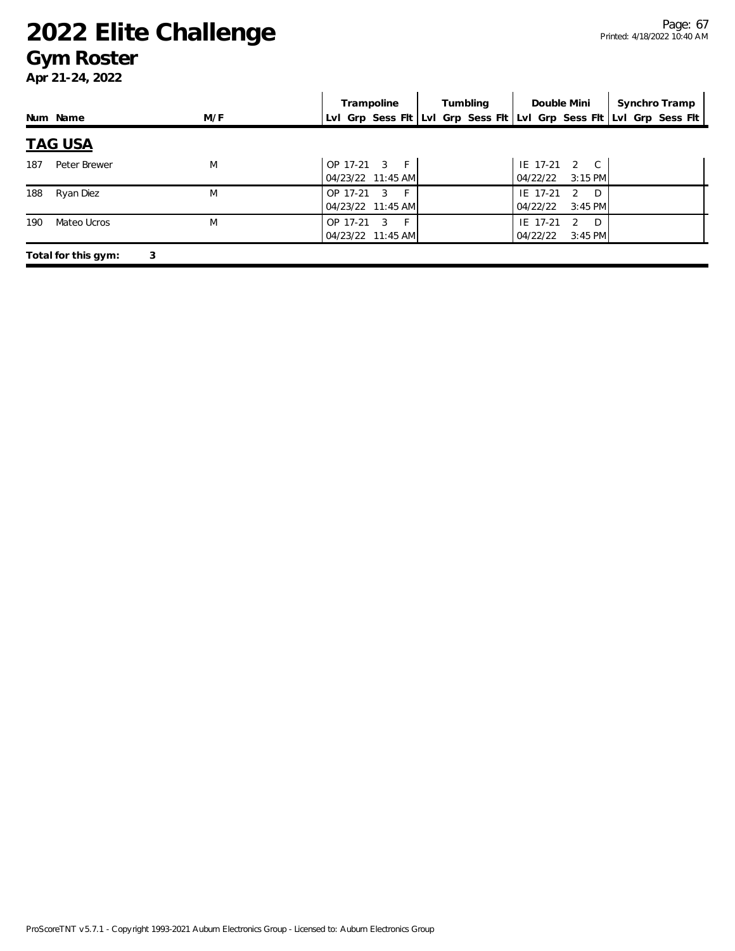### **Gym Roster**

|     |                     |     | Trampoline                                                          | Tumbling | Double Mini                                              | Synchro Tramp |
|-----|---------------------|-----|---------------------------------------------------------------------|----------|----------------------------------------------------------|---------------|
|     | Num Name            | M/F | Lvl Grp Sess Flt Lvl Grp Sess Flt Lvl Grp Sess Flt Lvl Grp Sess Flt |          |                                                          |               |
|     | <u>TAG USA</u>      |     |                                                                     |          |                                                          |               |
| 187 | Peter Brewer        | M   | OP 17-21 3 F<br>04/23/22 11:45 AM                                   |          | IE 17-21 2 C<br>04/22/22<br>$3:15$ PM                    |               |
| 188 | Ryan Diez           | M   | $-F$<br>OP 17-21<br>$\overline{3}$<br>04/23/22 11:45 AM             |          | D<br>IE 17-21<br>$\overline{2}$<br>04/22/22<br>$3:45$ PM |               |
| 190 | Mateo Ucros         | M   | $-F$<br>OP 17-21<br>- 3<br>04/23/22 11:45 AM                        |          | IE 17-21<br>D.<br>2<br>04/22/22<br>$3:45$ PM             |               |
|     | Total for this gym: | 3   |                                                                     |          |                                                          |               |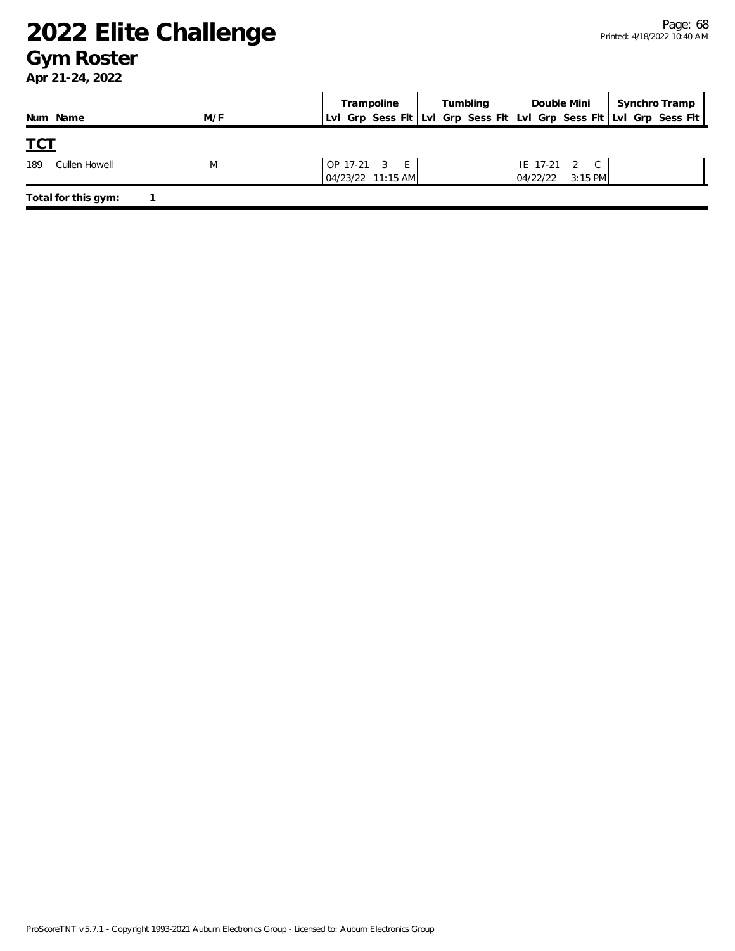### **Gym Roster**

| Num Name             | M/F | Trampoline<br>LvI Grp Sess FIt LvI Grp Sess FIt LvI Grp Sess FIt LvI Grp Sess FIt | Tumbling | Double Mini                      | Synchro Tramp |
|----------------------|-----|-----------------------------------------------------------------------------------|----------|----------------------------------|---------------|
| <u>TCT</u>           |     |                                                                                   |          |                                  |               |
| 189<br>Cullen Howell | M   | $OP 17-21 3 E$<br>04/23/22 11:15 AM                                               |          | IE 17-21 2 C<br>04/22/22 3:15 PM |               |
| Total for this gym:  |     |                                                                                   |          |                                  |               |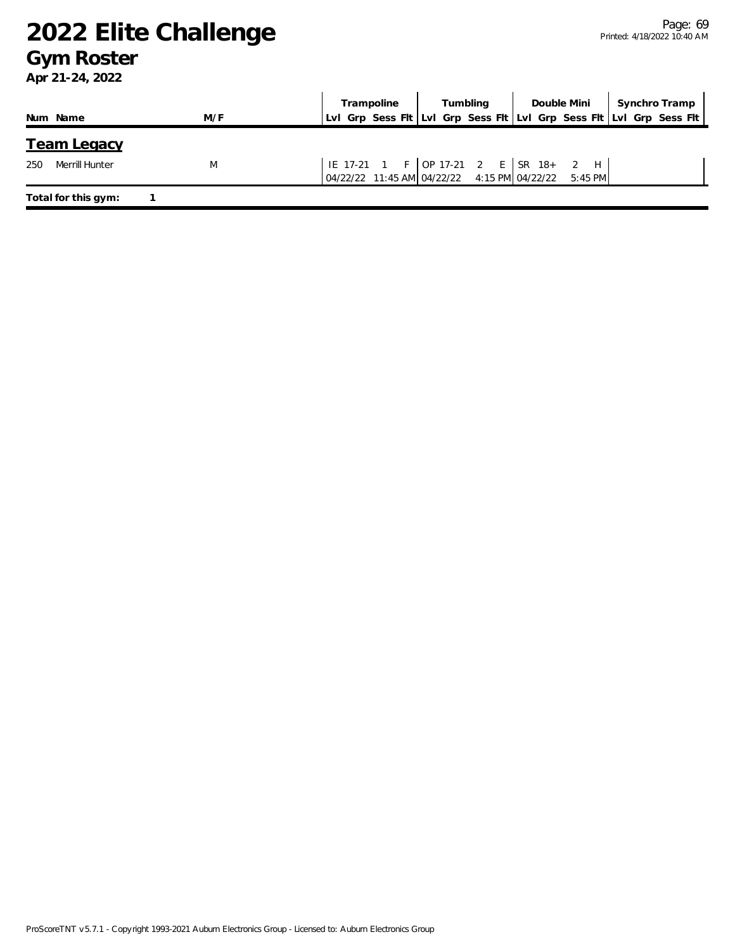### **Gym Roster**

|                       |     | Trampoline                                                                                                                                                           | Tumbling | Double Mini   Synchro Tramp                                         |
|-----------------------|-----|----------------------------------------------------------------------------------------------------------------------------------------------------------------------|----------|---------------------------------------------------------------------|
| Num Name              | M/F |                                                                                                                                                                      |          | Lvl Grp Sess Flt Lvl Grp Sess Flt Lvl Grp Sess Flt Lvl Grp Sess Flt |
| <b>Team Legacy</b>    |     |                                                                                                                                                                      |          |                                                                     |
| 250<br>Merrill Hunter | M   | $\begin{vmatrix} 1E & 17-21 & 1 & F & OP & 17-21 & 2 & E & SR & 18+ & 2 & H \\ 0 & 4/22/22 & 11:45 & AM & 04/22/22 & 4:15 & PM & 04/22/22 & 5:45 & PM \end{vmatrix}$ |          |                                                                     |
| Total for this gym:   |     |                                                                                                                                                                      |          |                                                                     |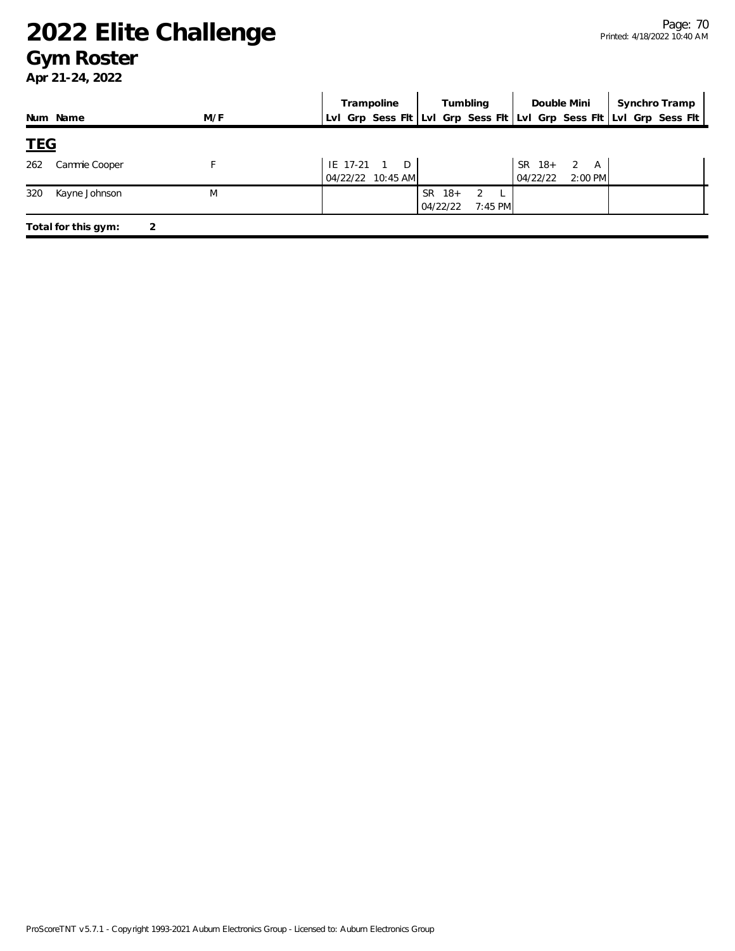### **Gym Roster**

|     | Trampoline                          | Double Mini Synchro Tramp                                           |
|-----|-------------------------------------|---------------------------------------------------------------------|
| M/F |                                     | Lvl Grp Sess Flt Lvl Grp Sess Flt Lvl Grp Sess Flt Lvl Grp Sess Flt |
|     |                                     |                                                                     |
|     | $IE$ 17-21 1 D<br>04/22/22 10:45 AM | SR 18+ 2 A<br>$2:00$ PM<br>04/22/22                                 |
| M   | $SR$ 18+<br>2<br>04/22/22           |                                                                     |
|     |                                     | Tumbling  <br>7:45 PM                                               |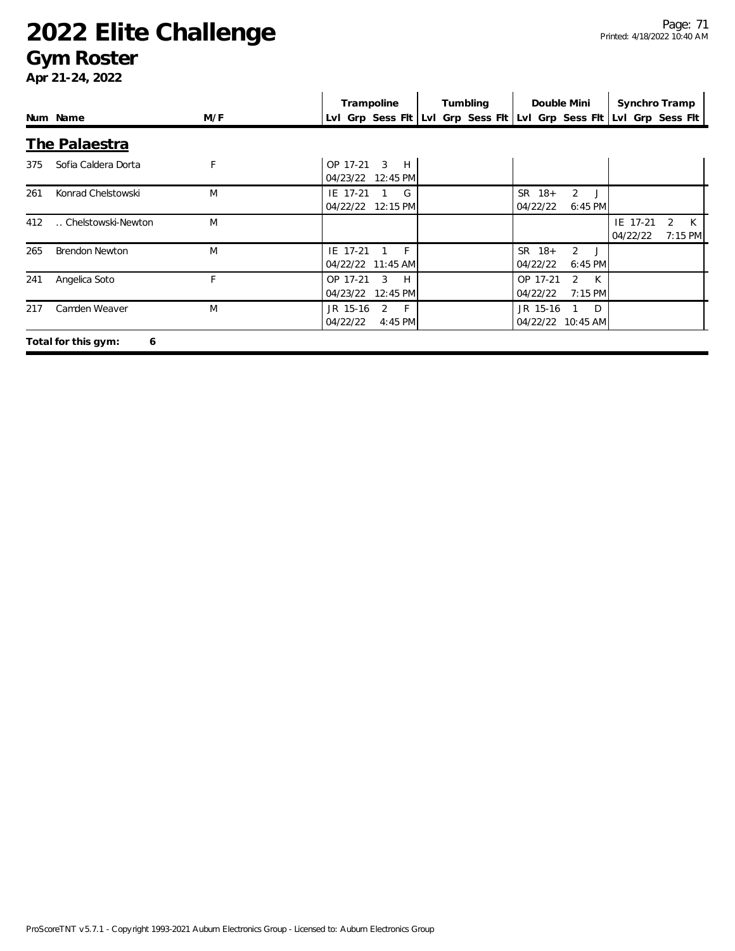### **Gym Roster**

|     |                          |     | Trampoline                                         | Tumbling | Double Mini                                 | Synchro Tramp                             |  |
|-----|--------------------------|-----|----------------------------------------------------|----------|---------------------------------------------|-------------------------------------------|--|
|     | Num Name                 | M/F | Lvl Grp Sess Fit Lvl Grp Sess Fit Lvl Grp Sess Fit |          |                                             | Lvl Grp Sess Flt                          |  |
|     | The Palaestra            |     |                                                    |          |                                             |                                           |  |
| 375 | Sofia Caldera Dorta      | F   | OP 17-21<br>3<br>H<br>04/23/22 12:45 PM            |          |                                             |                                           |  |
| 261 | Konrad Chelstowski       | M   | IE 17-21<br>G<br>04/22/22 12:15 PM                 |          | $SR$ 18+<br>2<br>04/22/22<br>$6:45$ PM      |                                           |  |
| 412 | Chelstowski-Newton       | M   |                                                    |          |                                             | IE 17-21<br>K<br>2<br>04/22/22<br>7:15 PM |  |
| 265 | <b>Brendon Newton</b>    | M   | $-F$<br>IE 17-21<br>04/22/22 11:45 AM              |          | $SR$ 18+<br>2<br>6:45 PM<br>04/22/22        |                                           |  |
| 241 | Angelica Soto            | F.  | OP 17-21<br>H<br>3<br>04/23/22<br>12:45 PM         |          | K<br>OP 17-21<br>2<br>04/22/22<br>$7:15$ PM |                                           |  |
| 217 | Camden Weaver            | M   | JR 15-16<br>2<br>$-F$<br>04/22/22<br>4:45 PM       |          | JR 15-16<br>$\Box$<br>04/22/22 10:45 AM     |                                           |  |
|     | Total for this gym:<br>6 |     |                                                    |          |                                             |                                           |  |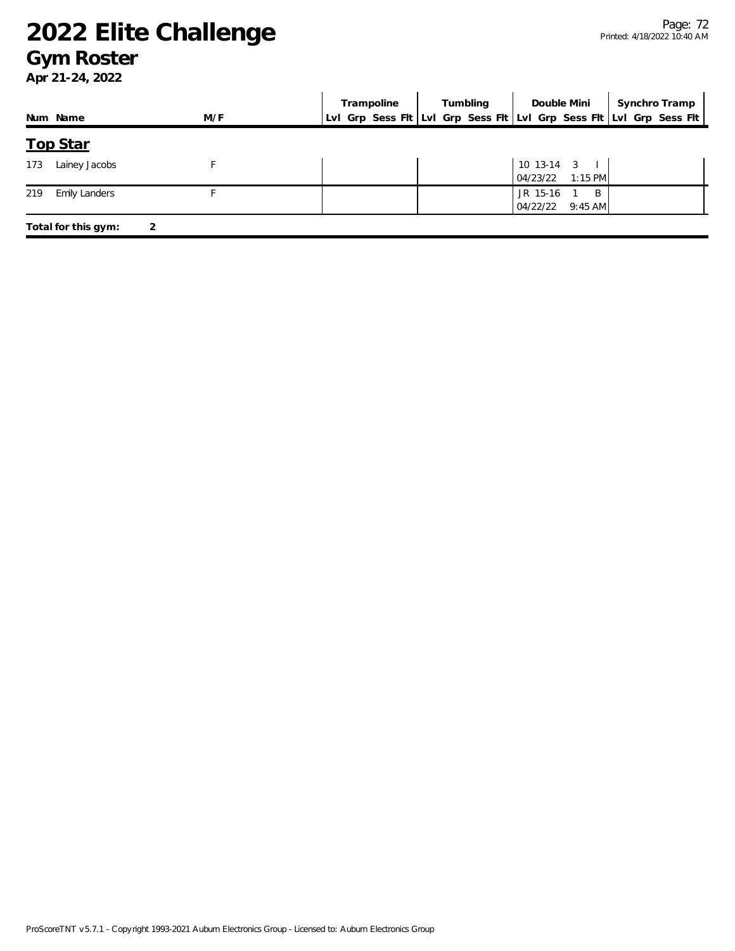### **Gym Roster**

|                             |     | Trampoline | Tumbling | Double Mini                                | Synchro Tramp                                                       |
|-----------------------------|-----|------------|----------|--------------------------------------------|---------------------------------------------------------------------|
| Num Name                    | M/F |            |          |                                            | LvI Grp Sess Fit LvI Grp Sess Fit LvI Grp Sess Fit LvI Grp Sess Fit |
| <b>Top Star</b>             |     |            |          |                                            |                                                                     |
| Lainey Jacobs<br>173        |     |            |          | $10$ 13-14 3 $\vert$<br>$04/23/22$ 1:15 PM |                                                                     |
| <b>Emily Landers</b><br>219 |     |            |          | JR 15-16<br>B<br>04/22/22<br>$9:45$ AM     |                                                                     |
| Total for this gym:         | 2   |            |          |                                            |                                                                     |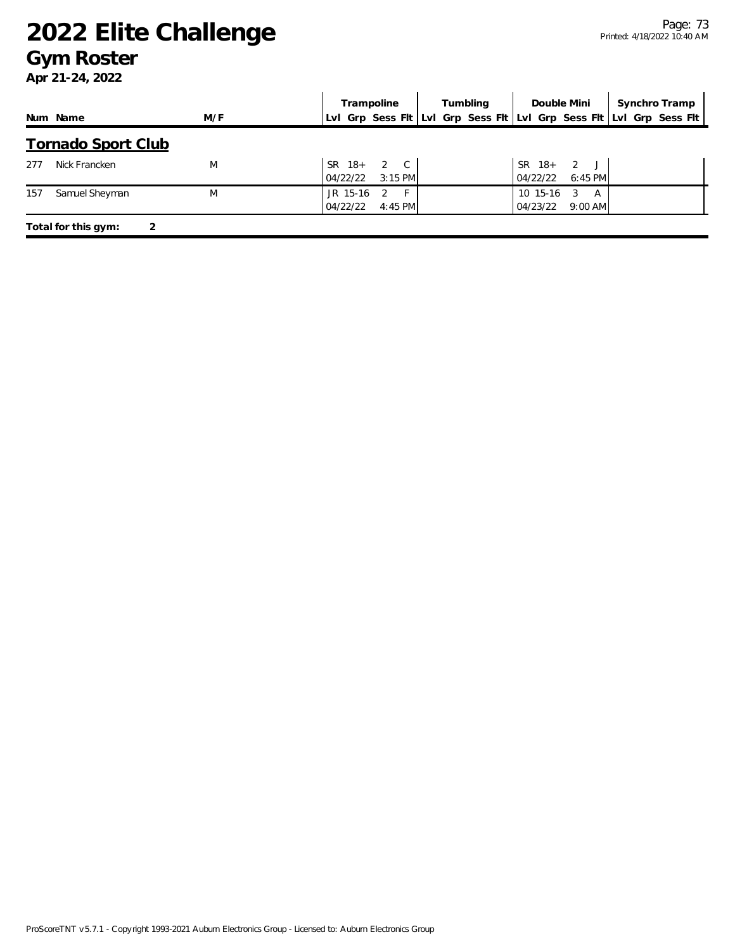#### **Gym Roster**

|     |                           |     |          | Tumbling<br>Trampoline  |  |  |  |          |                         | Double Mini                                                         |  | Synchro Tramp |
|-----|---------------------------|-----|----------|-------------------------|--|--|--|----------|-------------------------|---------------------------------------------------------------------|--|---------------|
|     | Num Name                  | M/F |          |                         |  |  |  |          |                         | Lvl Grp Sess Fit Lvl Grp Sess Fit Lvl Grp Sess Fit Lvl Grp Sess Fit |  |               |
|     | <b>Tornado Sport Club</b> |     |          |                         |  |  |  |          |                         |                                                                     |  |               |
| 277 | Nick Francken             | M   | 04/22/22 | SR 18+ 2 C<br>$3:15$ PM |  |  |  | 04/22/22 | SR 18+ 2 J<br>$6:45$ PM |                                                                     |  |               |
| 157 | Samuel Sheyman            | M   | JR 15-16 | 2<br>-F                 |  |  |  | 10 15-16 | -3<br>A                 |                                                                     |  |               |
|     |                           |     | 04/22/22 | $4:45$ PM               |  |  |  | 04/23/22 | $9:00$ AM               |                                                                     |  |               |
|     | Total for this gym:<br>2  |     |          |                         |  |  |  |          |                         |                                                                     |  |               |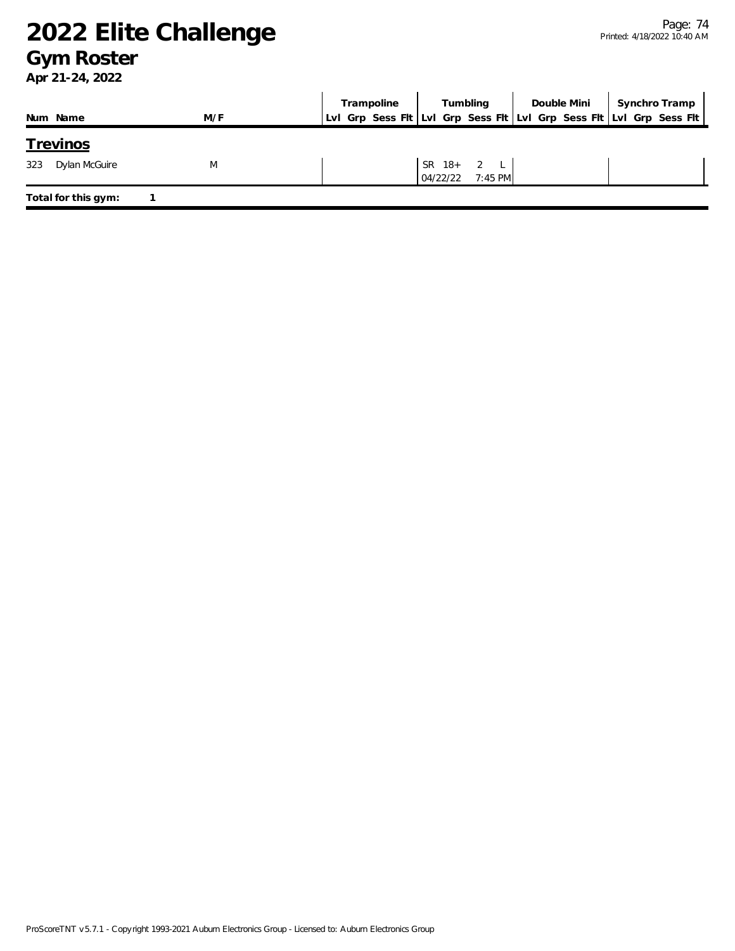#### **Gym Roster**

|                      |     | Trampoline |             | Tumbling  | Double Mini   Synchro Tramp                                         |
|----------------------|-----|------------|-------------|-----------|---------------------------------------------------------------------|
| Num Name             | M/F |            |             |           | LvI Grp Sess FIt LvI Grp Sess FIt LvI Grp Sess FIt LvI Grp Sess FIt |
| <u>Trevinos</u>      |     |            |             |           |                                                                     |
| 323<br>Dylan McGuire | M   |            | SR $18+2$ L |           |                                                                     |
|                      |     |            | 04/22/22    | $7:45$ PM |                                                                     |
| Total for this gym:  |     |            |             |           |                                                                     |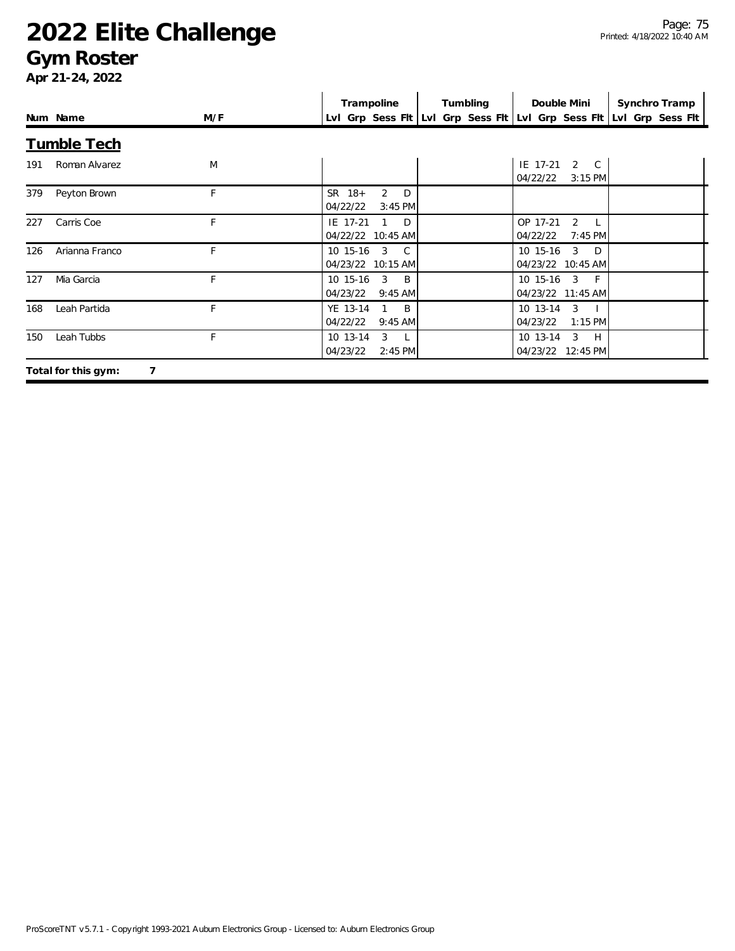#### **Gym Roster**

|     |                          |     | Trampoline                                                            | Tumbling | Double Mini                              | Synchro Tramp                                                       |
|-----|--------------------------|-----|-----------------------------------------------------------------------|----------|------------------------------------------|---------------------------------------------------------------------|
|     | Num Name                 | M/F |                                                                       |          |                                          | LvI Grp Sess FIt LvI Grp Sess FIt LvI Grp Sess FIt LvI Grp Sess FIt |
|     | <b>Tumble Tech</b>       |     |                                                                       |          |                                          |                                                                     |
| 191 | Roman Alvarez            | M   |                                                                       |          | IE 17-21<br>2 C<br>04/22/22<br>$3:15$ PM |                                                                     |
| 379 | Peyton Brown             | F   | SR 18+<br>2<br>D<br>04/22/22<br>$3:45$ PM                             |          |                                          |                                                                     |
| 227 | Carris Coe               | F   | IE 17-21<br>D<br>04/22/22 10:45 AM                                    |          | OP 17-21<br>2<br>04/22/22<br>7:45 PM     |                                                                     |
| 126 | Arianna Franco           | F   | 10 15-16<br>3<br>$\mathbb{C}$<br>04/23/22 10:15 AM                    |          | $3$ D<br>10 15-16<br>04/23/22 10:45 AM   |                                                                     |
| 127 | Mia Garcia               | F.  | $\overline{3}$<br>10 15-16<br>$\overline{B}$<br>04/23/22<br>$9:45$ AM |          | 10 15-16 3 F<br>04/23/22 11:45 AM        |                                                                     |
| 168 | Leah Partida             | F   | YE 13-14<br>B<br>04/22/22<br>$9:45$ AM                                |          | 10 13-14<br>3<br>04/23/22<br>$1:15$ PM   |                                                                     |
| 150 | Leah Tubbs               | F   | 3<br>10 13-14<br>$\mathsf{L}$<br>04/23/22<br>$2:45$ PM                |          | 3 H<br>10 13-14<br>04/23/22 12:45 PM     |                                                                     |
|     | Total for this gym:<br>7 |     |                                                                       |          |                                          |                                                                     |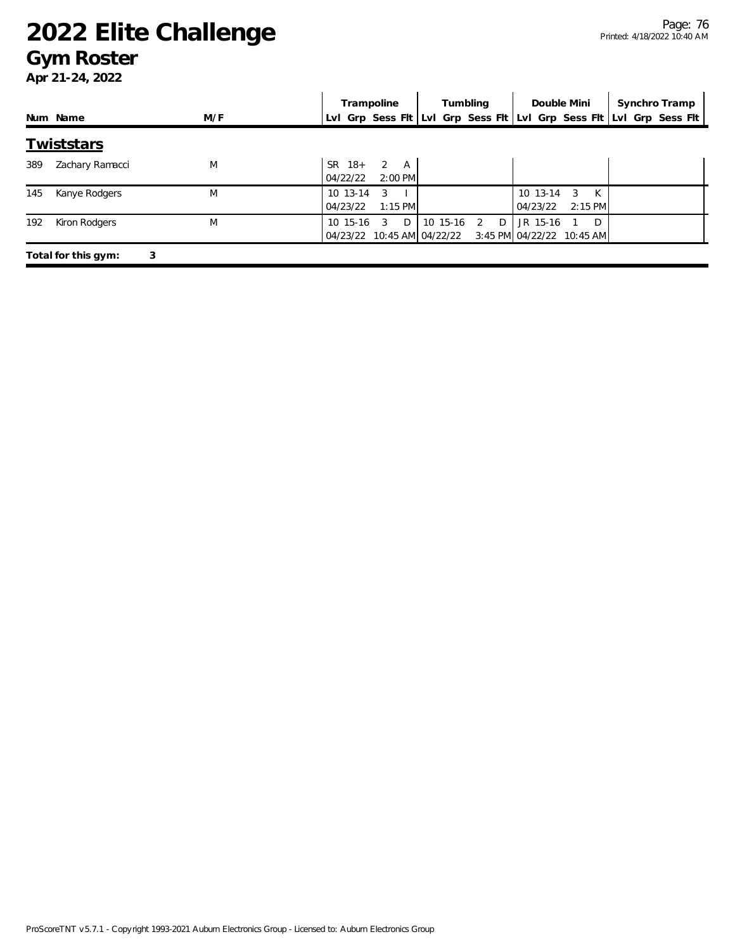#### **Gym Roster**

|     |                          |     | Trampoline                                              | Tumbling        | Double Mini                                       | Synchro Tramp                                                       |
|-----|--------------------------|-----|---------------------------------------------------------|-----------------|---------------------------------------------------|---------------------------------------------------------------------|
|     | Num Name                 | M/F |                                                         |                 |                                                   | Lvl Grp Sess Fit Lvi Grp Sess Fit Lvi Grp Sess Fit Lvi Grp Sess Fit |
|     | <b>Twiststars</b>        |     |                                                         |                 |                                                   |                                                                     |
| 389 | Zachary Ramacci          | M   | $\mathcal{P}$<br>$SR$ 18+<br>A<br>$2:00$ PM<br>04/22/22 |                 |                                                   |                                                                     |
| 145 | Kanye Rodgers            | M   | 10 13-14<br>3<br>$1:15$ PM<br>04/23/22                  |                 | K<br>$10 \t13 - 14$<br>3<br>$2:15$ PM<br>04/23/22 |                                                                     |
| 192 | Kiron Rodgers            | M   | $10, 15-16$<br>D<br>3<br>04/23/22 10:45 AM 04/22/22     | 10 15-16 2<br>D | JR 15-16<br>D<br>3:45 PM 04/22/22 10:45 AM        |                                                                     |
|     | 3<br>Total for this gym: |     |                                                         |                 |                                                   |                                                                     |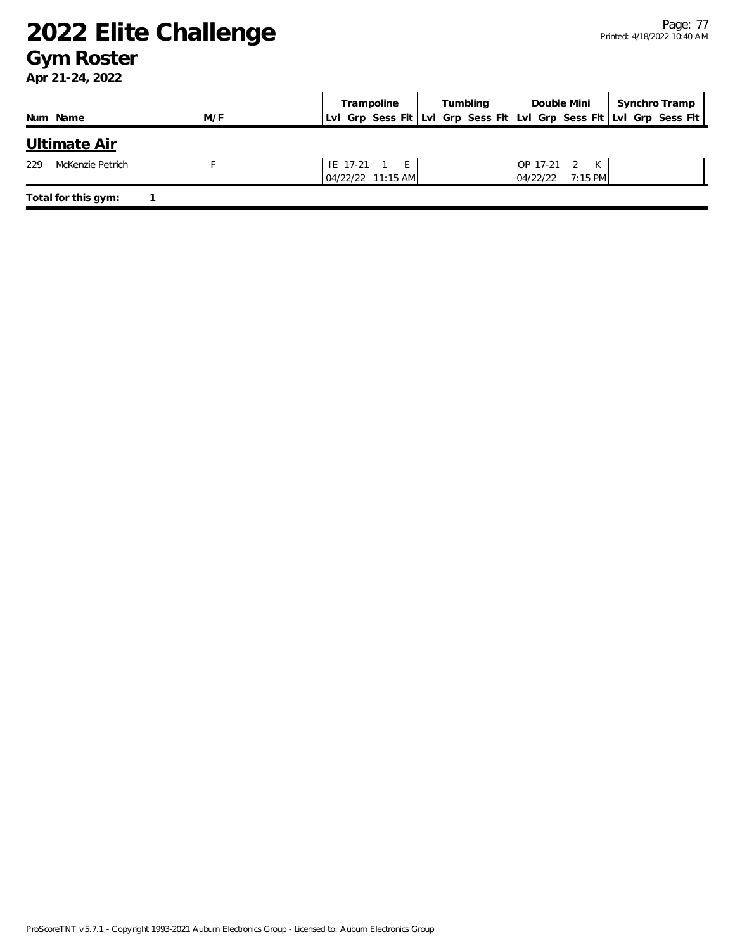#### **Gym Roster**

| Num Name                | M/F | Trampoline<br>Lvl Grp Sess Flt Lvl Grp Sess Flt Lvl Grp Sess Flt Lvl Grp Sess Flt | Tumbling | Double Mini                              | Synchro Tramp |
|-------------------------|-----|-----------------------------------------------------------------------------------|----------|------------------------------------------|---------------|
| Ultimate Air            |     |                                                                                   |          |                                          |               |
| McKenzie Petrich<br>229 |     | $IE$ 17-21 1 $E$<br>04/22/22 11:15 AM                                             |          | OP 17-21 2<br>K<br>$7:15$ PM<br>04/22/22 |               |
| Total for this gym:     |     |                                                                                   |          |                                          |               |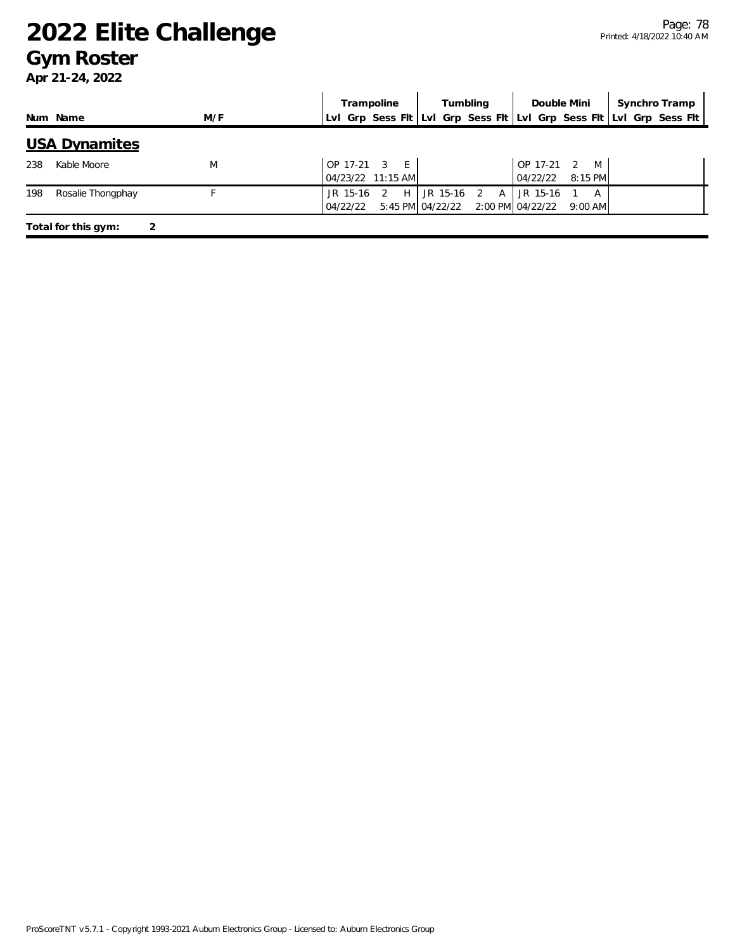#### **Gym Roster**

|                          |     | Double Mini<br>Synchro Tramp<br>Tumbling<br>Trampoline                                                                |
|--------------------------|-----|-----------------------------------------------------------------------------------------------------------------------|
| Num Name                 | M/F | LvI Grp Sess FIt LvI Grp Sess FIt LvI Grp Sess FIt LvI Grp Sess FIt                                                   |
| <b>USA Dynamites</b>     |     |                                                                                                                       |
| Kable Moore<br>238       | M   | OP 17-21 3<br>E<br>OP 17-21<br>M<br>$\mathcal{L}$<br>04/22/22<br>04/23/22 11:15 AM<br>8:15 PM                         |
| 198<br>Rosalie Thongphay |     | JR 15-16<br>JR 15-16<br>JR 15-16<br>H<br>2<br>A<br>A<br>5:45 PM 04/22/22<br>2:00 PM 04/22/22<br>04/22/22<br>$9:00$ AM |
| Total for this gym:      | っ   |                                                                                                                       |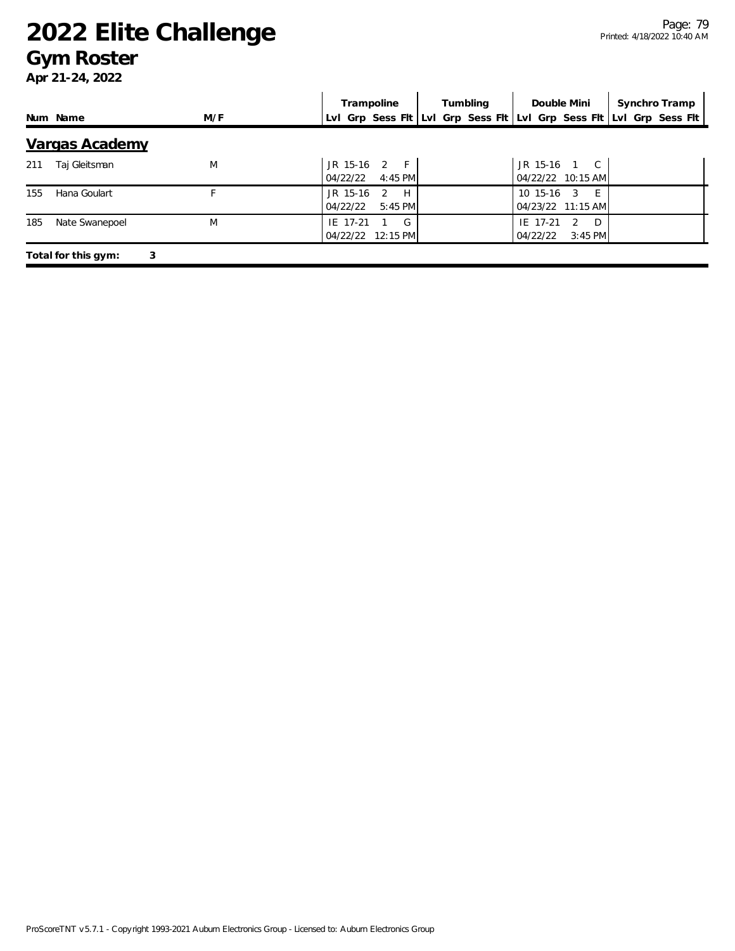#### **Gym Roster**

|     |                          |     | Trampoline                                             | Tumbling | Double Mini                                     | Synchro Tramp                                                       |  |
|-----|--------------------------|-----|--------------------------------------------------------|----------|-------------------------------------------------|---------------------------------------------------------------------|--|
|     | Num Name                 | M/F |                                                        |          |                                                 | Lvl Grp Sess Fit Lvl Grp Sess Fit Lvl Grp Sess Fit Lvl Grp Sess Fit |  |
|     | Vargas Academy           |     |                                                        |          |                                                 |                                                                     |  |
| 211 | Taj Gleitsman            | M   | $2 \quad F$<br>JR 15-16<br>04/22/22<br>4:45 PM         |          | JR 15-16<br>$\overline{C}$<br>04/22/22 10:15 AM |                                                                     |  |
| 155 | Hana Goulart             |     | JR 15-16<br>$\mathfrak{D}$<br>H<br>5:45 PM<br>04/22/22 |          | 10 15-16<br>-F<br>3<br>04/23/22 11:15 AM        |                                                                     |  |
| 185 | Nate Swanepoel           | M   | G<br>IE 17-21<br>04/22/22<br>12:15 PM                  |          | IE 17-21<br>-D<br>2<br>$3:45$ PM<br>04/22/22    |                                                                     |  |
|     | 3<br>Total for this gym: |     |                                                        |          |                                                 |                                                                     |  |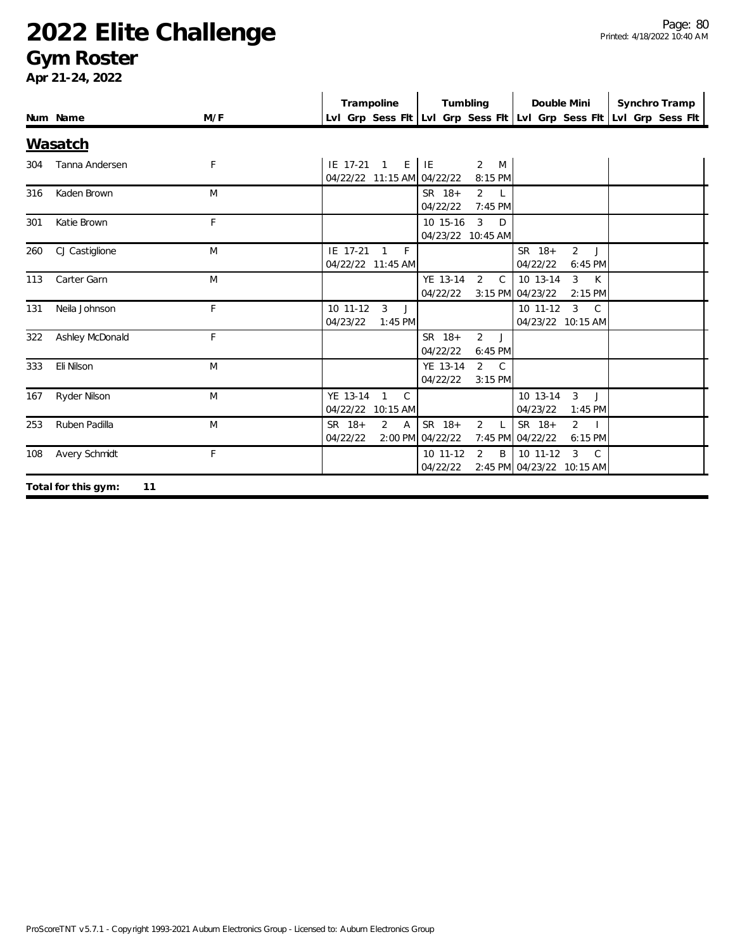#### **Gym Roster**

|     | Num Name                  | M/F | Trampoline                                             | Tumbling                                                     | Double Mini                                                                 | Synchro Tramp<br>Lvl Grp Sess Fit Lvl Grp Sess Fit Lvl Grp Sess Fit Lvl Grp Sess Fit |
|-----|---------------------------|-----|--------------------------------------------------------|--------------------------------------------------------------|-----------------------------------------------------------------------------|--------------------------------------------------------------------------------------|
|     | <b>Wasatch</b>            |     |                                                        |                                                              |                                                                             |                                                                                      |
| 304 | Tanna Andersen            | F   | IE 17-21 1<br>04/22/22 11:15 AM 04/22/22               | $E$   $IE$<br>2 M<br>8:15 PM                                 |                                                                             |                                                                                      |
| 316 | Kaden Brown               | M   |                                                        | SR 18+<br>$2^{\circ}$<br>- L<br>04/22/22<br>7:45 PM          |                                                                             |                                                                                      |
| 301 | Katie Brown               | F   |                                                        | $\overline{3}$<br>10 15-16<br>D<br>04/23/22 10:45 AM         |                                                                             |                                                                                      |
| 260 | CJ Castiglione            | M   | F<br>IE 17-21<br>$\overline{1}$<br>04/22/22 11:45 AM   |                                                              | SR 18+<br>2J<br>04/22/22<br>6:45 PM                                         |                                                                                      |
| 113 | Carter Garn               | M   |                                                        | YE 13-14<br>$2^{\circ}$<br>$\mathsf{C}$<br>04/22/22          | $\overline{3}$<br>10 13-14<br>$\mathsf{K}$<br>3:15 PM 04/23/22<br>$2:15$ PM |                                                                                      |
| 131 | Neila Johnson             | F   | 10 11-12<br>3<br>J<br>04/23/22<br>$1:45$ PM            |                                                              | $10$ 11-12<br>$\mathbf{3}$<br>$\mathbb{C}$<br>04/23/22 10:15 AM             |                                                                                      |
| 322 | Ashley McDonald           | F.  |                                                        | $\overline{2}$<br>SR 18+<br>J<br>04/22/22<br>$6:45$ PM       |                                                                             |                                                                                      |
| 333 | Eli Nilson                | M   |                                                        | YE 13-14<br>2 C<br>04/22/22<br>$3:15$ PM                     |                                                                             |                                                                                      |
| 167 | Ryder Nilson              | M   | YE 13-14<br>$\mathcal{C}$<br>1<br>04/22/22 10:15 AM    |                                                              | 10 13-14<br>$\mathbf{3}$<br>$\Box$<br>04/23/22<br>$1:45$ PM                 |                                                                                      |
| 253 | Ruben Padilla             | M   | $\overline{2}$<br>SR 18+<br>$\overline{A}$<br>04/22/22 | SR 18+<br>$\overline{2}$<br>$\mathsf{L}$<br>2:00 PM 04/22/22 | SR 18+<br>$\overline{2}$<br>$\sim$ 1<br>7:45 PM 04/22/22<br>6:15 PM         |                                                                                      |
| 108 | Avery Schmidt             | F   |                                                        | 10 11-12<br>2<br>B<br>04/22/22                               | 10 11-12<br>$\mathbf{3}$<br>$\mathcal{C}$<br>2:45 PM 04/23/22 10:15 AM      |                                                                                      |
|     | Total for this gym:<br>11 |     |                                                        |                                                              |                                                                             |                                                                                      |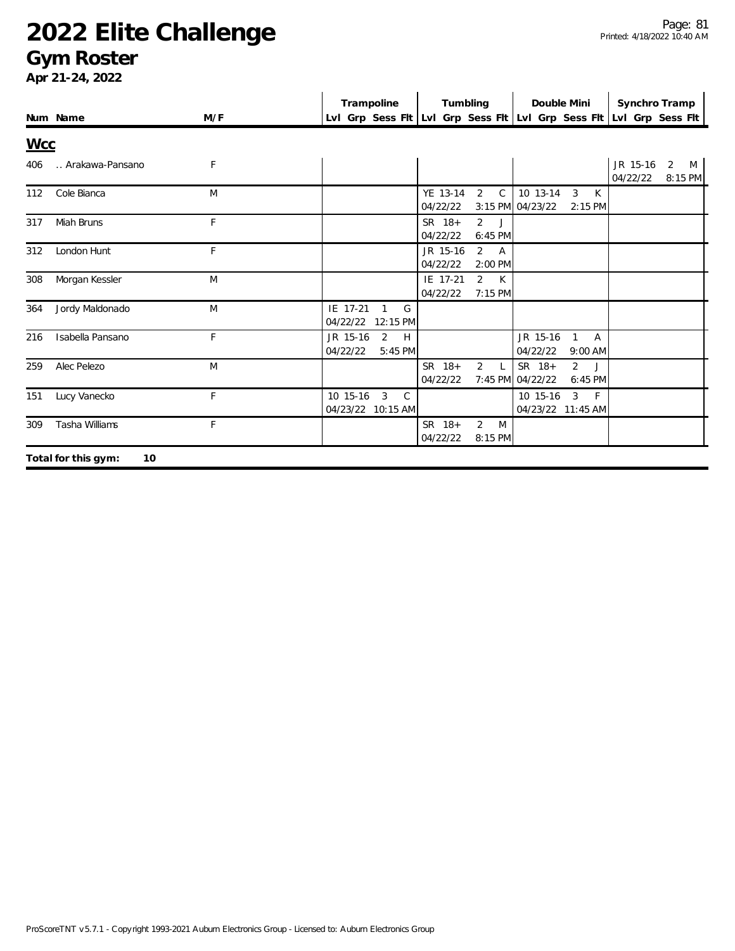#### **Gym Roster**

|            |                           |     |                      | Trampoline                                          |                    |          | Tumbling       |              | Double Mini                                                         |                                           | Synchro Tramp        |              |   |
|------------|---------------------------|-----|----------------------|-----------------------------------------------------|--------------------|----------|----------------|--------------|---------------------------------------------------------------------|-------------------------------------------|----------------------|--------------|---|
|            | Num Name                  | M/F |                      |                                                     |                    |          |                |              | Lvl Grp Sess Fit Lvi Grp Sess Fit Lvi Grp Sess Fit Lvi Grp Sess Fit |                                           |                      |              |   |
| <b>Wcc</b> |                           |     |                      |                                                     |                    |          |                |              |                                                                     |                                           |                      |              |   |
| 406        | Arakawa-Pansano           | F   |                      |                                                     |                    |          |                |              |                                                                     |                                           | JR 15-16<br>04/22/22 | 2<br>8:15 PM | M |
| 112        | Cole Bianca               | M   |                      |                                                     | 04/22/22           | YE 13-14 | 2              | $\mathsf{C}$ | 10 13-14<br>3:15 PM 04/23/22                                        | 3<br>K<br>$2:15$ PM                       |                      |              |   |
| 317        | Miah Bruns                | F   |                      |                                                     | SR 18+<br>04/22/22 |          | 2J<br>6:45 PM  |              |                                                                     |                                           |                      |              |   |
| 312        | London Hunt               | F   |                      |                                                     | 04/22/22           | JR 15-16 | 2 A            | 2:00 PM      |                                                                     |                                           |                      |              |   |
| 308        | Morgan Kessler            | M   |                      |                                                     | 04/22/22           | IE 17-21 | 2 K<br>7:15 PM |              |                                                                     |                                           |                      |              |   |
| 364        | Jordy Maldonado           | M   | IE 17-21             | G<br>$\mathbf{1}$<br>04/22/22 12:15 PM              |                    |          |                |              |                                                                     |                                           |                      |              |   |
| 216        | Isabella Pansano          | F   | JR 15-16<br>04/22/22 | 2<br>H<br>5:45 PM                                   |                    |          |                |              | JR 15-16<br>04/22/22                                                | $\mathbf{1}$<br>$\overline{A}$<br>9:00 AM |                      |              |   |
| 259        | Alec Pelezo               | M   |                      |                                                     | SR 18+<br>04/22/22 |          | $\overline{2}$ | $\mathsf{L}$ | SR 18+<br>7:45 PM 04/22/22                                          | $\overline{2}$<br>$\cdot$<br>6:45 PM      |                      |              |   |
| 151        | Lucy Vanecko              | F   | 10 15-16             | $\mathsf{C}$<br>$\overline{3}$<br>04/23/22 10:15 AM |                    |          |                |              | 10 15-16<br>04/23/22 11:45 AM                                       | $\mathbf{3}$<br>$-F$                      |                      |              |   |
| 309        | Tasha Williams            | F   |                      |                                                     | SR 18+<br>04/22/22 |          | 2<br>8:15 PM   | M            |                                                                     |                                           |                      |              |   |
|            | 10<br>Total for this gym: |     |                      |                                                     |                    |          |                |              |                                                                     |                                           |                      |              |   |